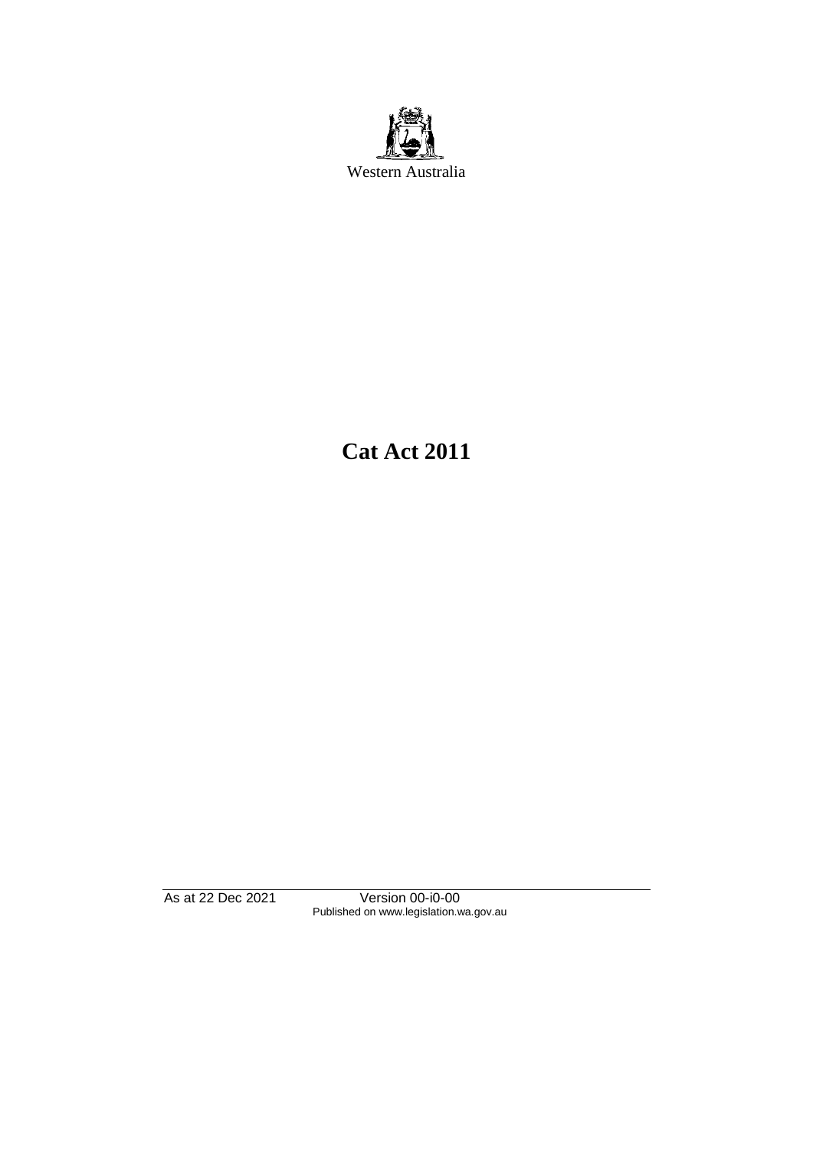

**Cat Act 2011**

As at 22 Dec 2021 Version 00-i0-00 Published on www.legislation.wa.gov.au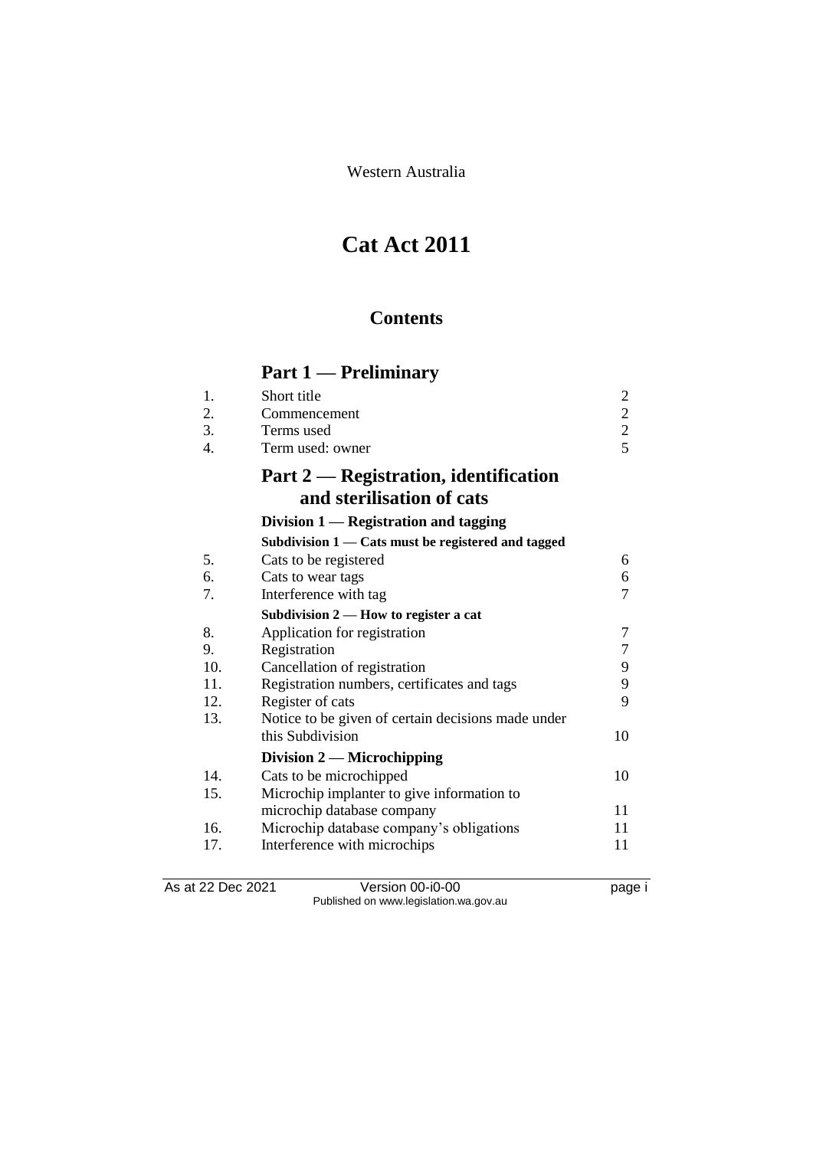Western Australia

# **Cat Act 2011**

# **Contents**

# **Part 1 — Preliminary**

|     | and sterilisation of cats             |               |
|-----|---------------------------------------|---------------|
|     | Part 2 — Registration, identification |               |
|     | Term used: owner                      |               |
| -3. | Terms used                            | 2             |
| 2.  | Commencement                          | $\mathcal{D}$ |
|     | Short title                           |               |

# **Division 1 — Registration and tagging**

|     | Subdivision 1 — Cats must be registered and tagged |    |
|-----|----------------------------------------------------|----|
| 5.  | Cats to be registered                              | 6  |
| 6.  | Cats to wear tags                                  | 6  |
| 7.  | Interference with tag                              | 7  |
|     | Subdivision $2$ — How to register a cat            |    |
| 8.  | Application for registration                       | 7  |
| 9.  | Registration                                       | 7  |
| 10. | Cancellation of registration                       | 9  |
| 11. | Registration numbers, certificates and tags        | 9  |
| 12. | Register of cats                                   | 9  |
| 13. | Notice to be given of certain decisions made under |    |
|     | this Subdivision                                   | 10 |
|     | Division $2$ — Microchipping                       |    |
| 14. | Cats to be microchipped                            | 10 |
| 15. | Microchip implanter to give information to         |    |
|     | microchip database company                         | 11 |
| 16. | Microchip database company's obligations           | 11 |
| 17. | Interference with microchips                       | 11 |
|     |                                                    |    |

As at 22 Dec 2021 Version 00-i0-00 page i Published on www.legislation.wa.gov.au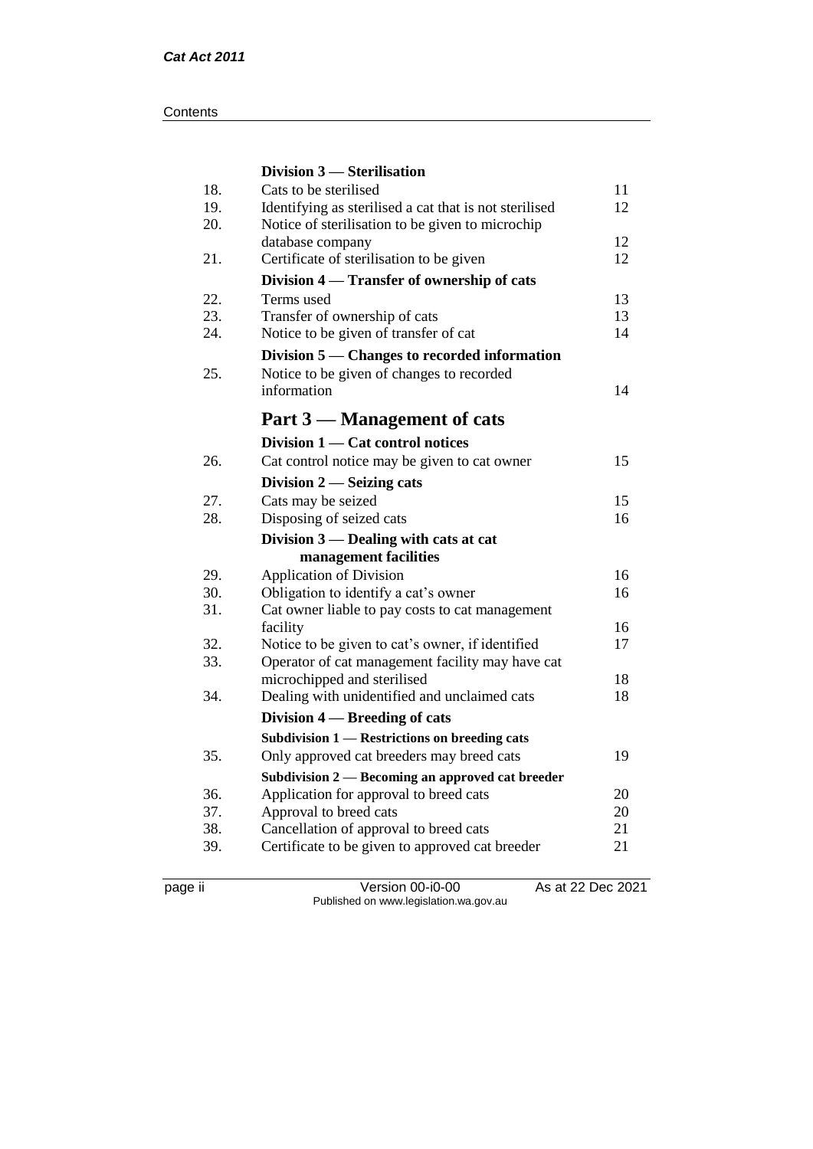#### **Contents**

|     | Division 3 – Sterilisation                             |    |
|-----|--------------------------------------------------------|----|
| 18. | Cats to be sterilised                                  | 11 |
| 19. | Identifying as sterilised a cat that is not sterilised | 12 |
| 20. | Notice of sterilisation to be given to microchip       |    |
|     | database company                                       | 12 |
| 21. | Certificate of sterilisation to be given               | 12 |
|     | Division 4 — Transfer of ownership of cats             |    |
| 22. | Terms used                                             | 13 |
| 23. | Transfer of ownership of cats                          | 13 |
| 24. | Notice to be given of transfer of cat                  | 14 |
|     | Division 5 — Changes to recorded information           |    |
| 25. | Notice to be given of changes to recorded              |    |
|     | information                                            | 14 |
|     | Part 3 — Management of cats                            |    |
|     | Division 1 — Cat control notices                       |    |
| 26. | Cat control notice may be given to cat owner           | 15 |
|     | Division $2$ — Seizing cats                            |    |
| 27. | Cats may be seized                                     | 15 |
| 28. | Disposing of seized cats                               | 16 |
|     | Division $3$ — Dealing with cats at cat                |    |
|     | management facilities                                  |    |
| 29. | <b>Application of Division</b>                         | 16 |
| 30. | Obligation to identify a cat's owner                   | 16 |
| 31. | Cat owner liable to pay costs to cat management        |    |
|     | facility                                               | 16 |
| 32. | Notice to be given to cat's owner, if identified       | 17 |
| 33. | Operator of cat management facility may have cat       |    |
|     | microchipped and sterilised                            | 18 |
| 34. | Dealing with unidentified and unclaimed cats           | 18 |
|     | Division 4 – Breeding of cats                          |    |
|     | Subdivision 1 - Restrictions on breeding cats          |    |
| 35. | Only approved cat breeders may breed cats              | 19 |
|     | Subdivision 2 — Becoming an approved cat breeder       |    |
| 36. | Application for approval to breed cats                 | 20 |
| 37. | Approval to breed cats                                 | 20 |
| 38. | Cancellation of approval to breed cats                 | 21 |
| 39. | Certificate to be given to approved cat breeder        | 21 |
|     |                                                        |    |

page ii Version 00-i0-00 As at 22 Dec 2021 Published on www.legislation.wa.gov.au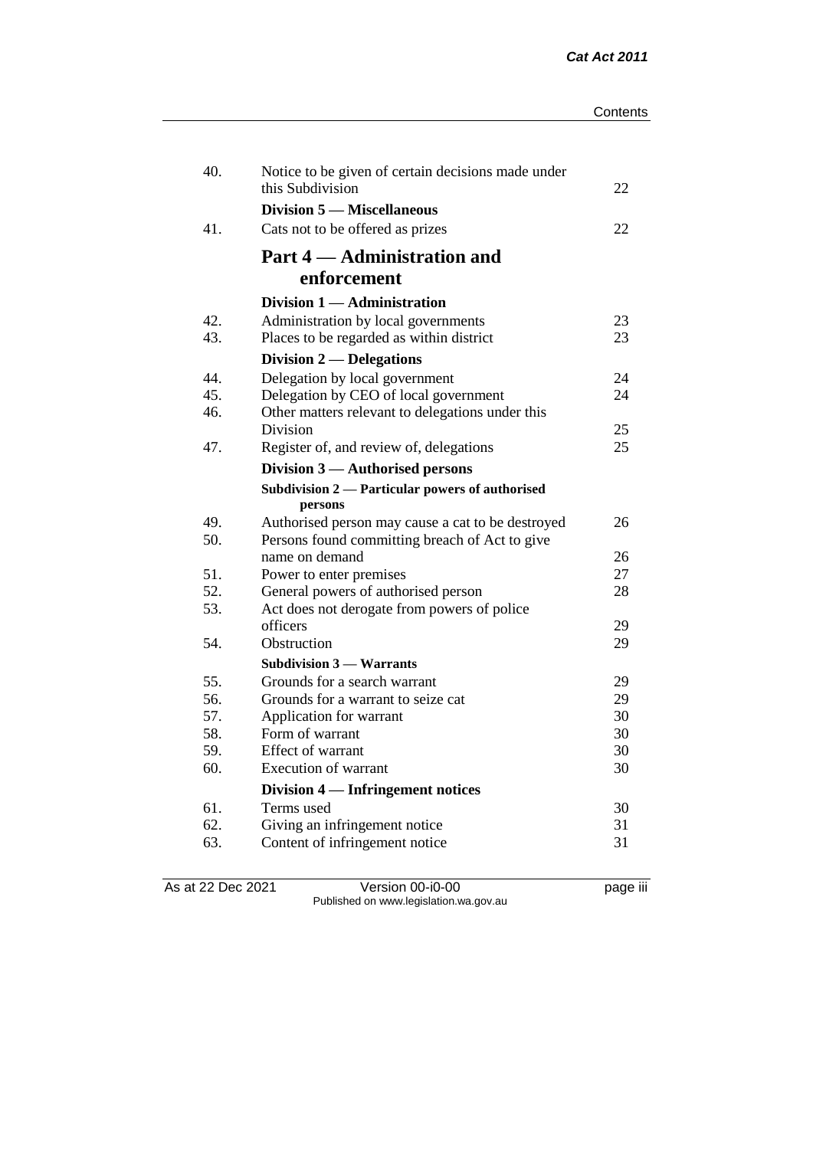| 40. | Notice to be given of certain decisions made under<br>this Subdivision | 22       |
|-----|------------------------------------------------------------------------|----------|
|     | Division 5 — Miscellaneous                                             |          |
| 41. | Cats not to be offered as prizes                                       | 22       |
|     | Part 4 — Administration and                                            |          |
|     | enforcement                                                            |          |
|     | Division 1 — Administration                                            |          |
| 42. | Administration by local governments                                    | 23       |
| 43. | Places to be regarded as within district                               | 23       |
|     | Division 2 — Delegations                                               |          |
| 44. | Delegation by local government                                         | 24       |
| 45. | Delegation by CEO of local government                                  | 24       |
| 46. | Other matters relevant to delegations under this                       |          |
|     | Division                                                               | 25       |
| 47. | Register of, and review of, delegations                                | 25       |
|     | Division 3 — Authorised persons                                        |          |
|     | Subdivision 2 — Particular powers of authorised                        |          |
|     | persons                                                                |          |
| 49. | Authorised person may cause a cat to be destroyed                      | 26       |
| 50. | Persons found committing breach of Act to give                         |          |
| 51. | name on demand                                                         | 26<br>27 |
| 52. | Power to enter premises<br>General powers of authorised person         | 28       |
| 53. | Act does not derogate from powers of police                            |          |
|     | officers                                                               | 29       |
| 54. | Obstruction                                                            | 29       |
|     | <b>Subdivision 3 – Warrants</b>                                        |          |
| 55. | Grounds for a search warrant                                           | 29       |
| 56. | Grounds for a warrant to seize cat                                     | 29       |
| 57. | Application for warrant                                                | 30       |
| 58. | Form of warrant                                                        | 30       |
| 59. | Effect of warrant                                                      | 30       |
| 60. | <b>Execution of warrant</b>                                            | 30       |
|     | Division 4 — Infringement notices                                      |          |
| 61. | Terms used                                                             | 30       |
| 62. | Giving an infringement notice                                          | 31       |
| 63. | Content of infringement notice                                         | 31       |
|     |                                                                        |          |

As at 22 Dec 2021 Version 00-i0-00 page iii Published on www.legislation.wa.gov.au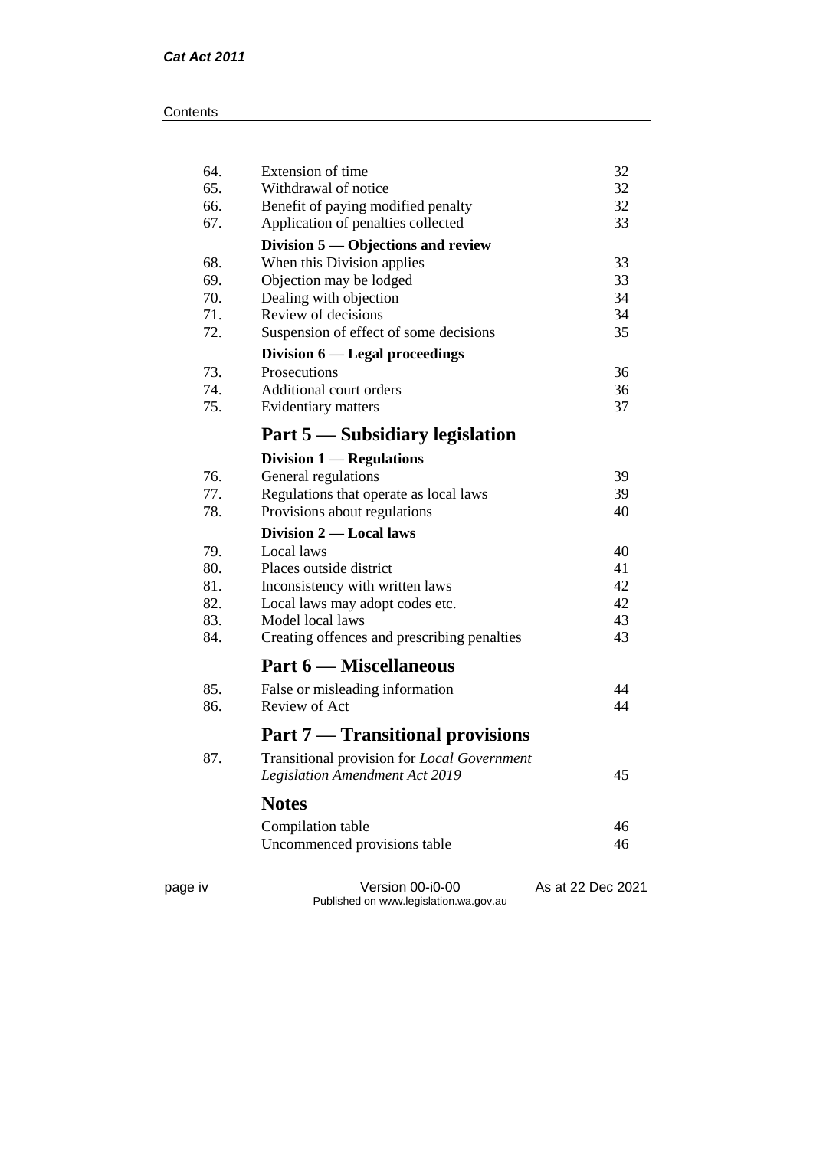#### **Contents**

| 64. | Extension of time                           | 32 |
|-----|---------------------------------------------|----|
| 65. | Withdrawal of notice                        | 32 |
| 66. | Benefit of paying modified penalty          | 32 |
| 67. | Application of penalties collected          | 33 |
|     | Division $5$ — Objections and review        |    |
| 68. | When this Division applies                  | 33 |
| 69. | Objection may be lodged                     | 33 |
| 70. | Dealing with objection                      | 34 |
| 71. | Review of decisions                         | 34 |
| 72. | Suspension of effect of some decisions      | 35 |
|     | Division 6 — Legal proceedings              |    |
| 73. | Prosecutions                                | 36 |
| 74. | Additional court orders                     | 36 |
| 75. | Evidentiary matters                         | 37 |
|     | Part 5 — Subsidiary legislation             |    |
|     | Division $1$ — Regulations                  |    |
| 76. | General regulations                         | 39 |
| 77. | Regulations that operate as local laws      | 39 |
| 78. | Provisions about regulations                | 40 |
|     | Division 2 — Local laws                     |    |
| 79. | Local laws                                  | 40 |
| 80. | Places outside district                     | 41 |
| 81. | Inconsistency with written laws             | 42 |
| 82. | Local laws may adopt codes etc.             | 42 |
| 83. | Model local laws                            | 43 |
| 84. | Creating offences and prescribing penalties | 43 |
|     | Part 6 — Miscellaneous                      |    |
| 85. | False or misleading information             | 44 |
| 86. | Review of Act                               | 44 |
|     | <b>Part 7 — Transitional provisions</b>     |    |
| 87. | Transitional provision for Local Government |    |
|     | <b>Legislation Amendment Act 2019</b>       | 45 |
|     | <b>Notes</b>                                |    |
|     | Compilation table                           | 46 |
|     | Uncommenced provisions table                | 46 |
|     |                                             |    |
|     |                                             |    |

page iv Version 00-i0-00 As at 22 Dec 2021 Published on www.legislation.wa.gov.au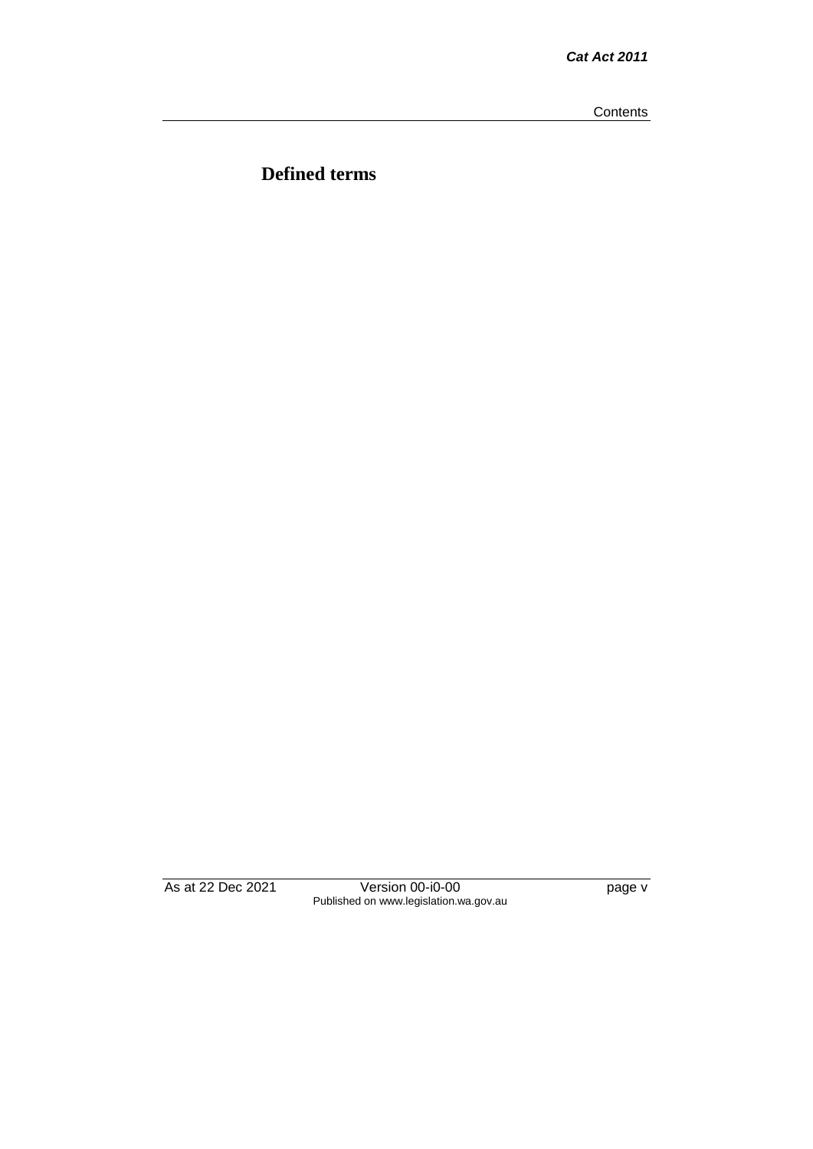**Contents** 

**Defined terms**

As at 22 Dec 2021 Version 00-i0-00 page v Published on www.legislation.wa.gov.au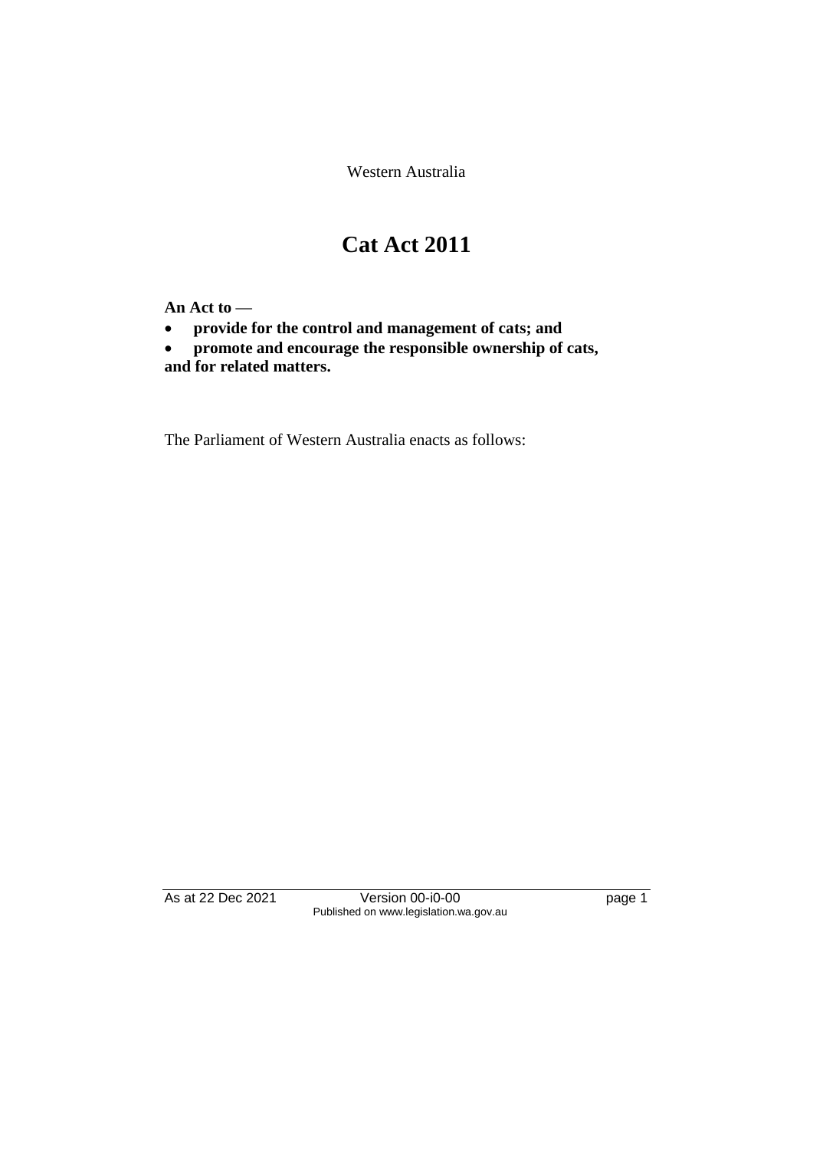Western Australia

# **Cat Act 2011**

**An Act to —**

• **provide for the control and management of cats; and**

• **promote and encourage the responsible ownership of cats, and for related matters.**

The Parliament of Western Australia enacts as follows:

As at 22 Dec 2021 Version 00-i0-00 page 1 Published on www.legislation.wa.gov.au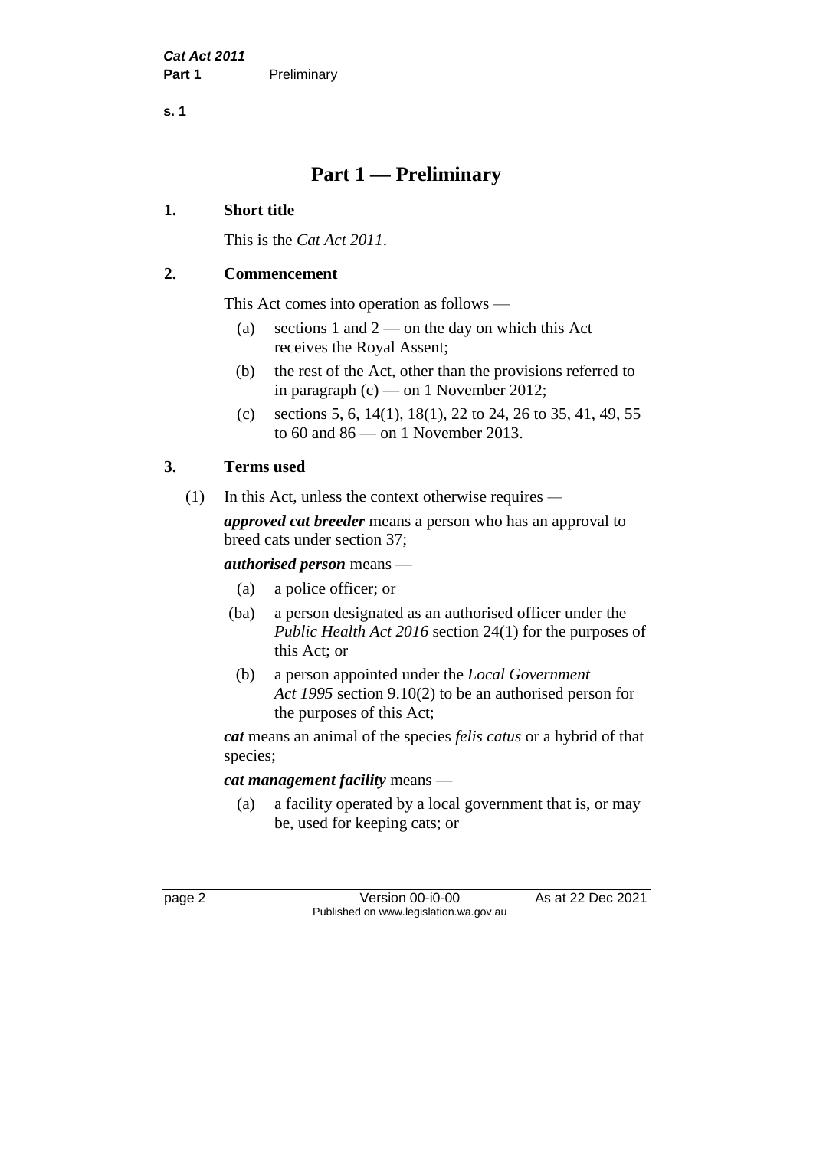**s. 1**

# **Part 1 — Preliminary**

#### **1. Short title**

This is the *Cat Act 2011*.

#### **2. Commencement**

This Act comes into operation as follows —

- (a) sections 1 and  $2$  on the day on which this Act receives the Royal Assent;
- (b) the rest of the Act, other than the provisions referred to in paragraph (c) — on 1 November 2012;
- (c) sections 5, 6, 14(1), 18(1), 22 to 24, 26 to 35, 41, 49, 55 to 60 and 86 — on 1 November 2013.

## **3. Terms used**

(1) In this Act, unless the context otherwise requires *—*

*approved cat breeder* means a person who has an approval to breed cats under section 37;

#### *authorised person* means —

- (a) a police officer; or
- (ba) a person designated as an authorised officer under the *Public Health Act 2016* section 24(1) for the purposes of this Act; or
- (b) a person appointed under the *Local Government Act 1995* section 9.10(2) to be an authorised person for the purposes of this Act;

*cat* means an animal of the species *felis catus* or a hybrid of that species;

*cat management facility* means —

(a) a facility operated by a local government that is, or may be, used for keeping cats; or

page 2 **Version 00-i0-00** As at 22 Dec 2021 Published on www.legislation.wa.gov.au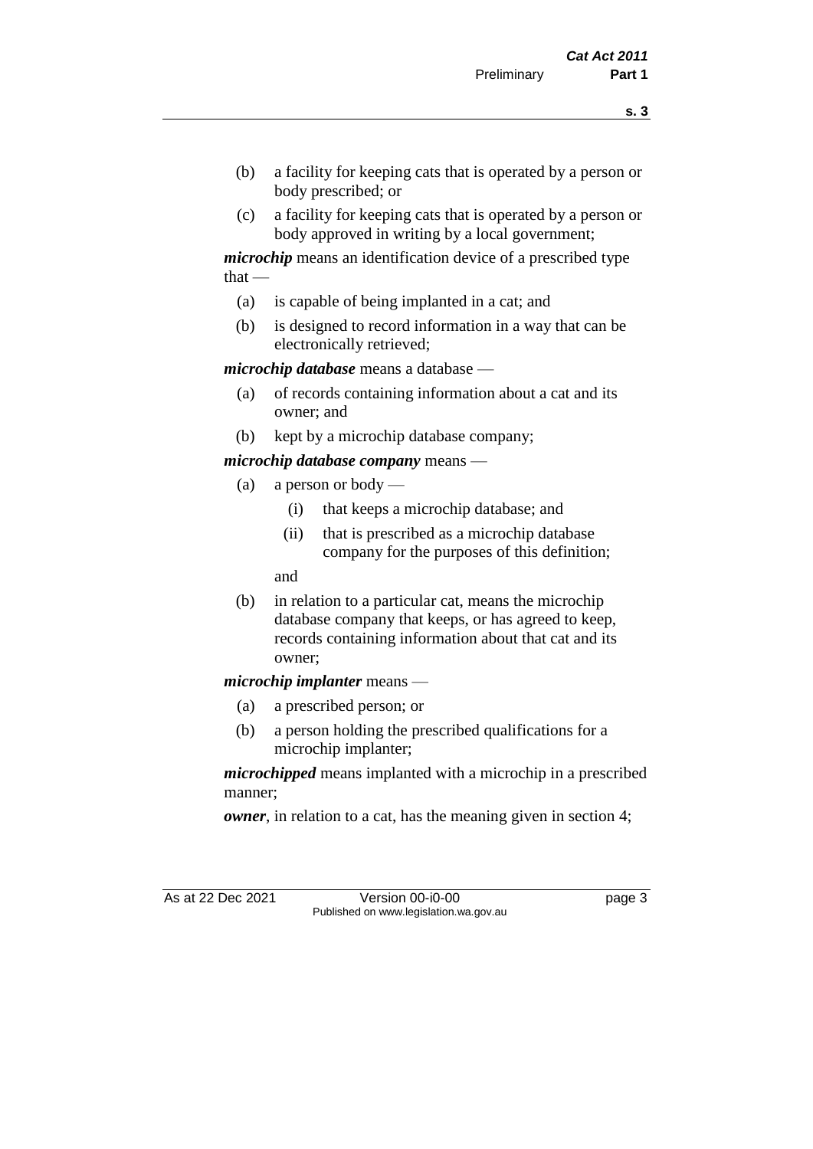- (b) a facility for keeping cats that is operated by a person or body prescribed; or
- (c) a facility for keeping cats that is operated by a person or body approved in writing by a local government;

*microchip* means an identification device of a prescribed type  $that -$ 

- (a) is capable of being implanted in a cat; and
- (b) is designed to record information in a way that can be electronically retrieved;

*microchip database* means a database —

- (a) of records containing information about a cat and its owner; and
- (b) kept by a microchip database company;

*microchip database company* means —

- (a) a person or body
	- (i) that keeps a microchip database; and
	- (ii) that is prescribed as a microchip database company for the purposes of this definition;

and

(b) in relation to a particular cat, means the microchip database company that keeps, or has agreed to keep, records containing information about that cat and its owner;

#### *microchip implanter* means —

- (a) a prescribed person; or
- (b) a person holding the prescribed qualifications for a microchip implanter;

*microchipped* means implanted with a microchip in a prescribed manner;

*owner*, in relation to a cat, has the meaning given in section 4;

As at 22 Dec 2021 Version 00-i0-00 Page 3 Published on www.legislation.wa.gov.au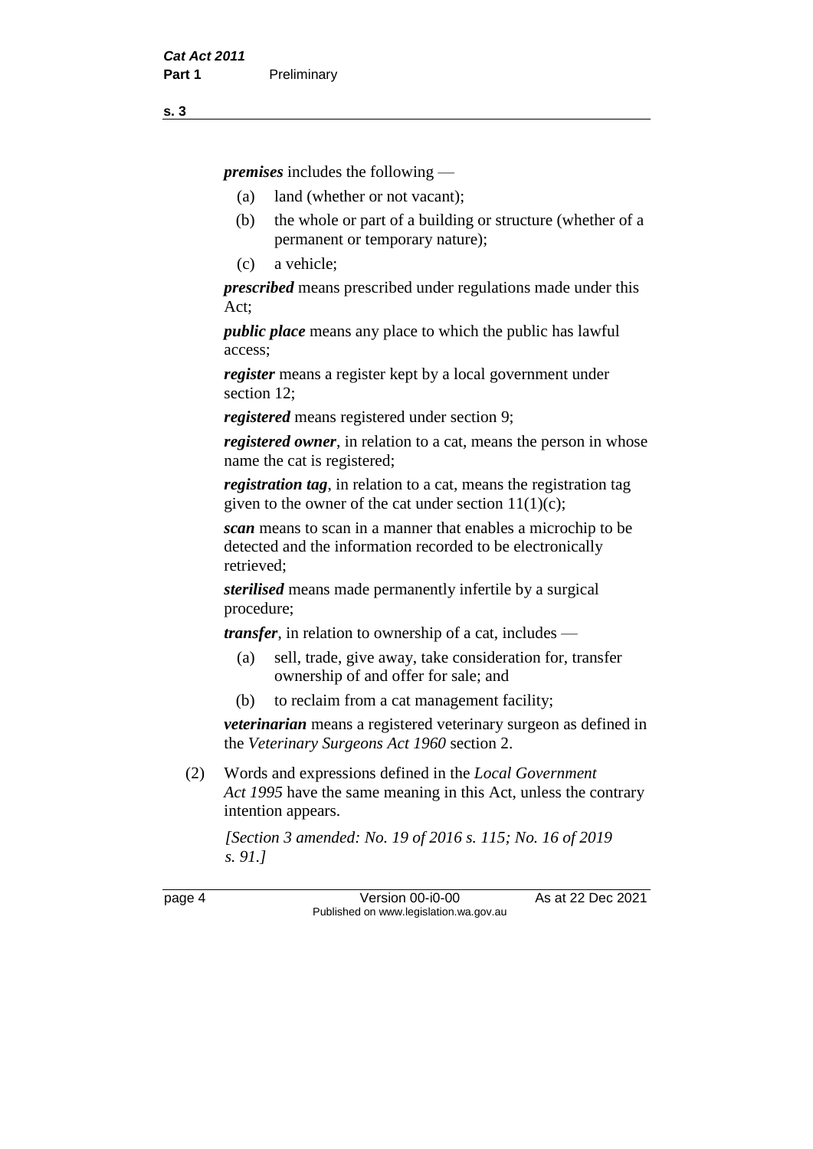*premises* includes the following —

- (a) land (whether or not vacant);
- (b) the whole or part of a building or structure (whether of a permanent or temporary nature);
- (c) a vehicle;

*prescribed* means prescribed under regulations made under this Act;

*public place* means any place to which the public has lawful access;

*register* means a register kept by a local government under section 12;

*registered* means registered under section 9;

*registered owner*, in relation to a cat, means the person in whose name the cat is registered;

*registration tag*, in relation to a cat, means the registration tag given to the owner of the cat under section  $11(1)(c)$ ;

*scan* means to scan in a manner that enables a microchip to be detected and the information recorded to be electronically retrieved;

*sterilised* means made permanently infertile by a surgical procedure;

*transfer*, in relation to ownership of a cat, includes —

- (a) sell, trade, give away, take consideration for, transfer ownership of and offer for sale; and
- (b) to reclaim from a cat management facility;

*veterinarian* means a registered veterinary surgeon as defined in the *Veterinary Surgeons Act 1960* section 2.

(2) Words and expressions defined in the *Local Government Act 1995* have the same meaning in this Act, unless the contrary intention appears.

*[Section 3 amended: No. 19 of 2016 s. 115; No. 16 of 2019 s. 91.]*

page 4 Version 00-i0-00 As at 22 Dec 2021 Published on www.legislation.wa.gov.au

**s. 3**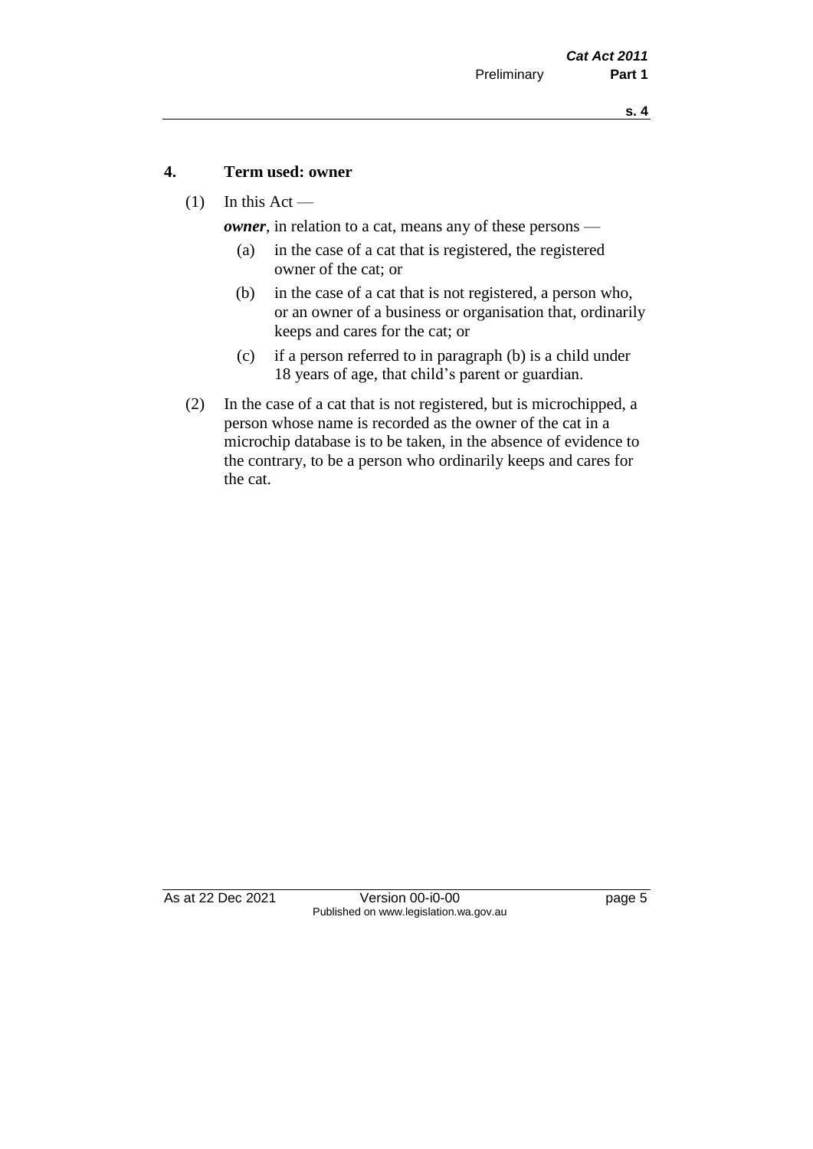#### **4. Term used: owner**

(1) In this Act —

*owner*, in relation to a cat, means any of these persons —

- (a) in the case of a cat that is registered, the registered owner of the cat; or
- (b) in the case of a cat that is not registered, a person who, or an owner of a business or organisation that, ordinarily keeps and cares for the cat; or
- (c) if a person referred to in paragraph (b) is a child under 18 years of age, that child's parent or guardian.
- (2) In the case of a cat that is not registered, but is microchipped, a person whose name is recorded as the owner of the cat in a microchip database is to be taken, in the absence of evidence to the contrary, to be a person who ordinarily keeps and cares for the cat.

As at 22 Dec 2021 Version 00-i0-00 page 5 Published on www.legislation.wa.gov.au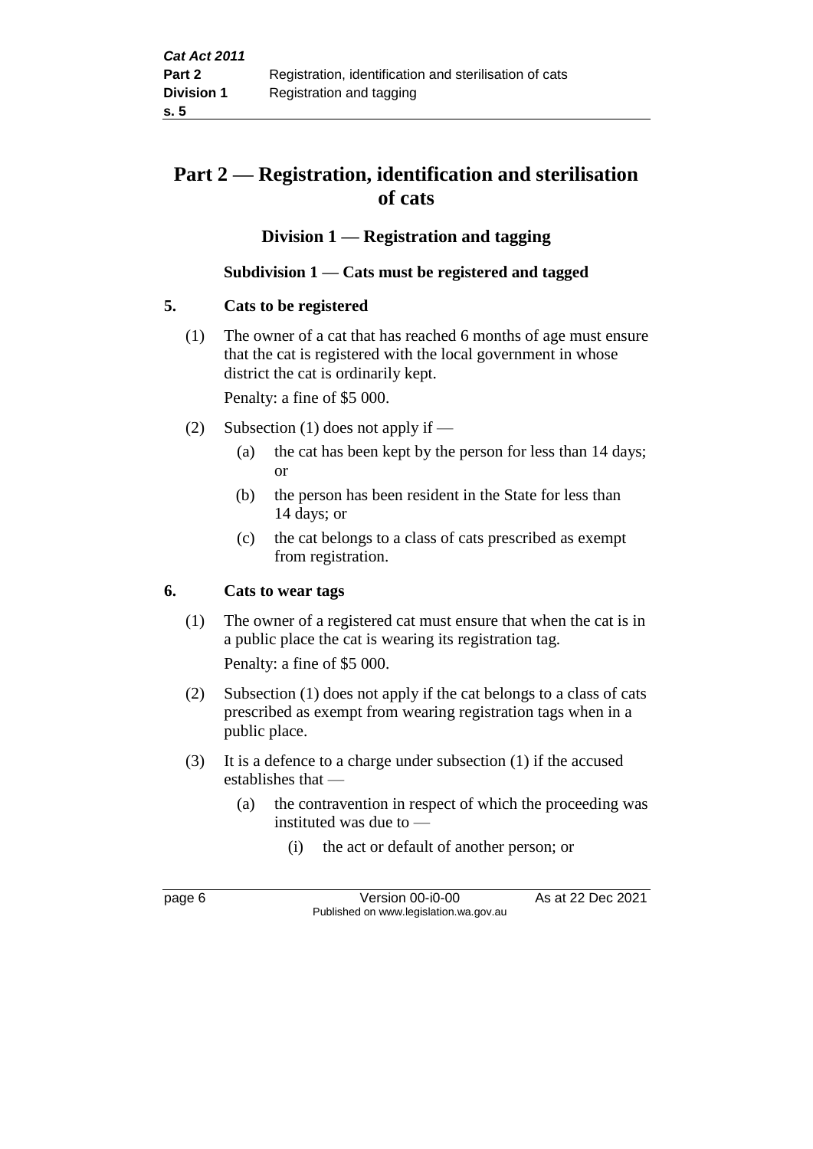# **Part 2 — Registration, identification and sterilisation of cats**

# **Division 1 — Registration and tagging**

#### **Subdivision 1 — Cats must be registered and tagged**

#### **5. Cats to be registered**

(1) The owner of a cat that has reached 6 months of age must ensure that the cat is registered with the local government in whose district the cat is ordinarily kept.

Penalty: a fine of \$5 000.

- (2) Subsection (1) does not apply if
	- (a) the cat has been kept by the person for less than 14 days; or
	- (b) the person has been resident in the State for less than 14 days; or
	- (c) the cat belongs to a class of cats prescribed as exempt from registration.

## **6. Cats to wear tags**

- (1) The owner of a registered cat must ensure that when the cat is in a public place the cat is wearing its registration tag. Penalty: a fine of \$5 000.
- (2) Subsection (1) does not apply if the cat belongs to a class of cats prescribed as exempt from wearing registration tags when in a public place.
- (3) It is a defence to a charge under subsection (1) if the accused establishes that —
	- (a) the contravention in respect of which the proceeding was instituted was due to —
		- (i) the act or default of another person; or

page 6 Version 00-i0-00 As at 22 Dec 2021 Published on www.legislation.wa.gov.au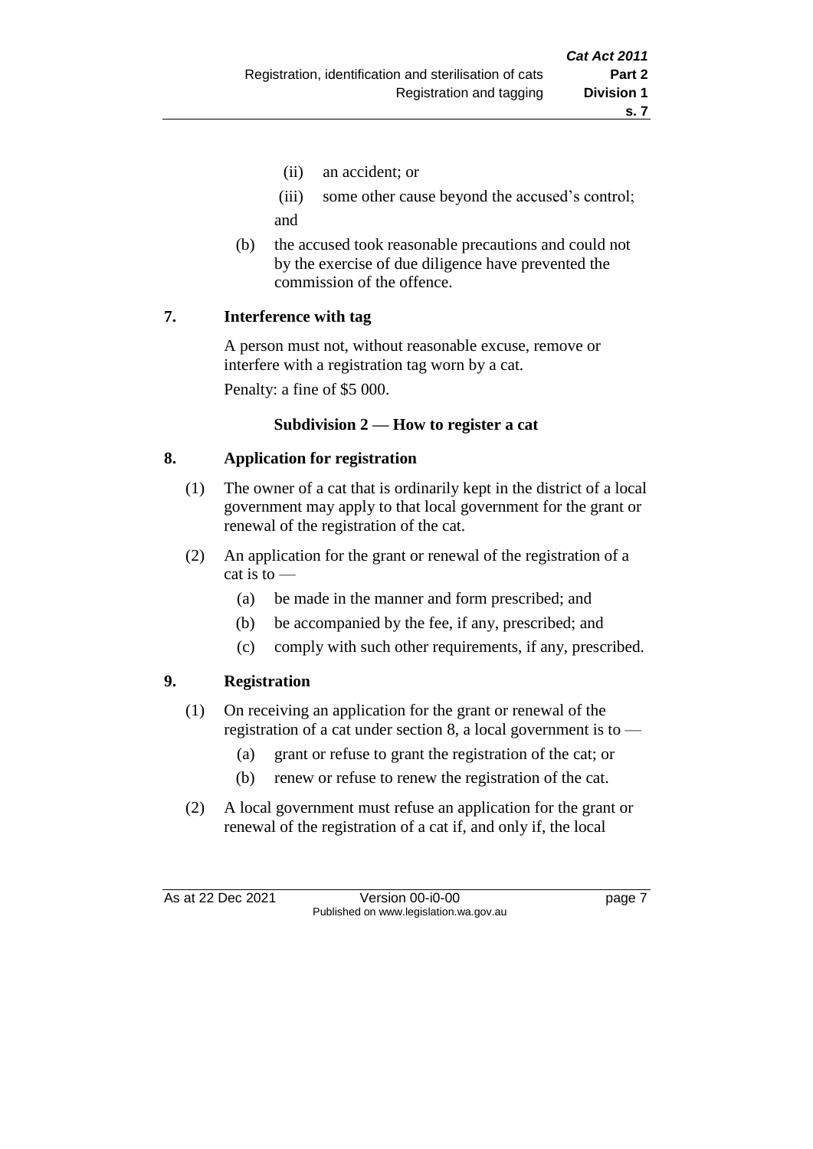- (ii) an accident; or
- (iii) some other cause beyond the accused's control; and
- (b) the accused took reasonable precautions and could not by the exercise of due diligence have prevented the commission of the offence.

#### **7. Interference with tag**

A person must not, without reasonable excuse, remove or interfere with a registration tag worn by a cat.

Penalty: a fine of \$5 000.

#### **Subdivision 2 — How to register a cat**

## **8. Application for registration**

- (1) The owner of a cat that is ordinarily kept in the district of a local government may apply to that local government for the grant or renewal of the registration of the cat.
- (2) An application for the grant or renewal of the registration of a cat is to —
	- (a) be made in the manner and form prescribed; and
	- (b) be accompanied by the fee, if any, prescribed; and
	- (c) comply with such other requirements, if any, prescribed.

# **9. Registration**

- (1) On receiving an application for the grant or renewal of the registration of a cat under section 8, a local government is to —
	- (a) grant or refuse to grant the registration of the cat; or
	- (b) renew or refuse to renew the registration of the cat.
- (2) A local government must refuse an application for the grant or renewal of the registration of a cat if, and only if, the local

As at 22 Dec 2021 Version 00-i0-00 Published on www.legislation.wa.gov.au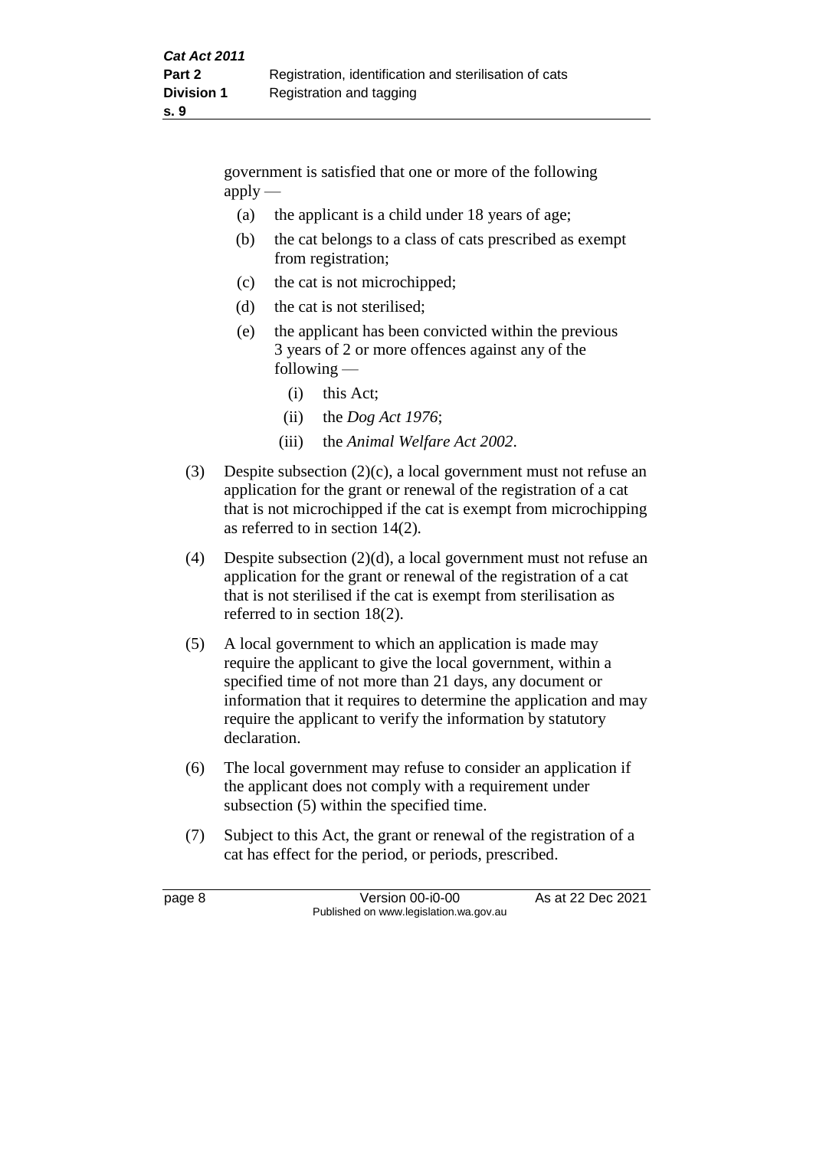government is satisfied that one or more of the following  $apply$  —

- (a) the applicant is a child under 18 years of age;
- (b) the cat belongs to a class of cats prescribed as exempt from registration;
- (c) the cat is not microchipped;
- (d) the cat is not sterilised;
- (e) the applicant has been convicted within the previous 3 years of 2 or more offences against any of the following —
	- (i) this Act;
	- (ii) the *Dog Act 1976*;
	- (iii) the *Animal Welfare Act 2002*.
- (3) Despite subsection (2)(c), a local government must not refuse an application for the grant or renewal of the registration of a cat that is not microchipped if the cat is exempt from microchipping as referred to in section 14(2).
- (4) Despite subsection (2)(d), a local government must not refuse an application for the grant or renewal of the registration of a cat that is not sterilised if the cat is exempt from sterilisation as referred to in section 18(2).
- (5) A local government to which an application is made may require the applicant to give the local government, within a specified time of not more than 21 days, any document or information that it requires to determine the application and may require the applicant to verify the information by statutory declaration.
- (6) The local government may refuse to consider an application if the applicant does not comply with a requirement under subsection (5) within the specified time.
- (7) Subject to this Act, the grant or renewal of the registration of a cat has effect for the period, or periods, prescribed.

page 8 Version 00-i0-00 As at 22 Dec 2021 Published on www.legislation.wa.gov.au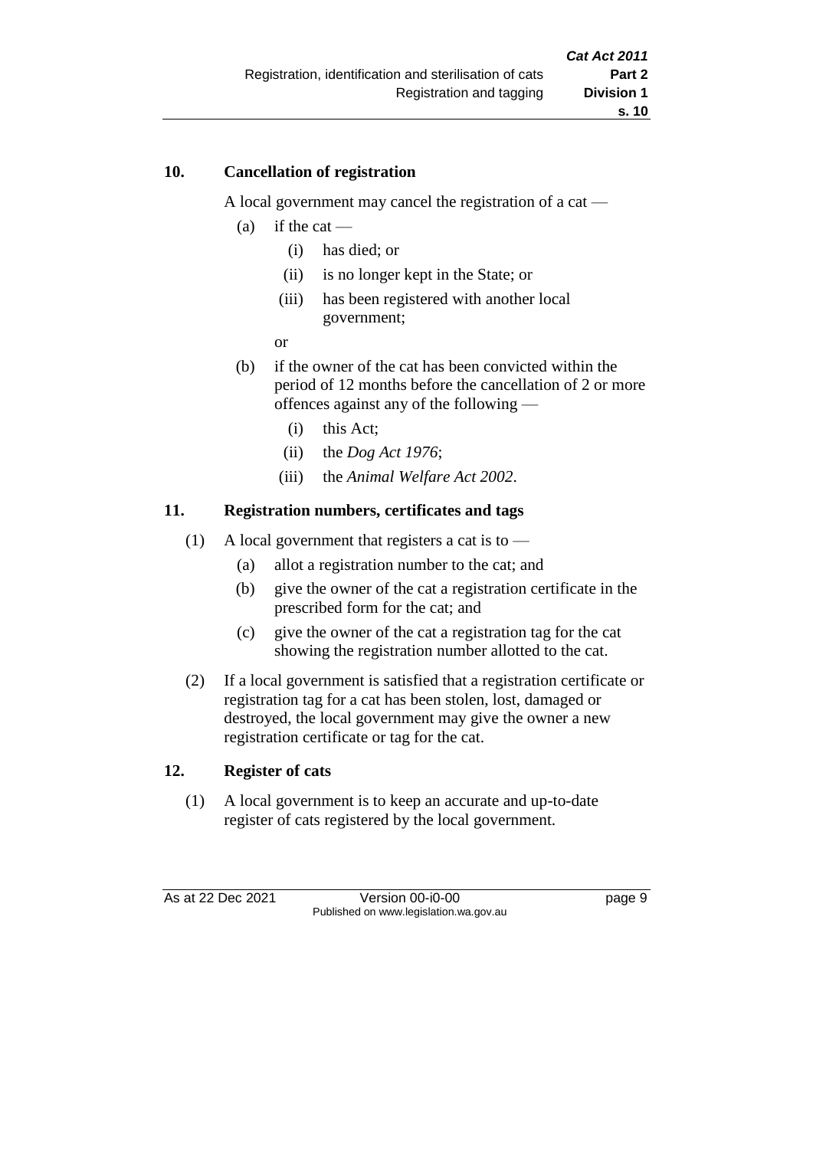#### **10. Cancellation of registration**

A local government may cancel the registration of a cat —

- (a) if the cat
	- (i) has died; or
	- (ii) is no longer kept in the State; or
	- (iii) has been registered with another local government;
	- or
- (b) if the owner of the cat has been convicted within the period of 12 months before the cancellation of 2 or more offences against any of the following —
	- (i) this Act;
	- (ii) the *Dog Act 1976*;
	- (iii) the *Animal Welfare Act 2002*.

#### **11. Registration numbers, certificates and tags**

- (1) A local government that registers a cat is to  $-$ 
	- (a) allot a registration number to the cat; and
	- (b) give the owner of the cat a registration certificate in the prescribed form for the cat; and
	- (c) give the owner of the cat a registration tag for the cat showing the registration number allotted to the cat.
- (2) If a local government is satisfied that a registration certificate or registration tag for a cat has been stolen, lost, damaged or destroyed, the local government may give the owner a new registration certificate or tag for the cat.

#### **12. Register of cats**

(1) A local government is to keep an accurate and up-to-date register of cats registered by the local government.

As at 22 Dec 2021 Version 00-i0-00 Version 00-i0-00 Page 9 Published on www.legislation.wa.gov.au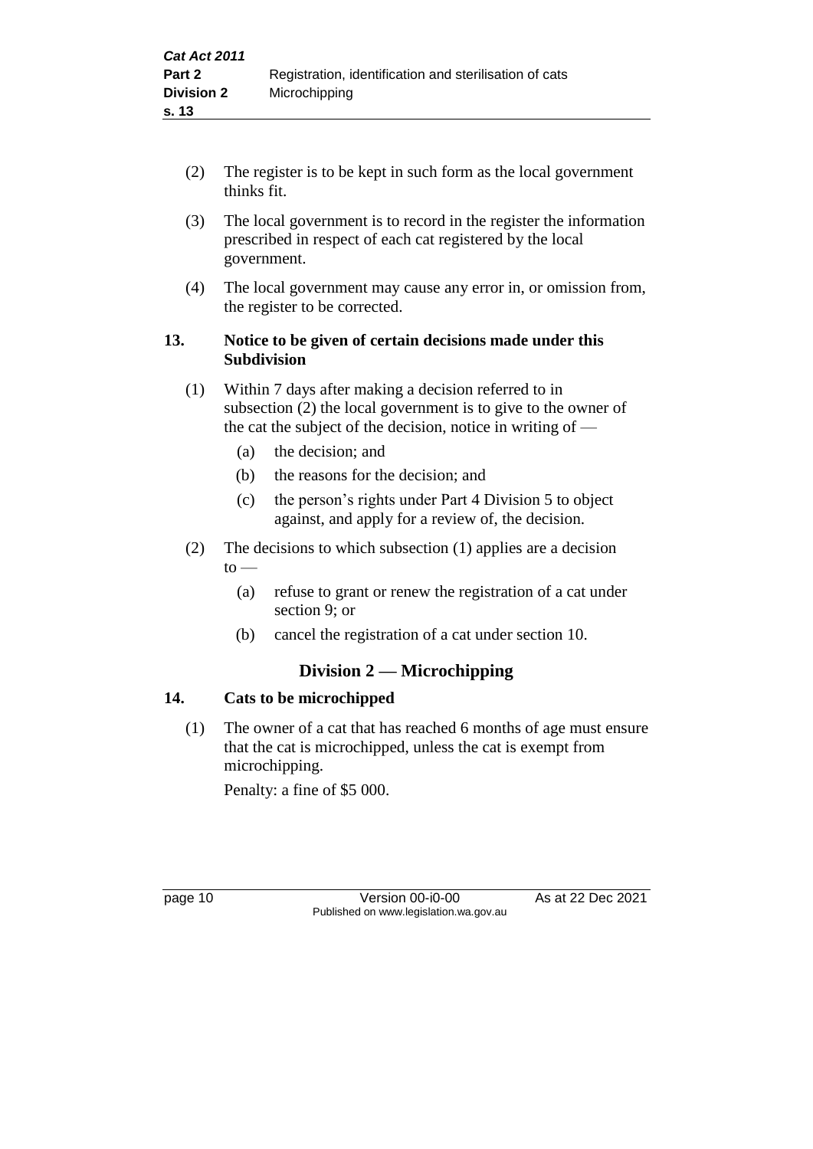- (2) The register is to be kept in such form as the local government thinks fit.
- (3) The local government is to record in the register the information prescribed in respect of each cat registered by the local government.
- (4) The local government may cause any error in, or omission from, the register to be corrected.

# **13. Notice to be given of certain decisions made under this Subdivision**

- (1) Within 7 days after making a decision referred to in subsection (2) the local government is to give to the owner of the cat the subject of the decision, notice in writing of —
	- (a) the decision; and
	- (b) the reasons for the decision; and
	- (c) the person's rights under Part 4 Division 5 to object against, and apply for a review of, the decision.
- (2) The decisions to which subsection (1) applies are a decision to —
	- (a) refuse to grant or renew the registration of a cat under section 9; or
	- (b) cancel the registration of a cat under section 10.

# **Division 2 — Microchipping**

## **14. Cats to be microchipped**

(1) The owner of a cat that has reached 6 months of age must ensure that the cat is microchipped, unless the cat is exempt from microchipping.

Penalty: a fine of \$5 000.

page 10 **Version 00-i0-00** As at 22 Dec 2021 Published on www.legislation.wa.gov.au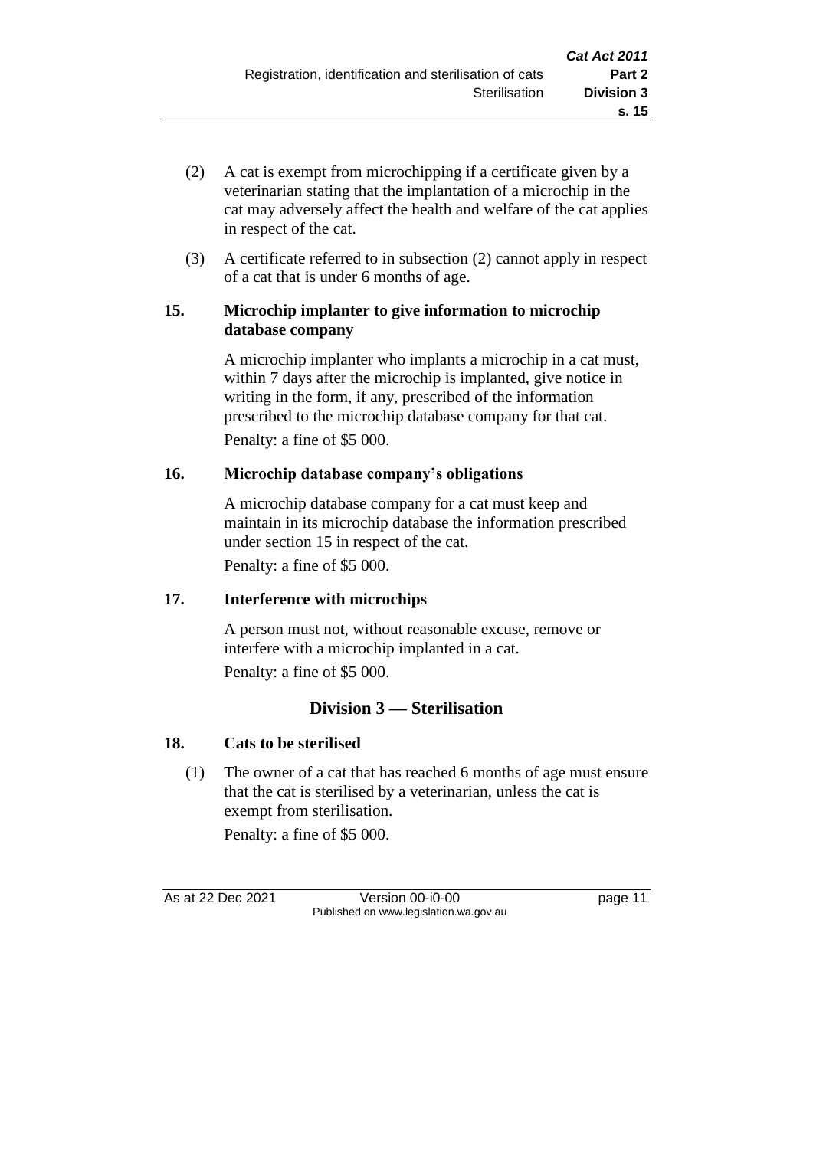- (2) A cat is exempt from microchipping if a certificate given by a veterinarian stating that the implantation of a microchip in the cat may adversely affect the health and welfare of the cat applies in respect of the cat.
- (3) A certificate referred to in subsection (2) cannot apply in respect of a cat that is under 6 months of age.

#### **15. Microchip implanter to give information to microchip database company**

A microchip implanter who implants a microchip in a cat must, within 7 days after the microchip is implanted, give notice in writing in the form, if any, prescribed of the information prescribed to the microchip database company for that cat. Penalty: a fine of \$5 000.

# **16. Microchip database company's obligations**

A microchip database company for a cat must keep and maintain in its microchip database the information prescribed under section 15 in respect of the cat.

Penalty: a fine of \$5 000.

# **17. Interference with microchips**

A person must not, without reasonable excuse, remove or interfere with a microchip implanted in a cat. Penalty: a fine of \$5 000.

# **Division 3 — Sterilisation**

# **18. Cats to be sterilised**

(1) The owner of a cat that has reached 6 months of age must ensure that the cat is sterilised by a veterinarian, unless the cat is exempt from sterilisation.

Penalty: a fine of \$5 000.

As at 22 Dec 2021 Version 00-i0-00 page 11 Published on www.legislation.wa.gov.au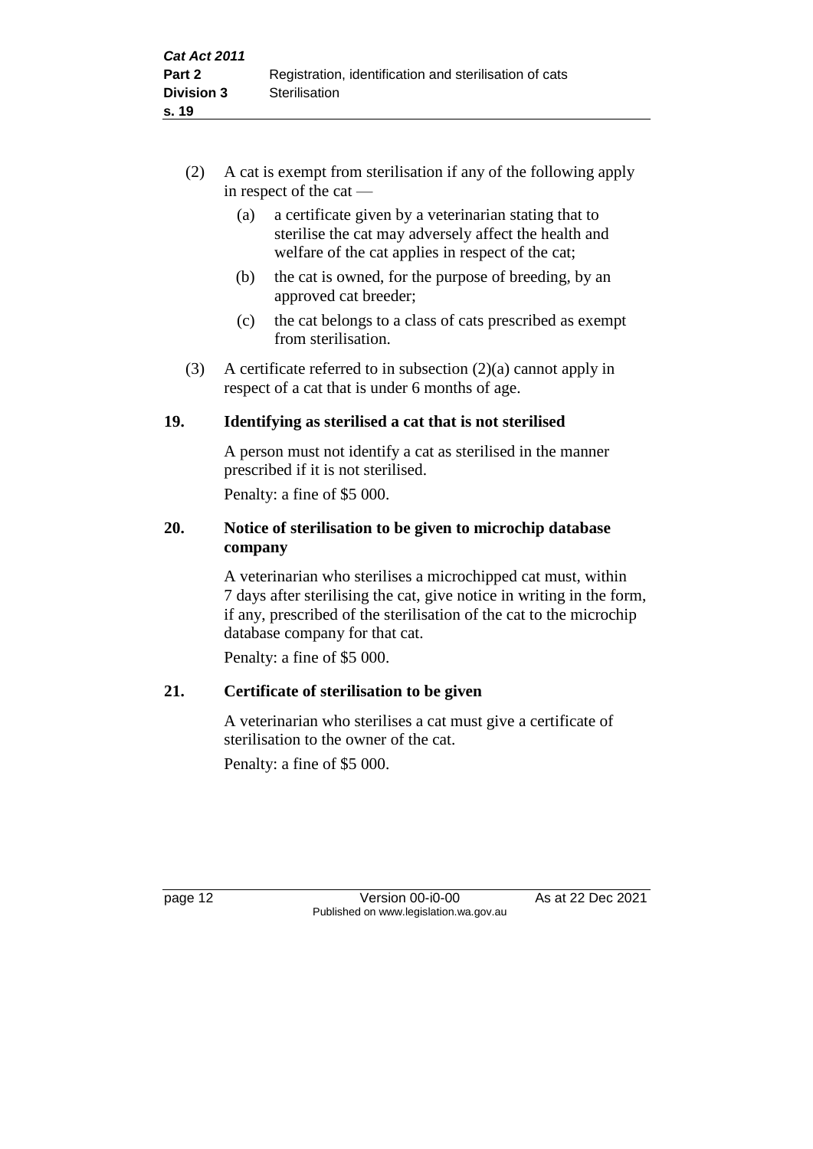- (2) A cat is exempt from sterilisation if any of the following apply in respect of the cat —
	- (a) a certificate given by a veterinarian stating that to sterilise the cat may adversely affect the health and welfare of the cat applies in respect of the cat;
	- (b) the cat is owned, for the purpose of breeding, by an approved cat breeder;
	- (c) the cat belongs to a class of cats prescribed as exempt from sterilisation.
- (3) A certificate referred to in subsection (2)(a) cannot apply in respect of a cat that is under 6 months of age.

# **19. Identifying as sterilised a cat that is not sterilised**

A person must not identify a cat as sterilised in the manner prescribed if it is not sterilised.

Penalty: a fine of \$5 000.

# **20. Notice of sterilisation to be given to microchip database company**

A veterinarian who sterilises a microchipped cat must, within 7 days after sterilising the cat, give notice in writing in the form, if any, prescribed of the sterilisation of the cat to the microchip database company for that cat.

Penalty: a fine of \$5 000.

# **21. Certificate of sterilisation to be given**

A veterinarian who sterilises a cat must give a certificate of sterilisation to the owner of the cat.

Penalty: a fine of \$5 000.

page 12 **Version 00-i0-00** As at 22 Dec 2021 Published on www.legislation.wa.gov.au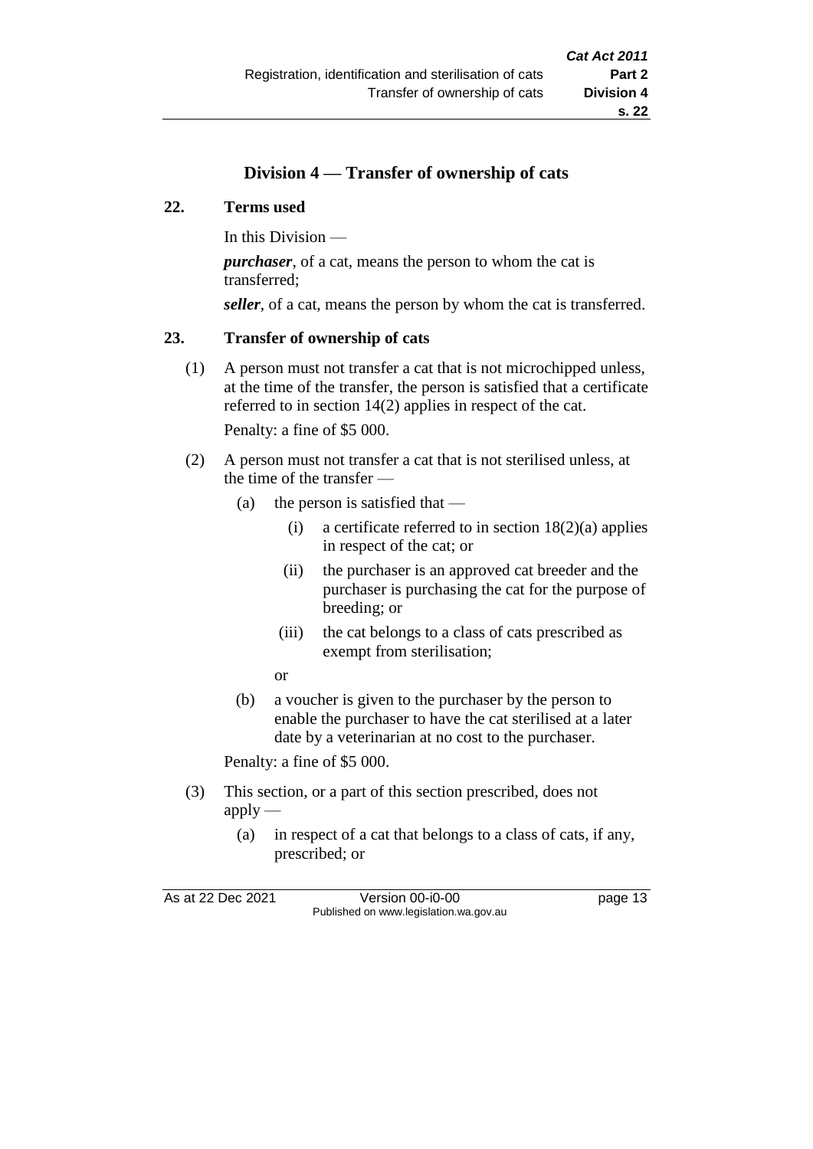# **Division 4 — Transfer of ownership of cats**

#### **22. Terms used**

In this Division —

*purchaser*, of a cat, means the person to whom the cat is transferred;

*seller*, of a cat, means the person by whom the cat is transferred.

## **23. Transfer of ownership of cats**

(1) A person must not transfer a cat that is not microchipped unless, at the time of the transfer, the person is satisfied that a certificate referred to in section 14(2) applies in respect of the cat.

Penalty: a fine of \$5 000.

- (2) A person must not transfer a cat that is not sterilised unless, at the time of the transfer —
	- (a) the person is satisfied that  $-$ 
		- (i) a certificate referred to in section  $18(2)(a)$  applies in respect of the cat; or
		- (ii) the purchaser is an approved cat breeder and the purchaser is purchasing the cat for the purpose of breeding; or
		- (iii) the cat belongs to a class of cats prescribed as exempt from sterilisation;
		- or
	- (b) a voucher is given to the purchaser by the person to enable the purchaser to have the cat sterilised at a later date by a veterinarian at no cost to the purchaser.

Penalty: a fine of \$5 000.

- (3) This section, or a part of this section prescribed, does not apply —
	- (a) in respect of a cat that belongs to a class of cats, if any, prescribed; or

As at 22 Dec 2021 Version 00-i0-00 page 13 Published on www.legislation.wa.gov.au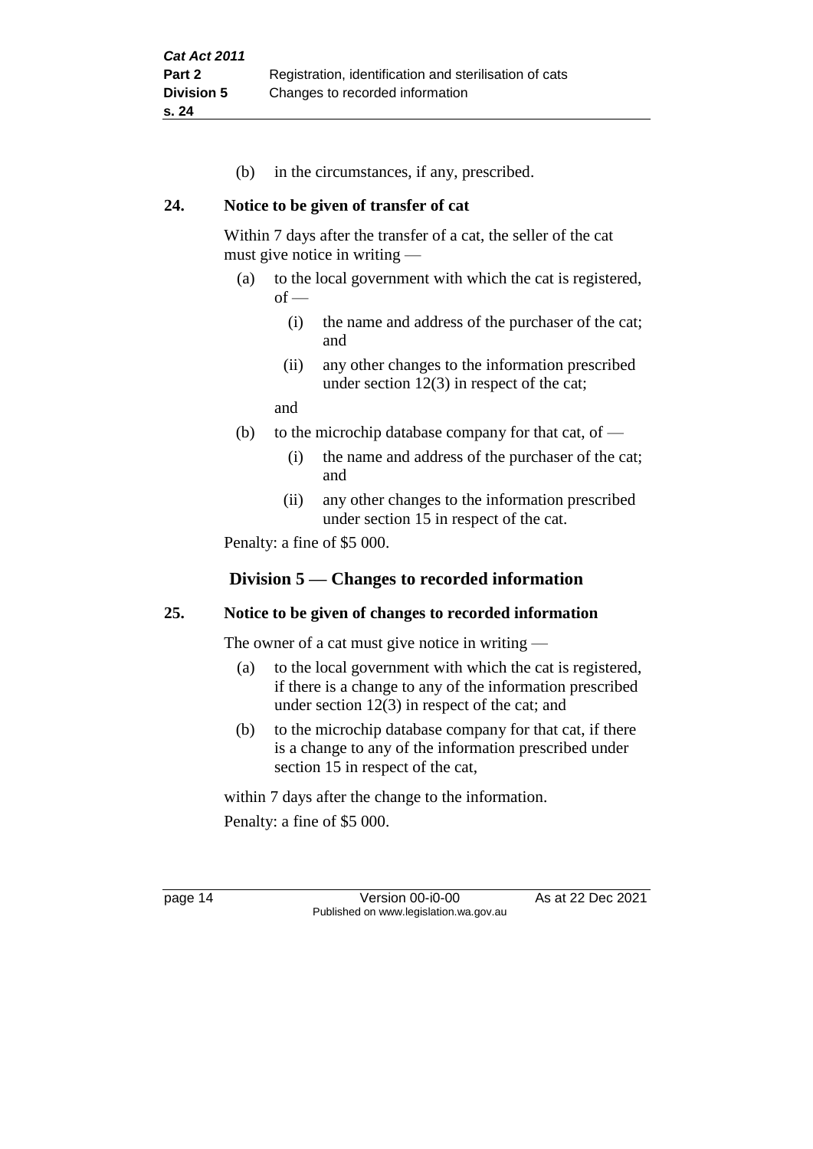(b) in the circumstances, if any, prescribed.

#### **24. Notice to be given of transfer of cat**

Within 7 days after the transfer of a cat, the seller of the cat must give notice in writing —

- (a) to the local government with which the cat is registered,  $of$  —
	- (i) the name and address of the purchaser of the cat; and
	- (ii) any other changes to the information prescribed under section 12(3) in respect of the cat;

and

- (b) to the microchip database company for that cat, of  $-$ 
	- (i) the name and address of the purchaser of the cat; and
	- (ii) any other changes to the information prescribed under section 15 in respect of the cat.

Penalty: a fine of \$5 000.

# **Division 5 — Changes to recorded information**

## **25. Notice to be given of changes to recorded information**

The owner of a cat must give notice in writing —

- (a) to the local government with which the cat is registered, if there is a change to any of the information prescribed under section 12(3) in respect of the cat; and
- (b) to the microchip database company for that cat, if there is a change to any of the information prescribed under section 15 in respect of the cat,

within 7 days after the change to the information. Penalty: a fine of \$5 000.

page 14 Version 00-i0-00 As at 22 Dec 2021 Published on www.legislation.wa.gov.au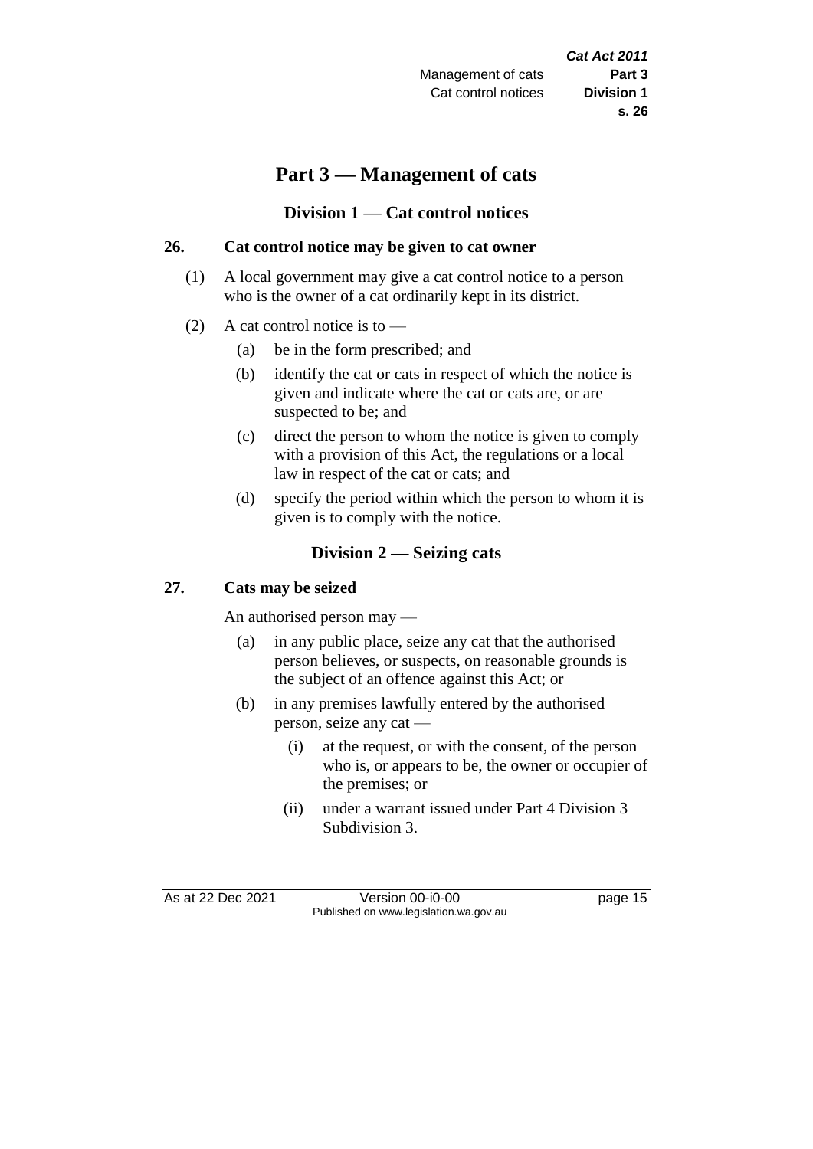# **Part 3 — Management of cats**

#### **Division 1 — Cat control notices**

#### **26. Cat control notice may be given to cat owner**

- (1) A local government may give a cat control notice to a person who is the owner of a cat ordinarily kept in its district.
- (2) A cat control notice is to
	- (a) be in the form prescribed; and
	- (b) identify the cat or cats in respect of which the notice is given and indicate where the cat or cats are, or are suspected to be; and
	- (c) direct the person to whom the notice is given to comply with a provision of this Act, the regulations or a local law in respect of the cat or cats; and
	- (d) specify the period within which the person to whom it is given is to comply with the notice.

## **Division 2 — Seizing cats**

#### **27. Cats may be seized**

An authorised person may —

- (a) in any public place, seize any cat that the authorised person believes, or suspects, on reasonable grounds is the subject of an offence against this Act; or
- (b) in any premises lawfully entered by the authorised person, seize any cat —
	- (i) at the request, or with the consent, of the person who is, or appears to be, the owner or occupier of the premises; or
	- (ii) under a warrant issued under Part 4 Division 3 Subdivision 3.

As at 22 Dec 2021 Version 00-i0-00 Published on www.legislation.wa.gov.au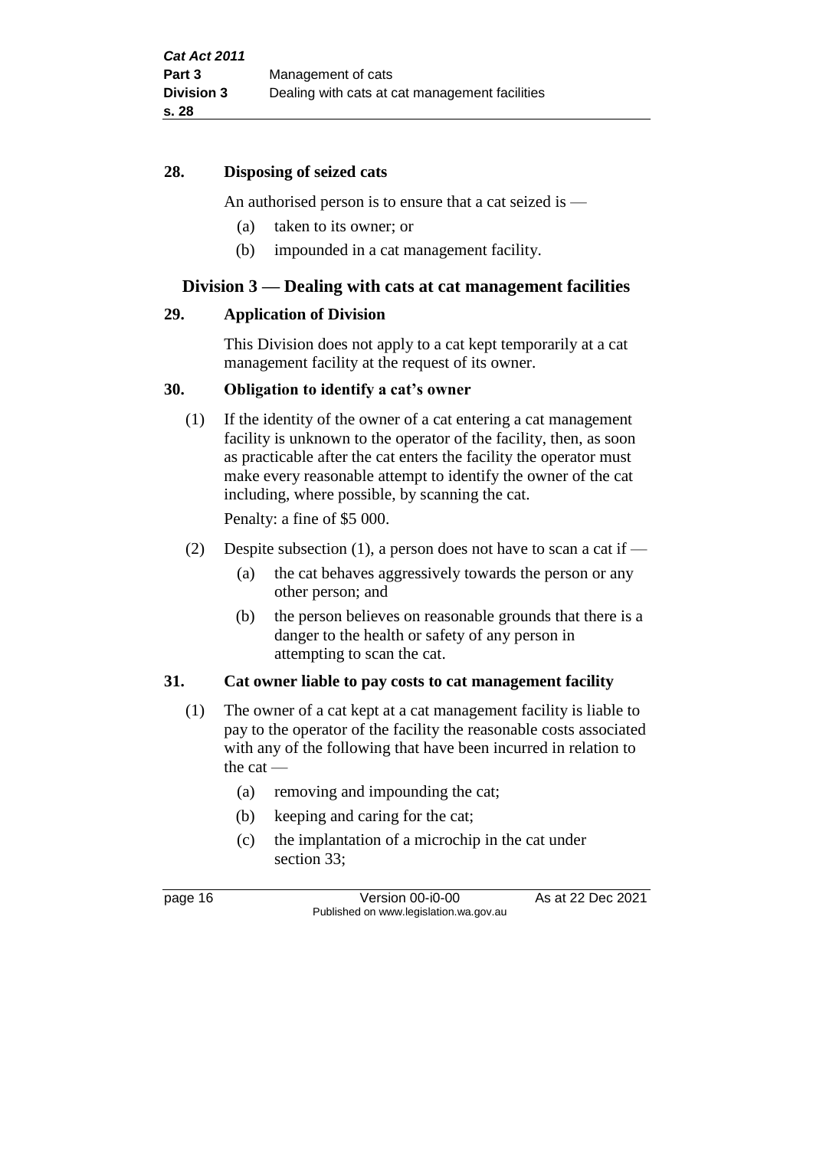#### **28. Disposing of seized cats**

An authorised person is to ensure that a cat seized is —

- (a) taken to its owner; or
- (b) impounded in a cat management facility.

#### **Division 3 — Dealing with cats at cat management facilities**

#### **29. Application of Division**

This Division does not apply to a cat kept temporarily at a cat management facility at the request of its owner.

#### **30. Obligation to identify a cat's owner**

(1) If the identity of the owner of a cat entering a cat management facility is unknown to the operator of the facility, then, as soon as practicable after the cat enters the facility the operator must make every reasonable attempt to identify the owner of the cat including, where possible, by scanning the cat.

Penalty: a fine of \$5 000.

- (2) Despite subsection (1), a person does not have to scan a cat if
	- (a) the cat behaves aggressively towards the person or any other person; and
	- (b) the person believes on reasonable grounds that there is a danger to the health or safety of any person in attempting to scan the cat.

#### **31. Cat owner liable to pay costs to cat management facility**

- (1) The owner of a cat kept at a cat management facility is liable to pay to the operator of the facility the reasonable costs associated with any of the following that have been incurred in relation to the cat —
	- (a) removing and impounding the cat;
	- (b) keeping and caring for the cat;
	- (c) the implantation of a microchip in the cat under section 33;

page 16 Version 00-i0-00 As at 22 Dec 2021 Published on www.legislation.wa.gov.au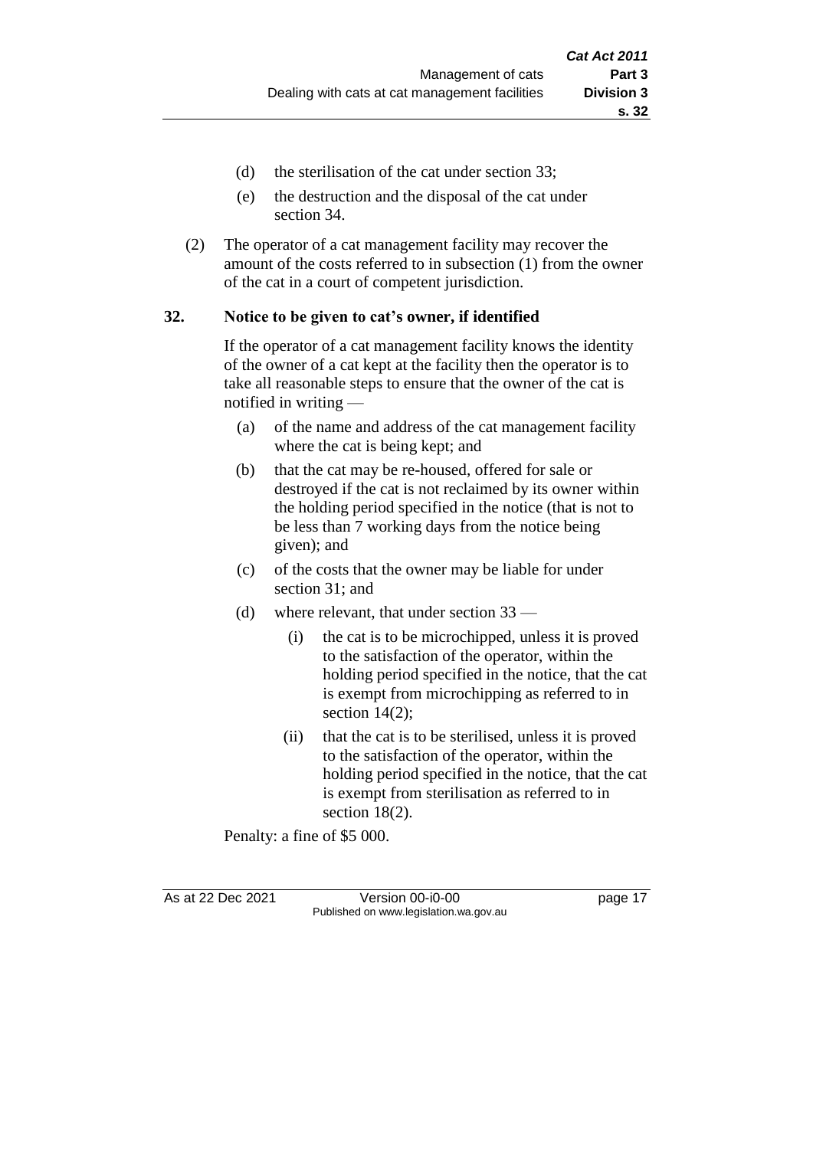- (d) the sterilisation of the cat under section 33;
- (e) the destruction and the disposal of the cat under section 34.
- (2) The operator of a cat management facility may recover the amount of the costs referred to in subsection (1) from the owner of the cat in a court of competent jurisdiction.

#### **32. Notice to be given to cat's owner, if identified**

If the operator of a cat management facility knows the identity of the owner of a cat kept at the facility then the operator is to take all reasonable steps to ensure that the owner of the cat is notified in writing —

- (a) of the name and address of the cat management facility where the cat is being kept; and
- (b) that the cat may be re-housed, offered for sale or destroyed if the cat is not reclaimed by its owner within the holding period specified in the notice (that is not to be less than 7 working days from the notice being given); and
- (c) of the costs that the owner may be liable for under section 31; and
- (d) where relevant, that under section 33
	- (i) the cat is to be microchipped, unless it is proved to the satisfaction of the operator, within the holding period specified in the notice, that the cat is exempt from microchipping as referred to in section 14(2);
	- (ii) that the cat is to be sterilised, unless it is proved to the satisfaction of the operator, within the holding period specified in the notice, that the cat is exempt from sterilisation as referred to in section 18(2).

Penalty: a fine of \$5 000.

As at 22 Dec 2021 Version 00-i0-00 page 17 Published on www.legislation.wa.gov.au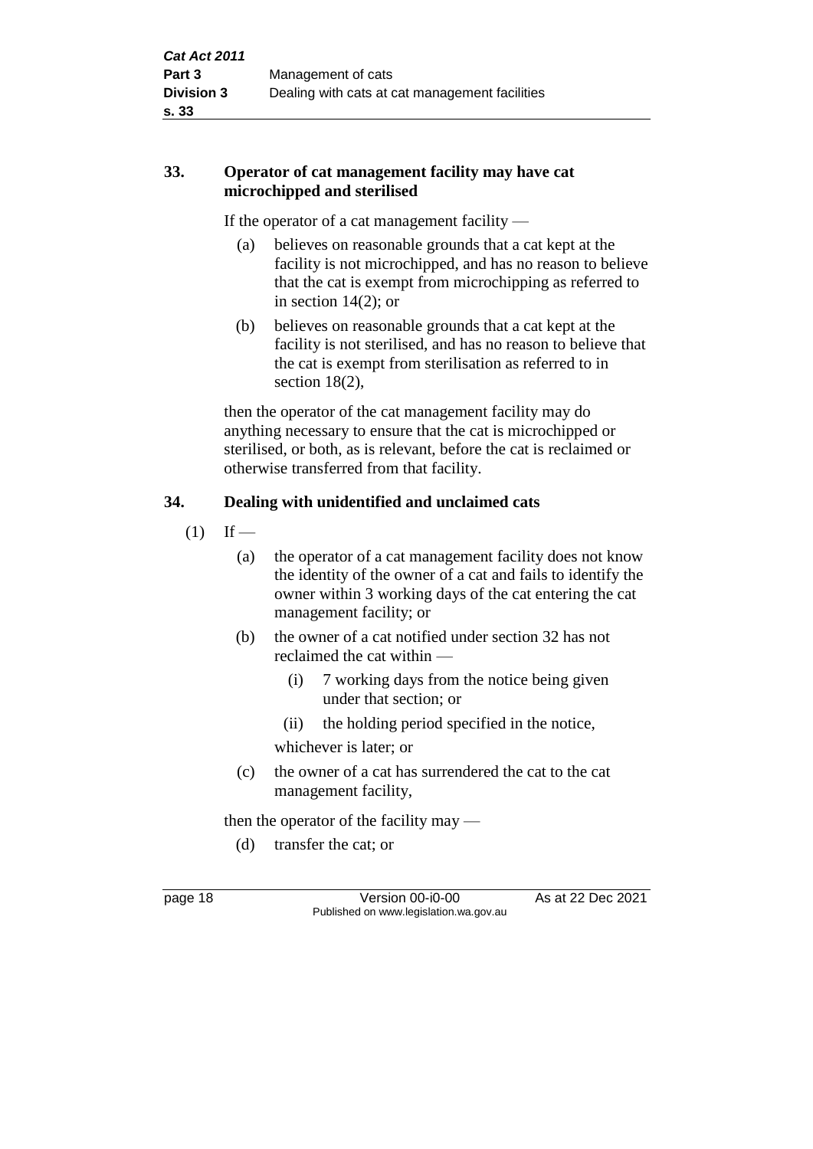# **33. Operator of cat management facility may have cat microchipped and sterilised**

If the operator of a cat management facility —

- (a) believes on reasonable grounds that a cat kept at the facility is not microchipped, and has no reason to believe that the cat is exempt from microchipping as referred to in section  $14(2)$ ; or
- (b) believes on reasonable grounds that a cat kept at the facility is not sterilised, and has no reason to believe that the cat is exempt from sterilisation as referred to in section 18(2),

then the operator of the cat management facility may do anything necessary to ensure that the cat is microchipped or sterilised, or both, as is relevant, before the cat is reclaimed or otherwise transferred from that facility.

# **34. Dealing with unidentified and unclaimed cats**

- $(1)$  If
	- (a) the operator of a cat management facility does not know the identity of the owner of a cat and fails to identify the owner within 3 working days of the cat entering the cat management facility; or
	- (b) the owner of a cat notified under section 32 has not reclaimed the cat within —
		- (i) 7 working days from the notice being given under that section; or
		- (ii) the holding period specified in the notice,

whichever is later; or

(c) the owner of a cat has surrendered the cat to the cat management facility,

then the operator of the facility may —

(d) transfer the cat; or

page 18 **Version 00-i0-00** As at 22 Dec 2021 Published on www.legislation.wa.gov.au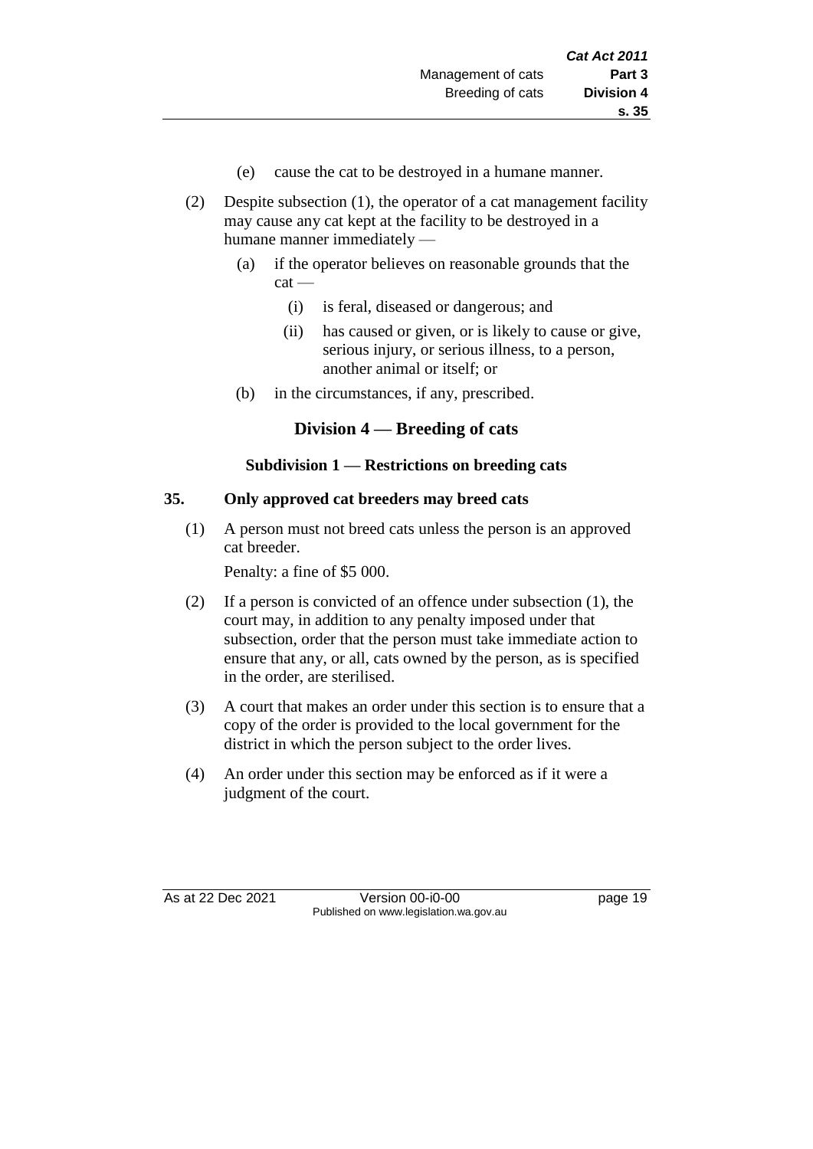- (e) cause the cat to be destroyed in a humane manner.
- (2) Despite subsection (1), the operator of a cat management facility may cause any cat kept at the facility to be destroyed in a humane manner immediately —
	- (a) if the operator believes on reasonable grounds that the cat —
		- (i) is feral, diseased or dangerous; and
		- (ii) has caused or given, or is likely to cause or give, serious injury, or serious illness, to a person, another animal or itself; or
	- (b) in the circumstances, if any, prescribed.

# **Division 4 — Breeding of cats**

## **Subdivision 1 — Restrictions on breeding cats**

## **35. Only approved cat breeders may breed cats**

(1) A person must not breed cats unless the person is an approved cat breeder.

Penalty: a fine of \$5 000.

- (2) If a person is convicted of an offence under subsection (1), the court may, in addition to any penalty imposed under that subsection, order that the person must take immediate action to ensure that any, or all, cats owned by the person, as is specified in the order, are sterilised.
- (3) A court that makes an order under this section is to ensure that a copy of the order is provided to the local government for the district in which the person subject to the order lives.
- (4) An order under this section may be enforced as if it were a judgment of the court.

As at 22 Dec 2021 Version 00-i0-00 Page 19 Published on www.legislation.wa.gov.au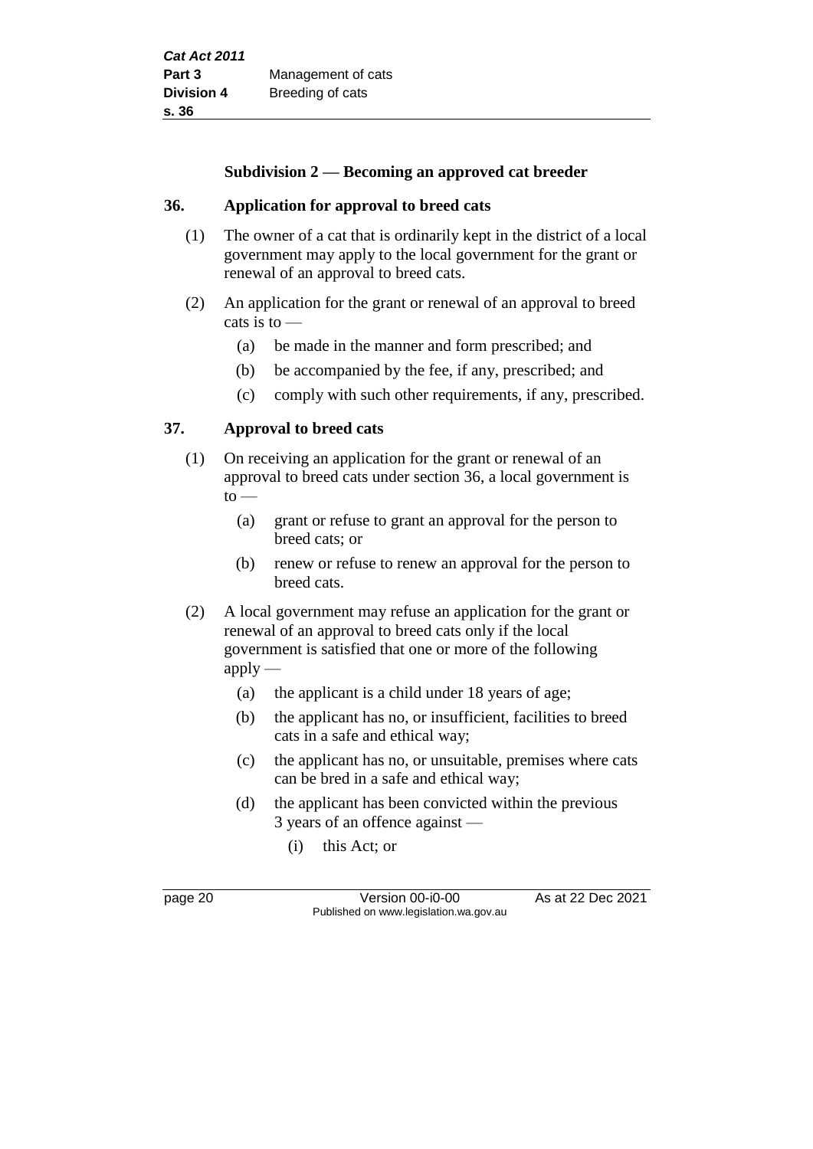#### **Subdivision 2 — Becoming an approved cat breeder**

#### **36. Application for approval to breed cats**

- (1) The owner of a cat that is ordinarily kept in the district of a local government may apply to the local government for the grant or renewal of an approval to breed cats.
- (2) An application for the grant or renewal of an approval to breed cats is to —
	- (a) be made in the manner and form prescribed; and
	- (b) be accompanied by the fee, if any, prescribed; and
	- (c) comply with such other requirements, if any, prescribed.

#### **37. Approval to breed cats**

- (1) On receiving an application for the grant or renewal of an approval to breed cats under section 36, a local government is  $to$ 
	- (a) grant or refuse to grant an approval for the person to breed cats; or
	- (b) renew or refuse to renew an approval for the person to breed cats.
- (2) A local government may refuse an application for the grant or renewal of an approval to breed cats only if the local government is satisfied that one or more of the following  $apply$ —
	- (a) the applicant is a child under 18 years of age;
	- (b) the applicant has no, or insufficient, facilities to breed cats in a safe and ethical way;
	- (c) the applicant has no, or unsuitable, premises where cats can be bred in a safe and ethical way;
	- (d) the applicant has been convicted within the previous 3 years of an offence against —
		- (i) this Act; or

page 20 **Version 00-i0-00** As at 22 Dec 2021 Published on www.legislation.wa.gov.au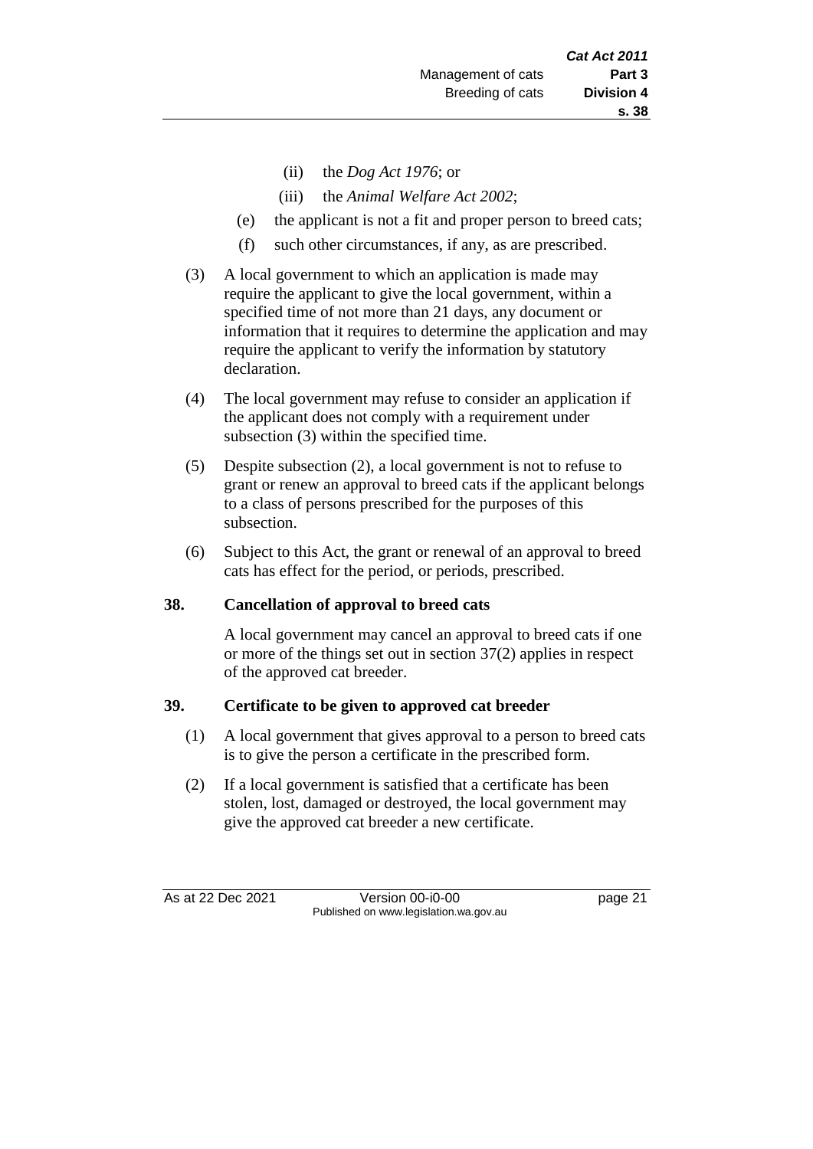- (ii) the *Dog Act 1976*; or
- (iii) the *Animal Welfare Act 2002*;
- (e) the applicant is not a fit and proper person to breed cats;
- (f) such other circumstances, if any, as are prescribed.
- (3) A local government to which an application is made may require the applicant to give the local government, within a specified time of not more than 21 days, any document or information that it requires to determine the application and may require the applicant to verify the information by statutory declaration.
- (4) The local government may refuse to consider an application if the applicant does not comply with a requirement under subsection (3) within the specified time.
- (5) Despite subsection (2), a local government is not to refuse to grant or renew an approval to breed cats if the applicant belongs to a class of persons prescribed for the purposes of this subsection.
- (6) Subject to this Act, the grant or renewal of an approval to breed cats has effect for the period, or periods, prescribed.

## **38. Cancellation of approval to breed cats**

A local government may cancel an approval to breed cats if one or more of the things set out in section 37(2) applies in respect of the approved cat breeder.

#### **39. Certificate to be given to approved cat breeder**

- (1) A local government that gives approval to a person to breed cats is to give the person a certificate in the prescribed form.
- (2) If a local government is satisfied that a certificate has been stolen, lost, damaged or destroyed, the local government may give the approved cat breeder a new certificate.

As at 22 Dec 2021 Version 00-i0-00 page 21 Published on www.legislation.wa.gov.au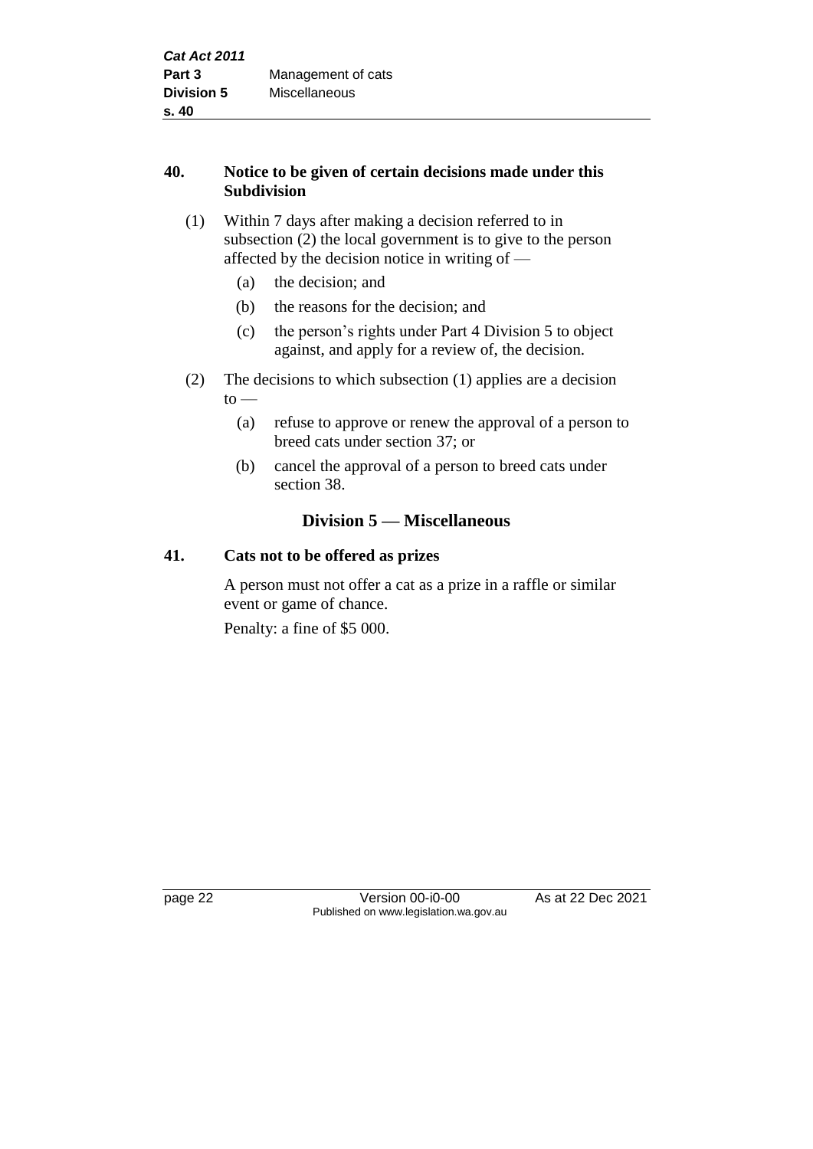# **40. Notice to be given of certain decisions made under this Subdivision**

# (1) Within 7 days after making a decision referred to in subsection (2) the local government is to give to the person affected by the decision notice in writing of —

- (a) the decision; and
- (b) the reasons for the decision; and
- (c) the person's rights under Part 4 Division 5 to object against, and apply for a review of, the decision.
- (2) The decisions to which subsection (1) applies are a decision  $to -$ 
	- (a) refuse to approve or renew the approval of a person to breed cats under section 37; or
	- (b) cancel the approval of a person to breed cats under section 38.

# **Division 5 — Miscellaneous**

# **41. Cats not to be offered as prizes**

A person must not offer a cat as a prize in a raffle or similar event or game of chance.

Penalty: a fine of \$5 000.

page 22 Version 00-i0-00 As at 22 Dec 2021 Published on www.legislation.wa.gov.au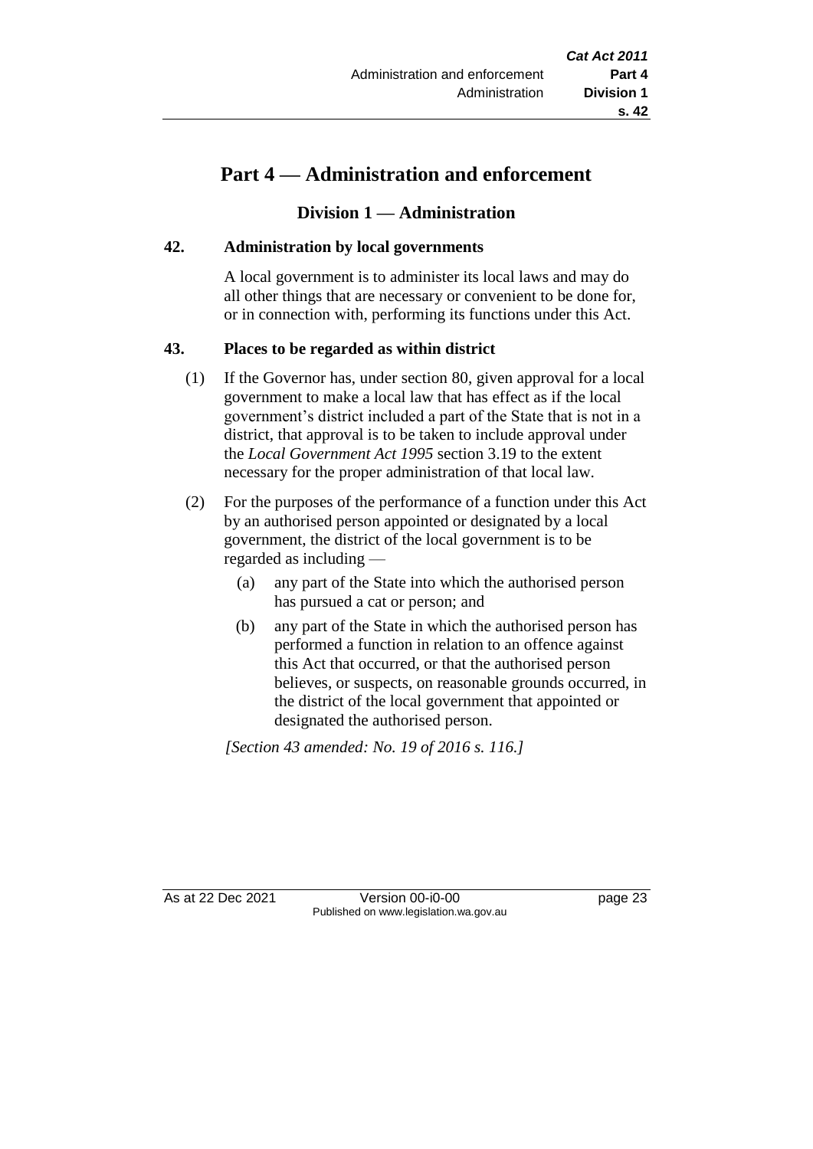# **Part 4 — Administration and enforcement**

# **Division 1 — Administration**

#### **42. Administration by local governments**

A local government is to administer its local laws and may do all other things that are necessary or convenient to be done for, or in connection with, performing its functions under this Act.

## **43. Places to be regarded as within district**

- (1) If the Governor has, under section 80, given approval for a local government to make a local law that has effect as if the local government's district included a part of the State that is not in a district, that approval is to be taken to include approval under the *Local Government Act 1995* section 3.19 to the extent necessary for the proper administration of that local law.
- (2) For the purposes of the performance of a function under this Act by an authorised person appointed or designated by a local government, the district of the local government is to be regarded as including —
	- (a) any part of the State into which the authorised person has pursued a cat or person; and
	- (b) any part of the State in which the authorised person has performed a function in relation to an offence against this Act that occurred, or that the authorised person believes, or suspects, on reasonable grounds occurred, in the district of the local government that appointed or designated the authorised person.

*[Section 43 amended: No. 19 of 2016 s. 116.]*

As at 22 Dec 2021 Version 00-i0-00 page 23 Published on www.legislation.wa.gov.au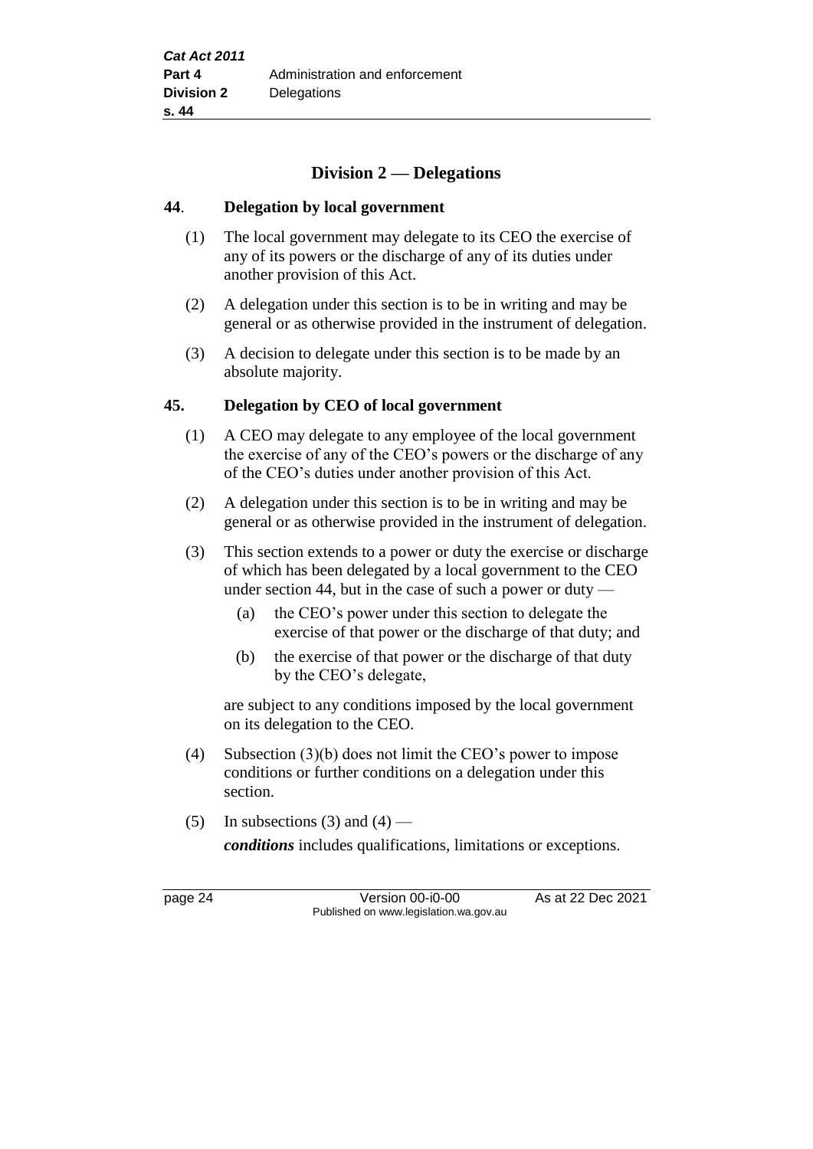# **Division 2 — Delegations**

#### **44**. **Delegation by local government**

- (1) The local government may delegate to its CEO the exercise of any of its powers or the discharge of any of its duties under another provision of this Act.
- (2) A delegation under this section is to be in writing and may be general or as otherwise provided in the instrument of delegation.
- (3) A decision to delegate under this section is to be made by an absolute majority.

#### **45. Delegation by CEO of local government**

- (1) A CEO may delegate to any employee of the local government the exercise of any of the CEO's powers or the discharge of any of the CEO's duties under another provision of this Act.
- (2) A delegation under this section is to be in writing and may be general or as otherwise provided in the instrument of delegation.
- (3) This section extends to a power or duty the exercise or discharge of which has been delegated by a local government to the CEO under section 44, but in the case of such a power or duty —
	- (a) the CEO's power under this section to delegate the exercise of that power or the discharge of that duty; and
	- (b) the exercise of that power or the discharge of that duty by the CEO's delegate,

are subject to any conditions imposed by the local government on its delegation to the CEO.

- (4) Subsection (3)(b) does not limit the CEO's power to impose conditions or further conditions on a delegation under this section.
- (5) In subsections (3) and (4) —

*conditions* includes qualifications, limitations or exceptions.

page 24 Version 00-i0-00 As at 22 Dec 2021 Published on www.legislation.wa.gov.au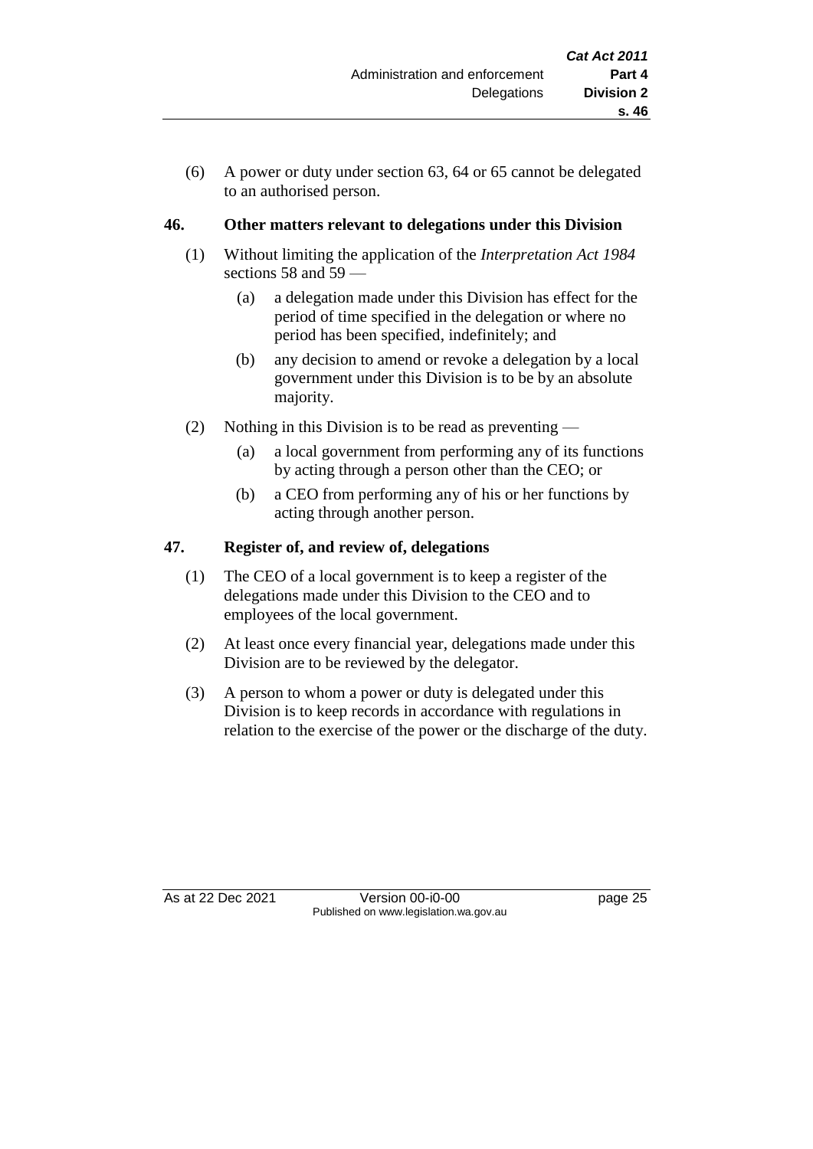(6) A power or duty under section 63, 64 or 65 cannot be delegated to an authorised person.

# **46. Other matters relevant to delegations under this Division**

- (1) Without limiting the application of the *Interpretation Act 1984* sections 58 and 59 —
	- (a) a delegation made under this Division has effect for the period of time specified in the delegation or where no period has been specified, indefinitely; and
	- (b) any decision to amend or revoke a delegation by a local government under this Division is to be by an absolute majority.
- (2) Nothing in this Division is to be read as preventing
	- (a) a local government from performing any of its functions by acting through a person other than the CEO; or
	- (b) a CEO from performing any of his or her functions by acting through another person.

# **47. Register of, and review of, delegations**

- (1) The CEO of a local government is to keep a register of the delegations made under this Division to the CEO and to employees of the local government.
- (2) At least once every financial year, delegations made under this Division are to be reviewed by the delegator.
- (3) A person to whom a power or duty is delegated under this Division is to keep records in accordance with regulations in relation to the exercise of the power or the discharge of the duty.

As at 22 Dec 2021 Version 00-i0-00 Page 25 Published on www.legislation.wa.gov.au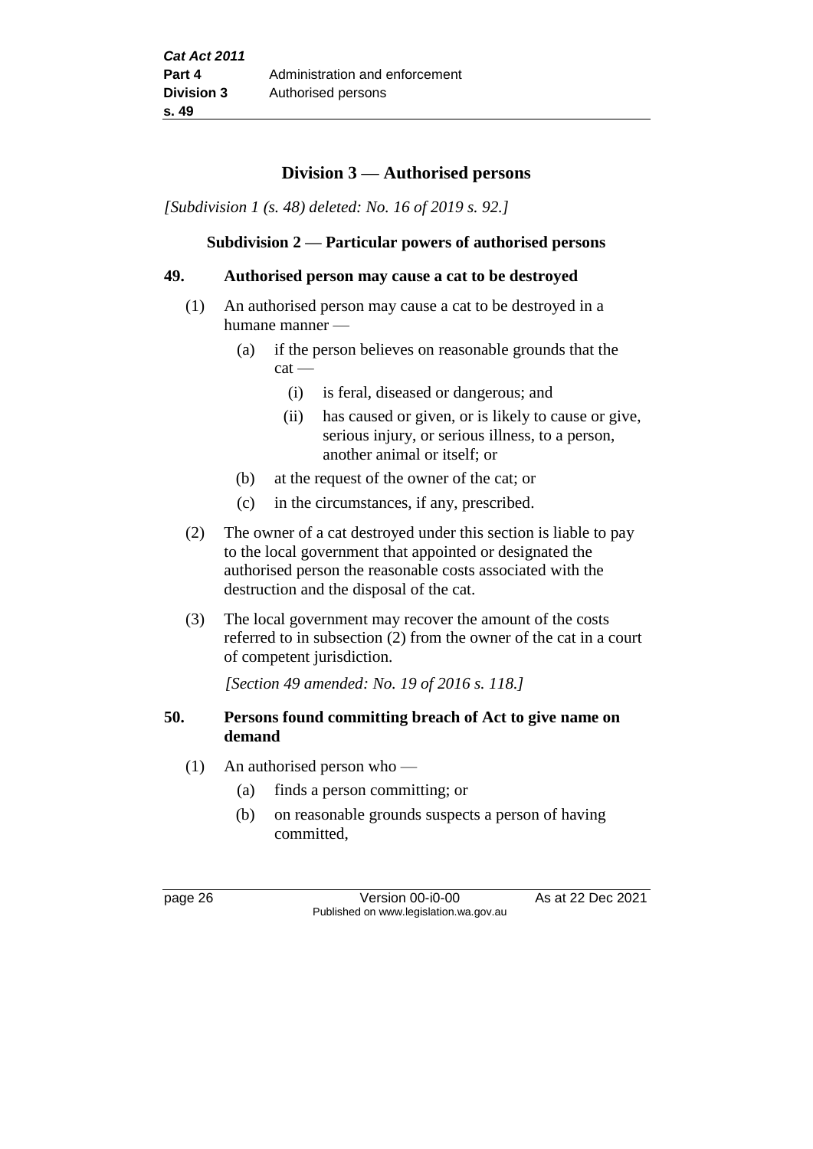# **Division 3 — Authorised persons**

*[Subdivision 1 (s. 48) deleted: No. 16 of 2019 s. 92.]*

#### **Subdivision 2 — Particular powers of authorised persons**

#### **49. Authorised person may cause a cat to be destroyed**

- (1) An authorised person may cause a cat to be destroyed in a humane manner —
	- (a) if the person believes on reasonable grounds that the cat —
		- (i) is feral, diseased or dangerous; and
		- (ii) has caused or given, or is likely to cause or give, serious injury, or serious illness, to a person, another animal or itself; or
	- (b) at the request of the owner of the cat; or
	- (c) in the circumstances, if any, prescribed.
- (2) The owner of a cat destroyed under this section is liable to pay to the local government that appointed or designated the authorised person the reasonable costs associated with the destruction and the disposal of the cat.
- (3) The local government may recover the amount of the costs referred to in subsection (2) from the owner of the cat in a court of competent jurisdiction.

*[Section 49 amended: No. 19 of 2016 s. 118.]*

#### **50. Persons found committing breach of Act to give name on demand**

- (1) An authorised person who
	- (a) finds a person committing; or
	- (b) on reasonable grounds suspects a person of having committed,

page 26 **Version 00-i0-00** As at 22 Dec 2021 Published on www.legislation.wa.gov.au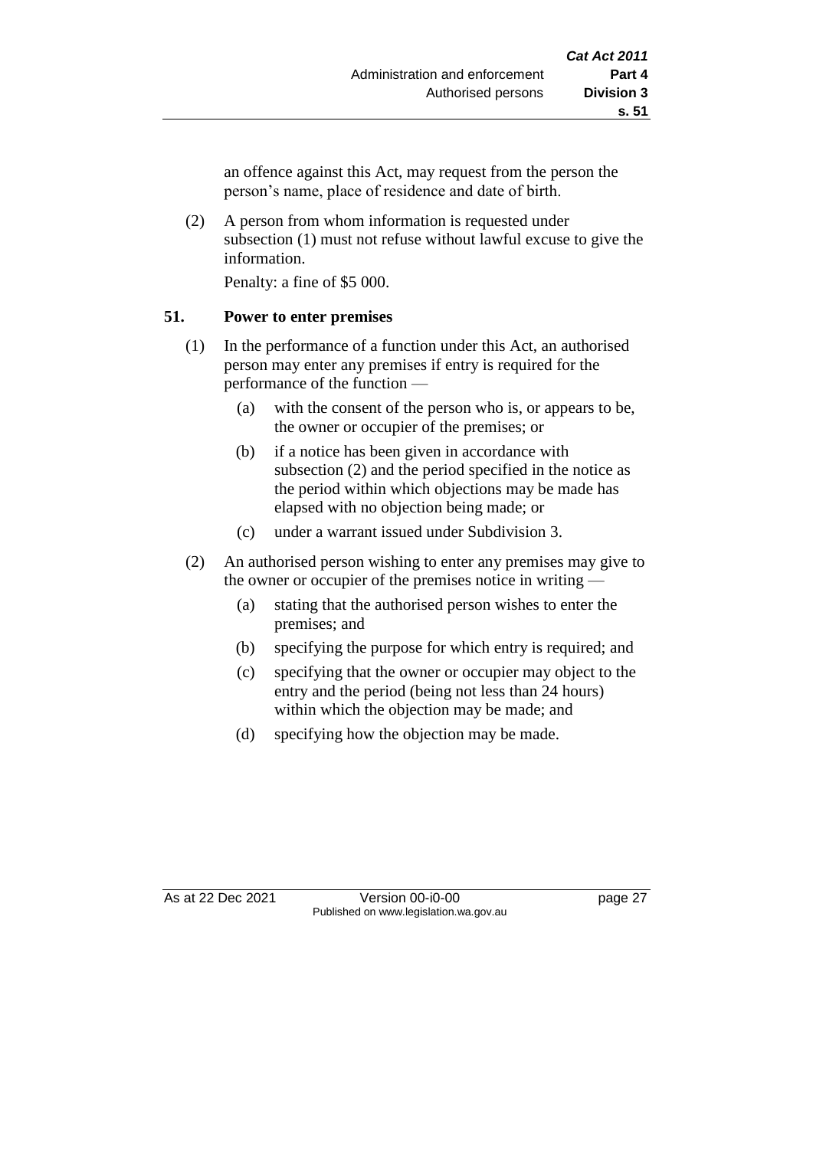an offence against this Act, may request from the person the person's name, place of residence and date of birth.

(2) A person from whom information is requested under subsection (1) must not refuse without lawful excuse to give the information.

Penalty: a fine of \$5 000.

#### **51. Power to enter premises**

- (1) In the performance of a function under this Act, an authorised person may enter any premises if entry is required for the performance of the function —
	- (a) with the consent of the person who is, or appears to be, the owner or occupier of the premises; or
	- (b) if a notice has been given in accordance with subsection (2) and the period specified in the notice as the period within which objections may be made has elapsed with no objection being made; or
	- (c) under a warrant issued under Subdivision 3.
- (2) An authorised person wishing to enter any premises may give to the owner or occupier of the premises notice in writing —
	- (a) stating that the authorised person wishes to enter the premises; and
	- (b) specifying the purpose for which entry is required; and
	- (c) specifying that the owner or occupier may object to the entry and the period (being not less than 24 hours) within which the objection may be made; and
	- (d) specifying how the objection may be made.

As at 22 Dec 2021 Version 00-i0-00 page 27 Published on www.legislation.wa.gov.au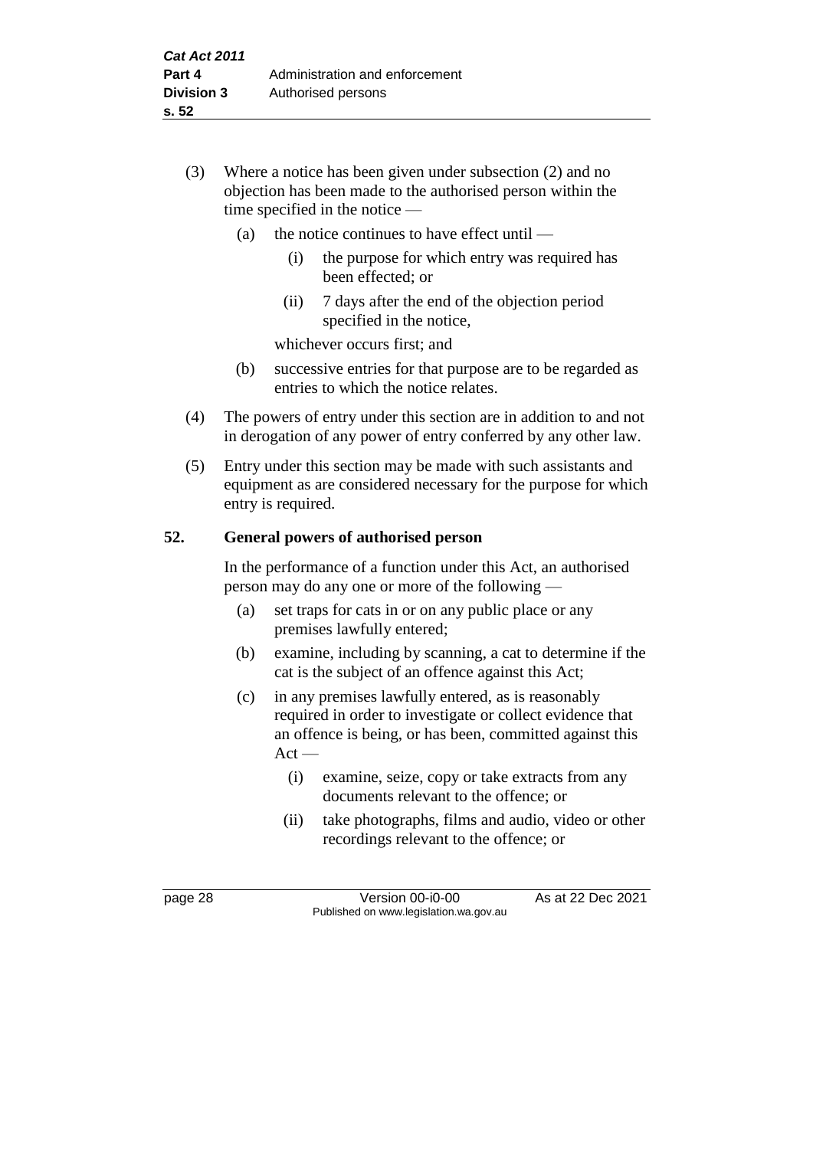- (3) Where a notice has been given under subsection (2) and no objection has been made to the authorised person within the time specified in the notice —
	- (a) the notice continues to have effect until  $-$ 
		- (i) the purpose for which entry was required has been effected; or
		- (ii) 7 days after the end of the objection period specified in the notice,

whichever occurs first; and

- (b) successive entries for that purpose are to be regarded as entries to which the notice relates.
- (4) The powers of entry under this section are in addition to and not in derogation of any power of entry conferred by any other law.
- (5) Entry under this section may be made with such assistants and equipment as are considered necessary for the purpose for which entry is required.

#### **52. General powers of authorised person**

In the performance of a function under this Act, an authorised person may do any one or more of the following —

- (a) set traps for cats in or on any public place or any premises lawfully entered;
- (b) examine, including by scanning, a cat to determine if the cat is the subject of an offence against this Act;
- (c) in any premises lawfully entered, as is reasonably required in order to investigate or collect evidence that an offence is being, or has been, committed against this  $Act -$ 
	- (i) examine, seize, copy or take extracts from any documents relevant to the offence; or
	- (ii) take photographs, films and audio, video or other recordings relevant to the offence; or

page 28 Version 00-i0-00 As at 22 Dec 2021 Published on www.legislation.wa.gov.au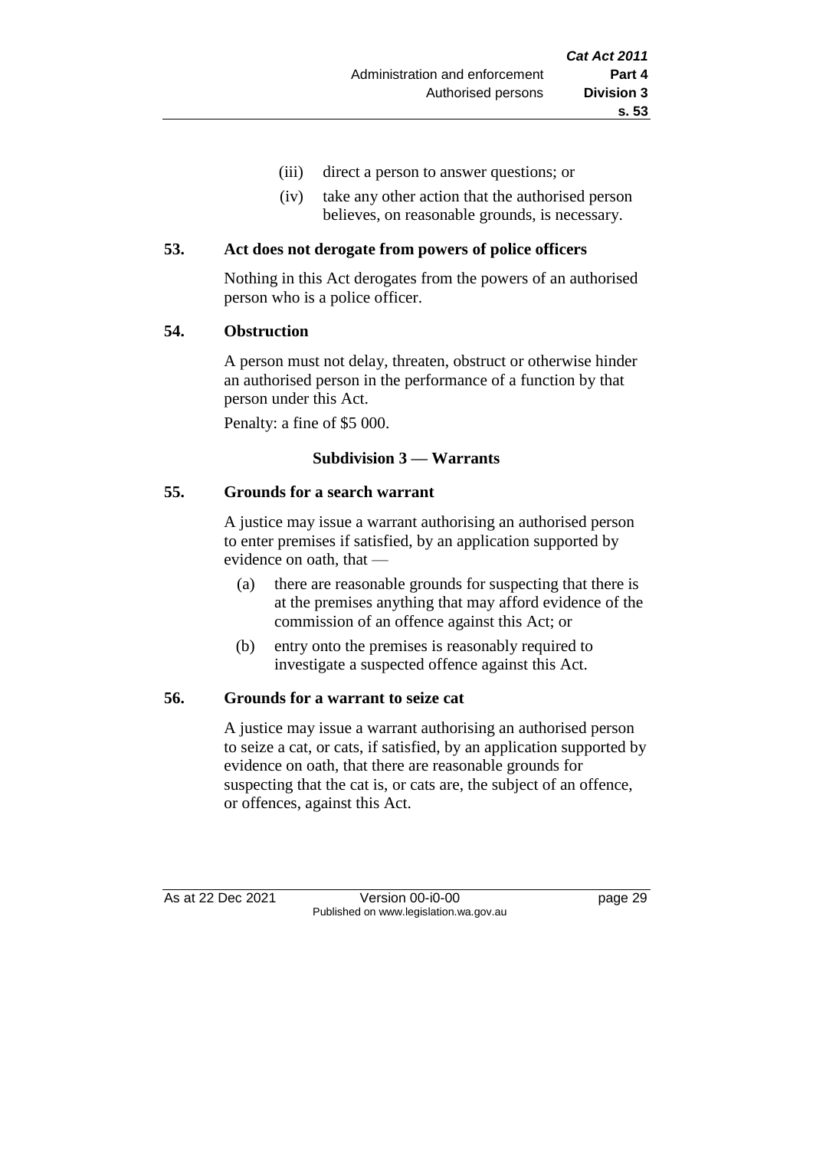- (iii) direct a person to answer questions; or
- (iv) take any other action that the authorised person believes, on reasonable grounds, is necessary.

#### **53. Act does not derogate from powers of police officers**

Nothing in this Act derogates from the powers of an authorised person who is a police officer.

#### **54. Obstruction**

A person must not delay, threaten, obstruct or otherwise hinder an authorised person in the performance of a function by that person under this Act.

Penalty: a fine of \$5 000.

# **Subdivision 3 — Warrants**

#### **55. Grounds for a search warrant**

A justice may issue a warrant authorising an authorised person to enter premises if satisfied, by an application supported by evidence on oath, that —

- (a) there are reasonable grounds for suspecting that there is at the premises anything that may afford evidence of the commission of an offence against this Act; or
- (b) entry onto the premises is reasonably required to investigate a suspected offence against this Act.

## **56. Grounds for a warrant to seize cat**

A justice may issue a warrant authorising an authorised person to seize a cat, or cats, if satisfied, by an application supported by evidence on oath, that there are reasonable grounds for suspecting that the cat is, or cats are, the subject of an offence, or offences, against this Act.

As at 22 Dec 2021 Version 00-i0-00 Page 29 Published on www.legislation.wa.gov.au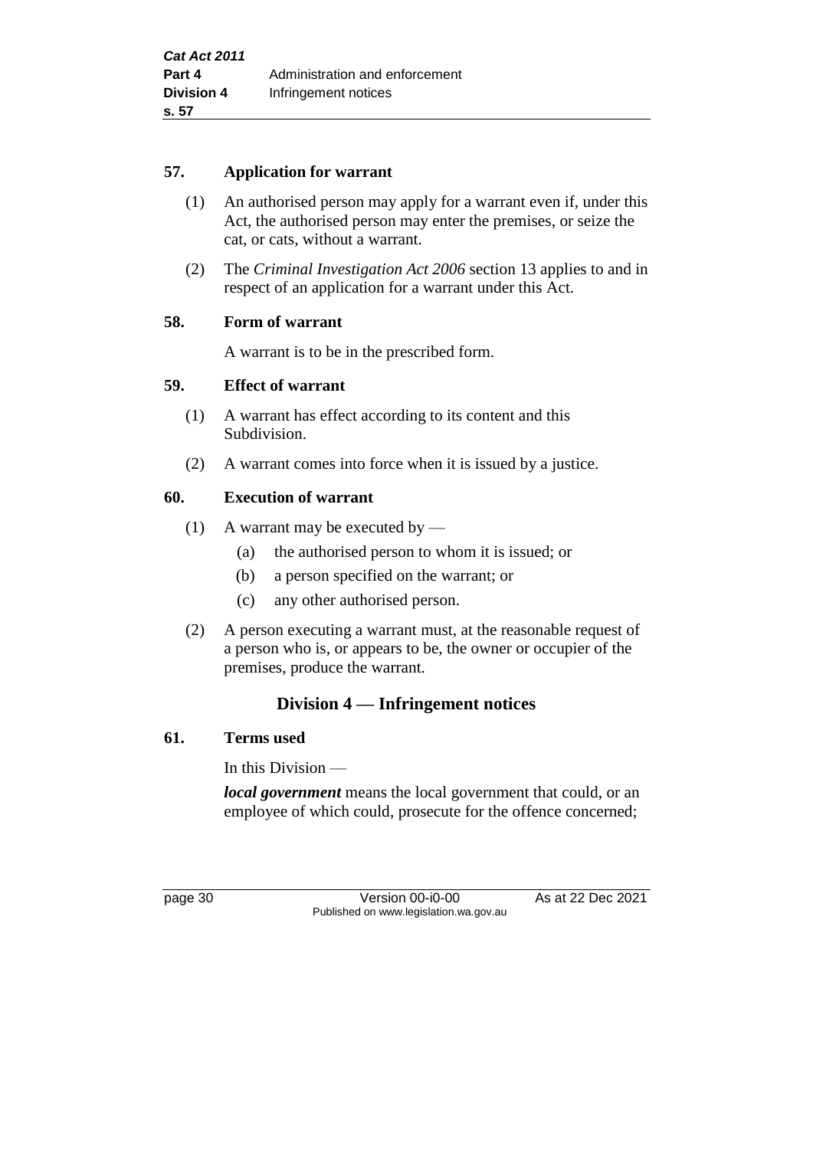#### **57. Application for warrant**

- (1) An authorised person may apply for a warrant even if, under this Act, the authorised person may enter the premises, or seize the cat, or cats, without a warrant.
- (2) The *Criminal Investigation Act 2006* section 13 applies to and in respect of an application for a warrant under this Act.

## **58. Form of warrant**

A warrant is to be in the prescribed form.

#### **59. Effect of warrant**

- (1) A warrant has effect according to its content and this Subdivision.
- (2) A warrant comes into force when it is issued by a justice.

## **60. Execution of warrant**

- (1) A warrant may be executed by
	- (a) the authorised person to whom it is issued; or
	- (b) a person specified on the warrant; or
	- (c) any other authorised person.
- (2) A person executing a warrant must, at the reasonable request of a person who is, or appears to be, the owner or occupier of the premises, produce the warrant.

# **Division 4 — Infringement notices**

#### **61. Terms used**

In this Division —

*local government* means the local government that could, or an employee of which could, prosecute for the offence concerned;

page 30 **Version 00-i0-00** As at 22 Dec 2021 Published on www.legislation.wa.gov.au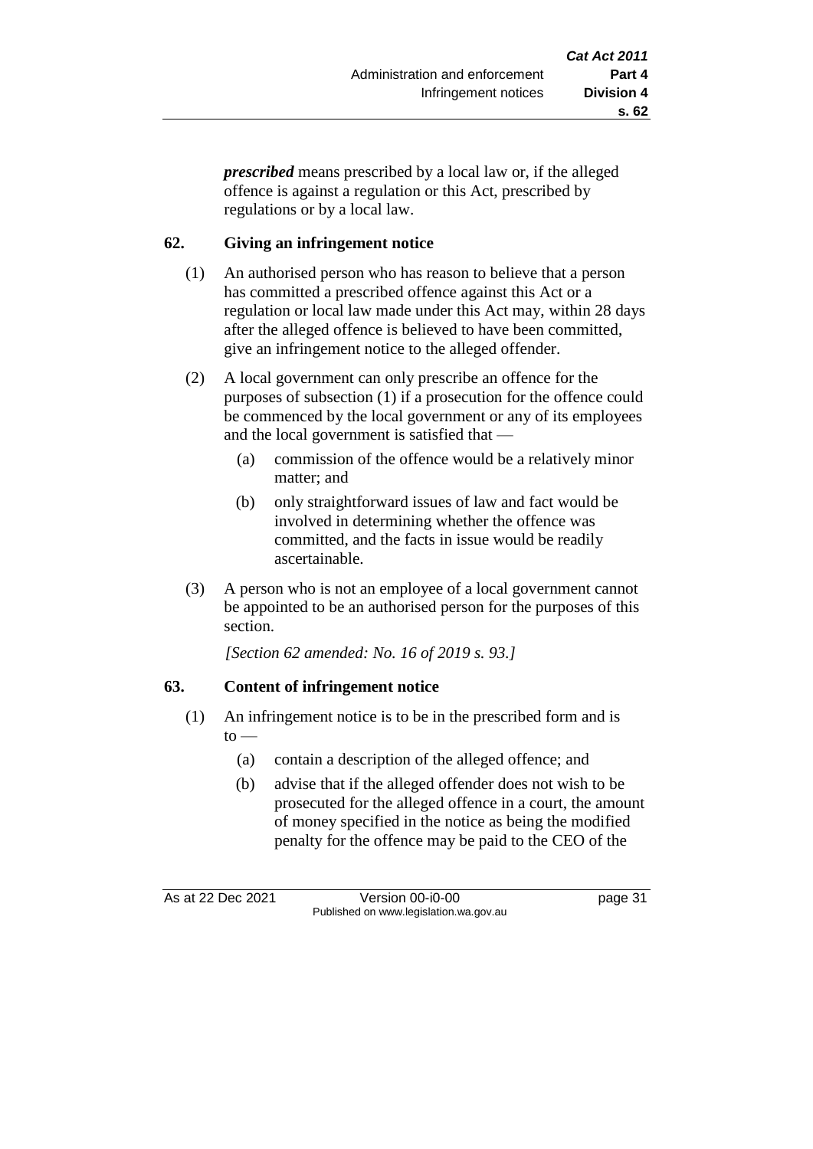*prescribed* means prescribed by a local law or, if the alleged offence is against a regulation or this Act, prescribed by regulations or by a local law.

# **62. Giving an infringement notice**

- (1) An authorised person who has reason to believe that a person has committed a prescribed offence against this Act or a regulation or local law made under this Act may, within 28 days after the alleged offence is believed to have been committed, give an infringement notice to the alleged offender.
- (2) A local government can only prescribe an offence for the purposes of subsection (1) if a prosecution for the offence could be commenced by the local government or any of its employees and the local government is satisfied that —
	- (a) commission of the offence would be a relatively minor matter; and
	- (b) only straightforward issues of law and fact would be involved in determining whether the offence was committed, and the facts in issue would be readily ascertainable.
- (3) A person who is not an employee of a local government cannot be appointed to be an authorised person for the purposes of this section.

*[Section 62 amended: No. 16 of 2019 s. 93.]*

# **63. Content of infringement notice**

- (1) An infringement notice is to be in the prescribed form and is  $to -$ 
	- (a) contain a description of the alleged offence; and
	- (b) advise that if the alleged offender does not wish to be prosecuted for the alleged offence in a court, the amount of money specified in the notice as being the modified penalty for the offence may be paid to the CEO of the

As at 22 Dec 2021 Version 00-i0-00 page 31 Published on www.legislation.wa.gov.au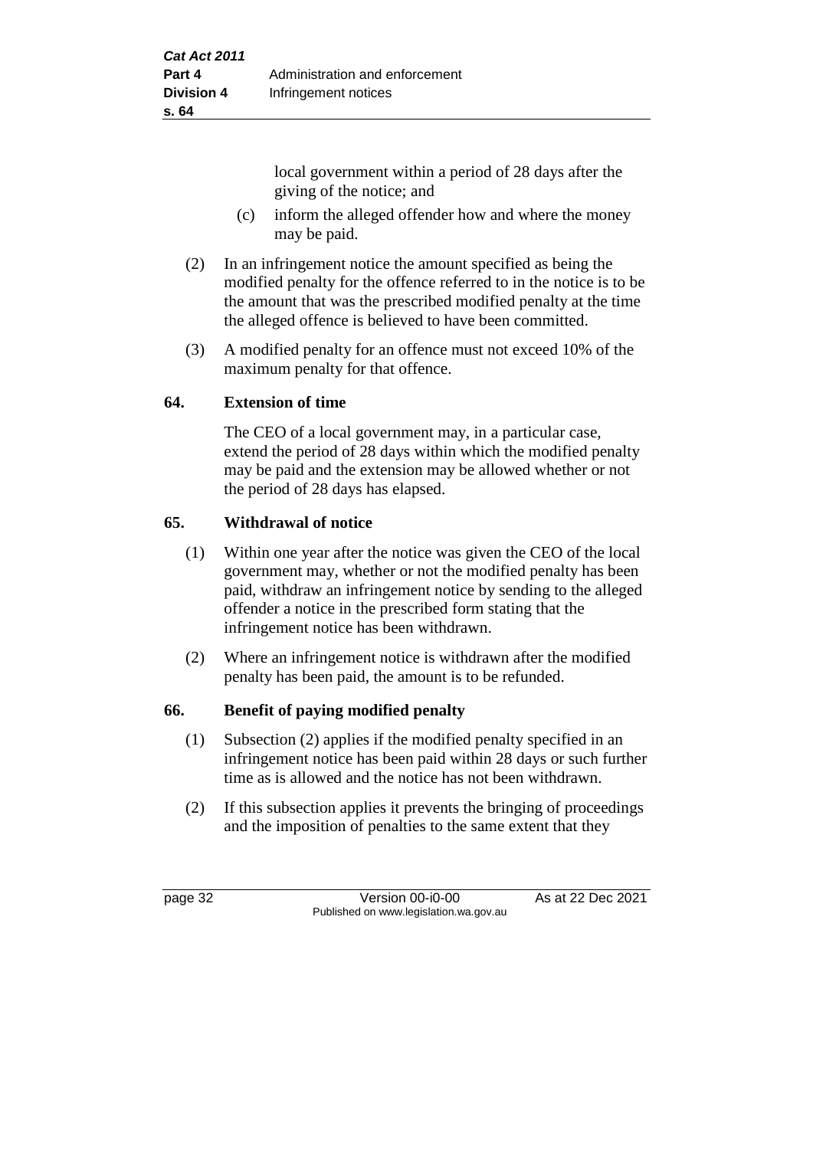local government within a period of 28 days after the giving of the notice; and

- (c) inform the alleged offender how and where the money may be paid.
- (2) In an infringement notice the amount specified as being the modified penalty for the offence referred to in the notice is to be the amount that was the prescribed modified penalty at the time the alleged offence is believed to have been committed.
- (3) A modified penalty for an offence must not exceed 10% of the maximum penalty for that offence.

# **64. Extension of time**

The CEO of a local government may, in a particular case, extend the period of 28 days within which the modified penalty may be paid and the extension may be allowed whether or not the period of 28 days has elapsed.

# **65. Withdrawal of notice**

- (1) Within one year after the notice was given the CEO of the local government may, whether or not the modified penalty has been paid, withdraw an infringement notice by sending to the alleged offender a notice in the prescribed form stating that the infringement notice has been withdrawn.
- (2) Where an infringement notice is withdrawn after the modified penalty has been paid, the amount is to be refunded.

## **66. Benefit of paying modified penalty**

- (1) Subsection (2) applies if the modified penalty specified in an infringement notice has been paid within 28 days or such further time as is allowed and the notice has not been withdrawn.
- (2) If this subsection applies it prevents the bringing of proceedings and the imposition of penalties to the same extent that they

page 32 Version 00-i0-00 As at 22 Dec 2021 Published on www.legislation.wa.gov.au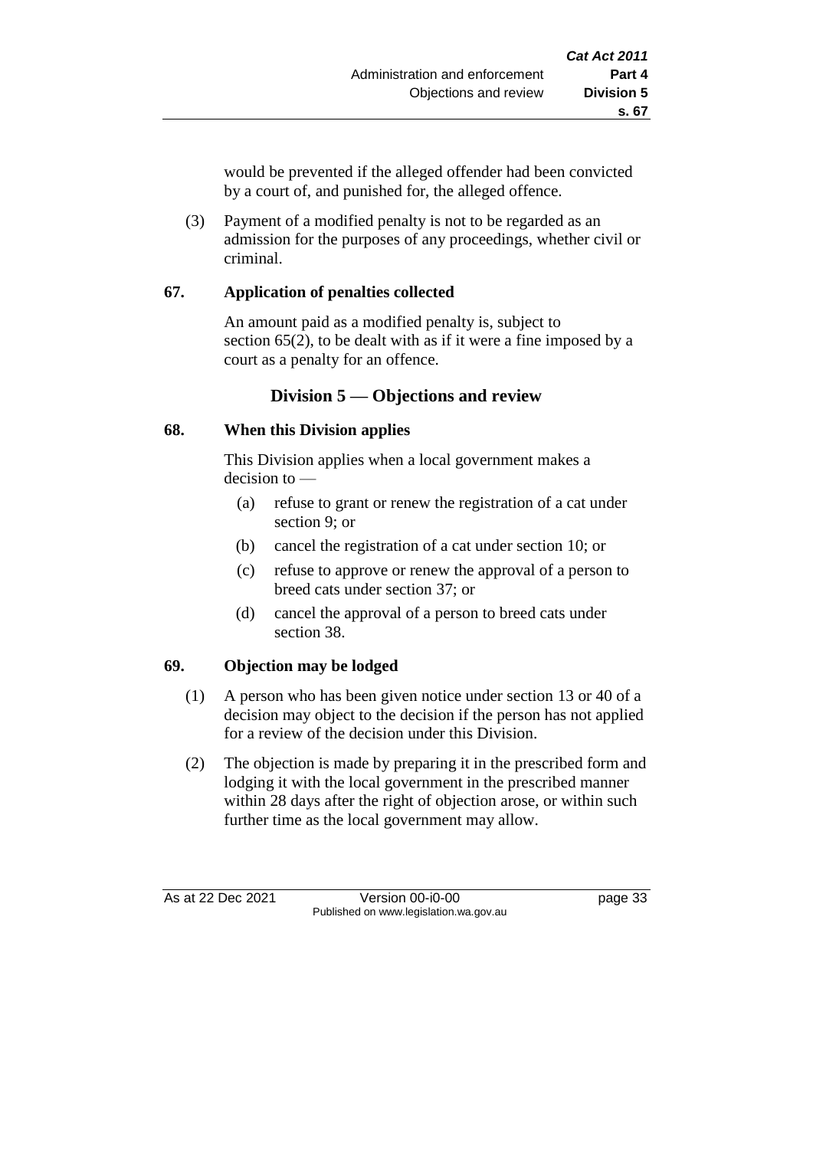would be prevented if the alleged offender had been convicted by a court of, and punished for, the alleged offence.

(3) Payment of a modified penalty is not to be regarded as an admission for the purposes of any proceedings, whether civil or criminal.

## **67. Application of penalties collected**

An amount paid as a modified penalty is, subject to section 65(2), to be dealt with as if it were a fine imposed by a court as a penalty for an offence.

# **Division 5 — Objections and review**

# **68. When this Division applies**

This Division applies when a local government makes a decision to —

- (a) refuse to grant or renew the registration of a cat under section 9; or
- (b) cancel the registration of a cat under section 10; or
- (c) refuse to approve or renew the approval of a person to breed cats under section 37; or
- (d) cancel the approval of a person to breed cats under section 38.

# **69. Objection may be lodged**

- (1) A person who has been given notice under section 13 or 40 of a decision may object to the decision if the person has not applied for a review of the decision under this Division.
- (2) The objection is made by preparing it in the prescribed form and lodging it with the local government in the prescribed manner within 28 days after the right of objection arose, or within such further time as the local government may allow.

As at 22 Dec 2021 Version 00-i0-00 page 33 Published on www.legislation.wa.gov.au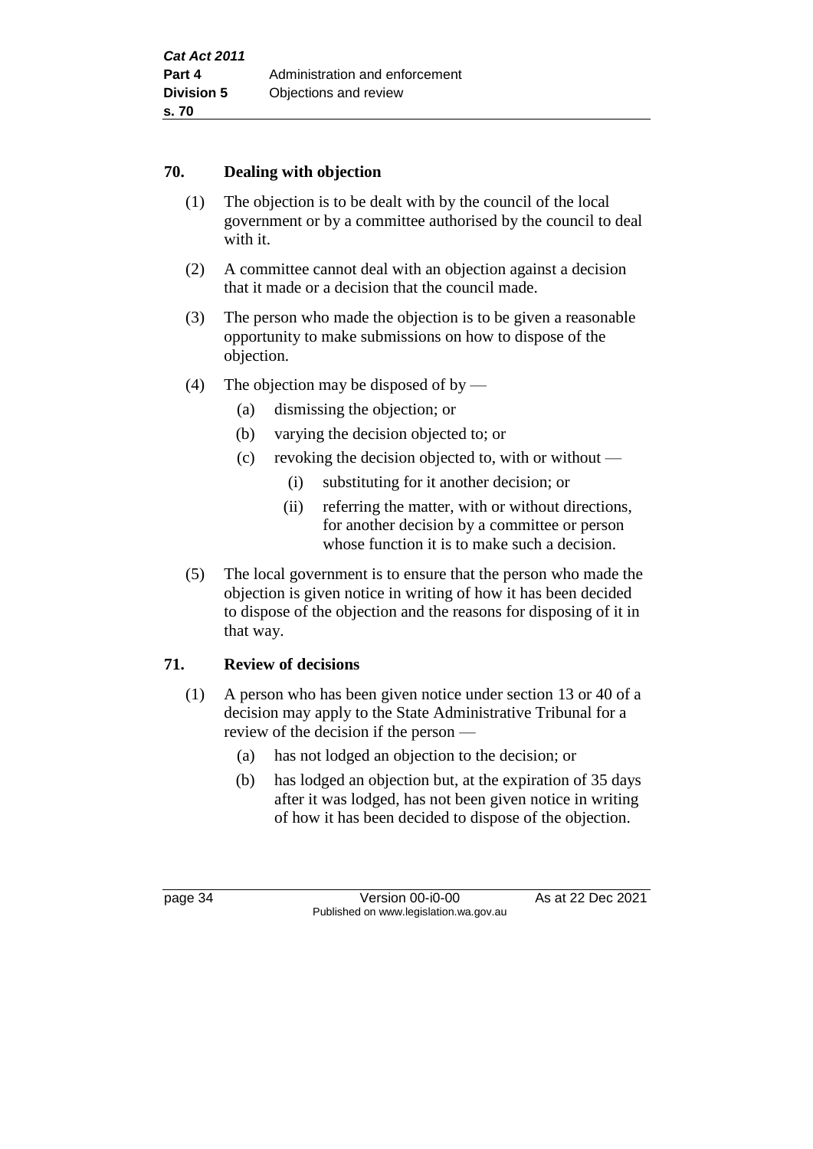#### **70. Dealing with objection**

- (1) The objection is to be dealt with by the council of the local government or by a committee authorised by the council to deal with it.
- (2) A committee cannot deal with an objection against a decision that it made or a decision that the council made.
- (3) The person who made the objection is to be given a reasonable opportunity to make submissions on how to dispose of the objection.
- (4) The objection may be disposed of by
	- (a) dismissing the objection; or
	- (b) varying the decision objected to; or
	- (c) revoking the decision objected to, with or without
		- (i) substituting for it another decision; or
		- (ii) referring the matter, with or without directions, for another decision by a committee or person whose function it is to make such a decision.
- (5) The local government is to ensure that the person who made the objection is given notice in writing of how it has been decided to dispose of the objection and the reasons for disposing of it in that way.

# **71. Review of decisions**

- (1) A person who has been given notice under section 13 or 40 of a decision may apply to the State Administrative Tribunal for a review of the decision if the person —
	- (a) has not lodged an objection to the decision; or
	- (b) has lodged an objection but, at the expiration of 35 days after it was lodged, has not been given notice in writing of how it has been decided to dispose of the objection.

page 34 Version 00-i0-00 As at 22 Dec 2021 Published on www.legislation.wa.gov.au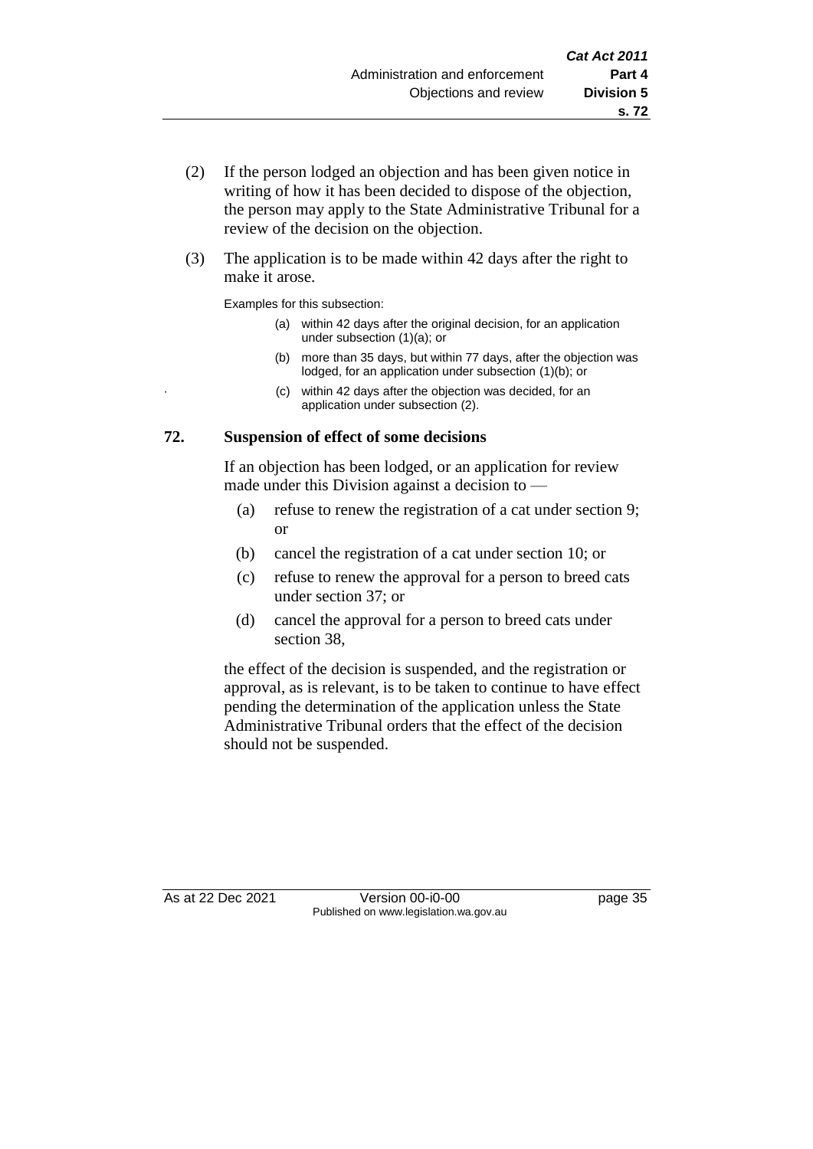- (2) If the person lodged an objection and has been given notice in writing of how it has been decided to dispose of the objection, the person may apply to the State Administrative Tribunal for a review of the decision on the objection.
- (3) The application is to be made within 42 days after the right to make it arose.

Examples for this subsection:

- (a) within 42 days after the original decision, for an application under subsection (1)(a); or
- (b) more than 35 days, but within 77 days, after the objection was lodged, for an application under subsection (1)(b); or
- (c) within 42 days after the objection was decided, for an application under subsection (2).

#### **72. Suspension of effect of some decisions**

If an objection has been lodged, or an application for review made under this Division against a decision to —

- (a) refuse to renew the registration of a cat under section 9; or
- (b) cancel the registration of a cat under section 10; or
- (c) refuse to renew the approval for a person to breed cats under section 37; or
- (d) cancel the approval for a person to breed cats under section 38,

the effect of the decision is suspended, and the registration or approval, as is relevant, is to be taken to continue to have effect pending the determination of the application unless the State Administrative Tribunal orders that the effect of the decision should not be suspended.

As at 22 Dec 2021 Version 00-i0-00 page 35 Published on www.legislation.wa.gov.au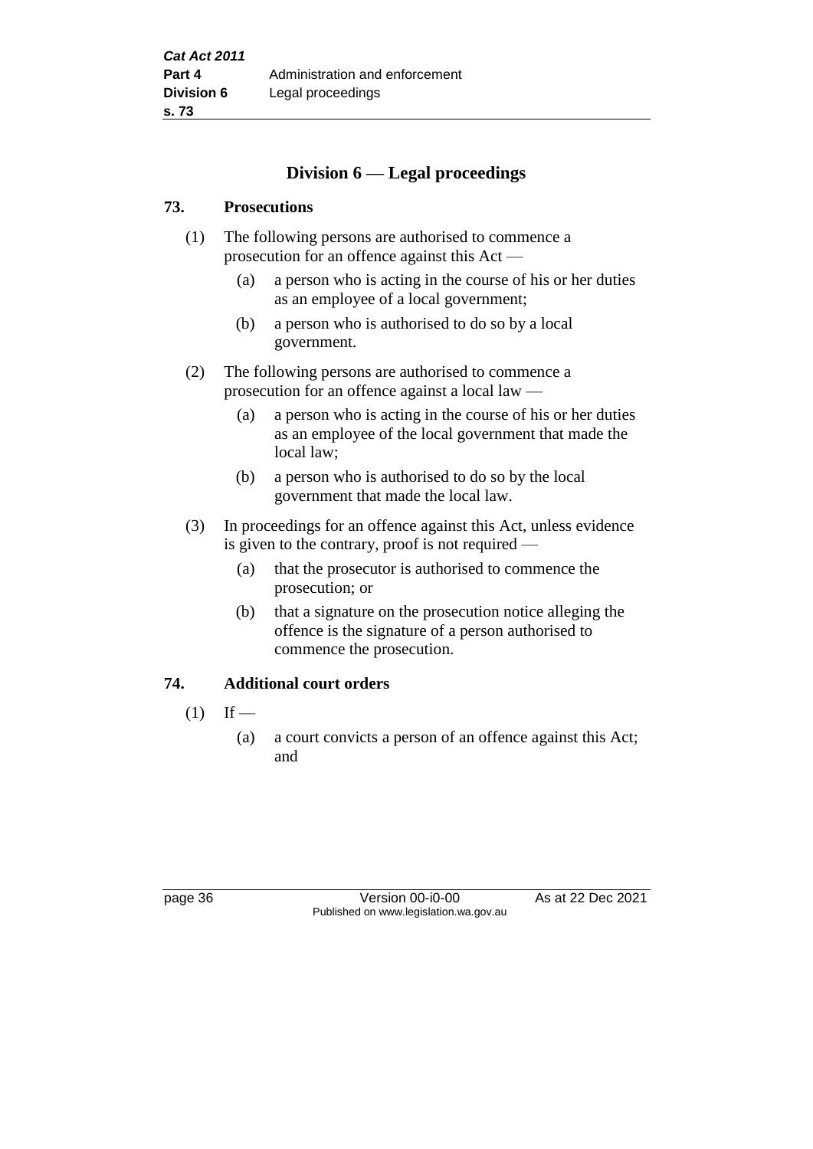# **Division 6 — Legal proceedings**

#### **73. Prosecutions**

- (1) The following persons are authorised to commence a prosecution for an offence against this Act —
	- (a) a person who is acting in the course of his or her duties as an employee of a local government;
	- (b) a person who is authorised to do so by a local government.
- (2) The following persons are authorised to commence a prosecution for an offence against a local law —
	- (a) a person who is acting in the course of his or her duties as an employee of the local government that made the local law;
	- (b) a person who is authorised to do so by the local government that made the local law.
- (3) In proceedings for an offence against this Act, unless evidence is given to the contrary, proof is not required —
	- (a) that the prosecutor is authorised to commence the prosecution; or
	- (b) that a signature on the prosecution notice alleging the offence is the signature of a person authorised to commence the prosecution.

## **74. Additional court orders**

- $(1)$  If
	- (a) a court convicts a person of an offence against this Act; and

page 36 **Version 00-i0-00** As at 22 Dec 2021 Published on www.legislation.wa.gov.au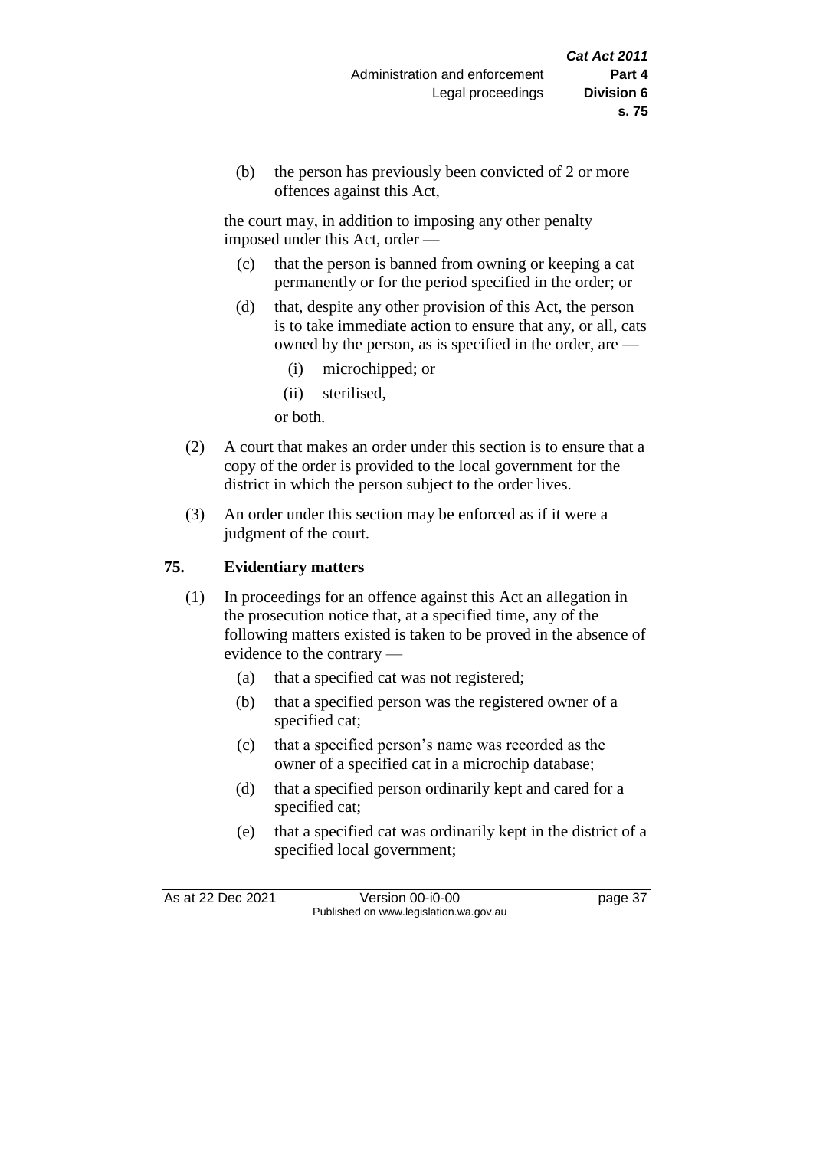(b) the person has previously been convicted of 2 or more offences against this Act,

the court may, in addition to imposing any other penalty imposed under this Act, order —

- (c) that the person is banned from owning or keeping a cat permanently or for the period specified in the order; or
- (d) that, despite any other provision of this Act, the person is to take immediate action to ensure that any, or all, cats owned by the person, as is specified in the order, are —
	- (i) microchipped; or
	- (ii) sterilised,

or both.

- (2) A court that makes an order under this section is to ensure that a copy of the order is provided to the local government for the district in which the person subject to the order lives.
- (3) An order under this section may be enforced as if it were a judgment of the court.

## **75. Evidentiary matters**

- (1) In proceedings for an offence against this Act an allegation in the prosecution notice that, at a specified time, any of the following matters existed is taken to be proved in the absence of evidence to the contrary —
	- (a) that a specified cat was not registered;
	- (b) that a specified person was the registered owner of a specified cat;
	- (c) that a specified person's name was recorded as the owner of a specified cat in a microchip database;
	- (d) that a specified person ordinarily kept and cared for a specified cat;
	- (e) that a specified cat was ordinarily kept in the district of a specified local government;

As at 22 Dec 2021 Version 00-i0-00 page 37 Published on www.legislation.wa.gov.au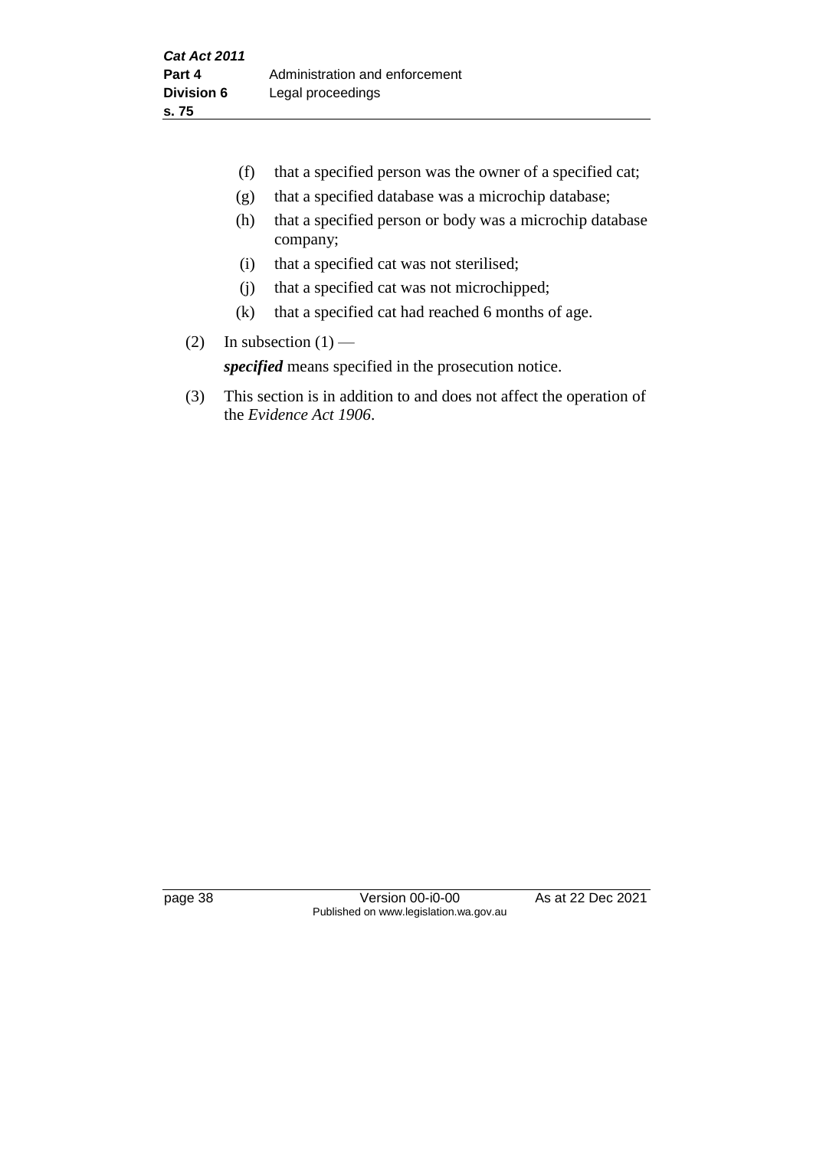- (f) that a specified person was the owner of a specified cat;
- (g) that a specified database was a microchip database;
- (h) that a specified person or body was a microchip database company;
- (i) that a specified cat was not sterilised;
- (j) that a specified cat was not microchipped;
- (k) that a specified cat had reached 6 months of age.
- (2) In subsection  $(1)$  —

*specified* means specified in the prosecution notice.

(3) This section is in addition to and does not affect the operation of the *Evidence Act 1906*.

page 38 Version 00-i0-00 As at 22 Dec 2021 Published on www.legislation.wa.gov.au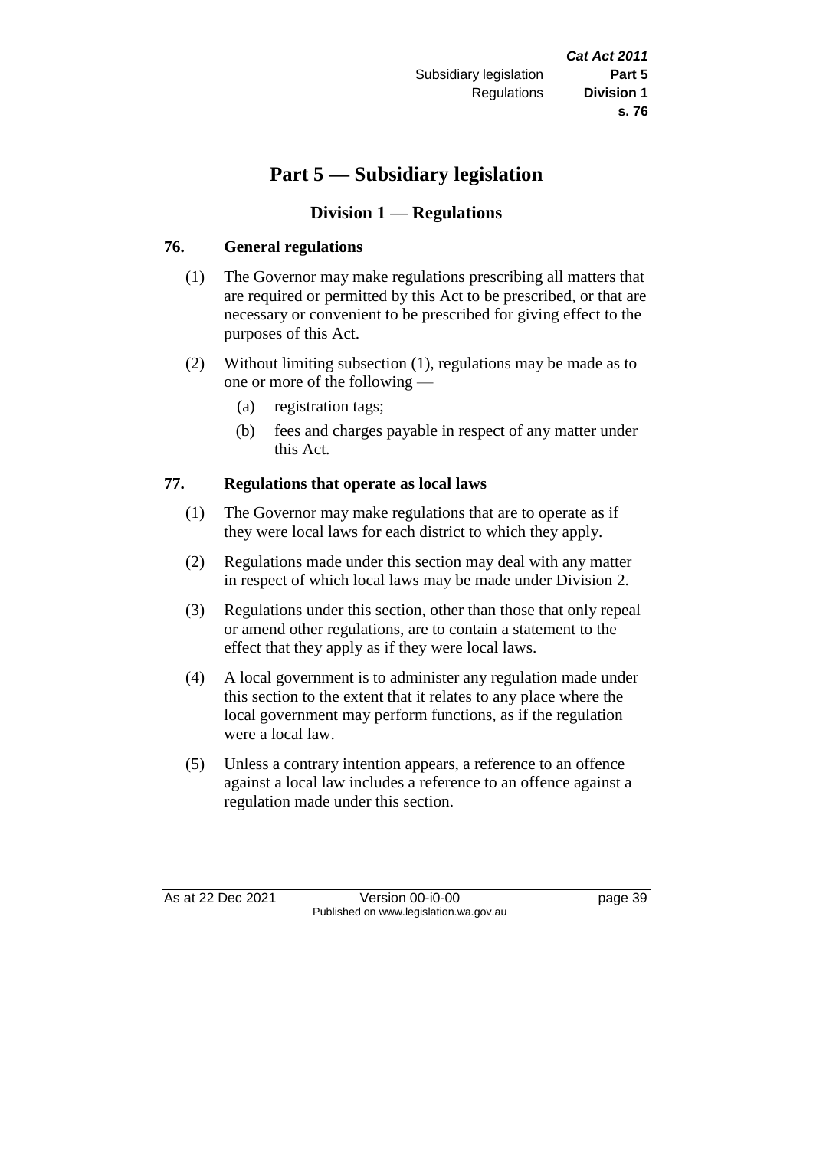# **Part 5 — Subsidiary legislation**

# **Division 1 — Regulations**

## **76. General regulations**

- (1) The Governor may make regulations prescribing all matters that are required or permitted by this Act to be prescribed, or that are necessary or convenient to be prescribed for giving effect to the purposes of this Act.
- (2) Without limiting subsection (1), regulations may be made as to one or more of the following —
	- (a) registration tags;
	- (b) fees and charges payable in respect of any matter under this Act.

#### **77. Regulations that operate as local laws**

- (1) The Governor may make regulations that are to operate as if they were local laws for each district to which they apply.
- (2) Regulations made under this section may deal with any matter in respect of which local laws may be made under Division 2.
- (3) Regulations under this section, other than those that only repeal or amend other regulations, are to contain a statement to the effect that they apply as if they were local laws.
- (4) A local government is to administer any regulation made under this section to the extent that it relates to any place where the local government may perform functions, as if the regulation were a local law.
- (5) Unless a contrary intention appears, a reference to an offence against a local law includes a reference to an offence against a regulation made under this section.

As at 22 Dec 2021 Version 00-i0-00 page 39 Published on www.legislation.wa.gov.au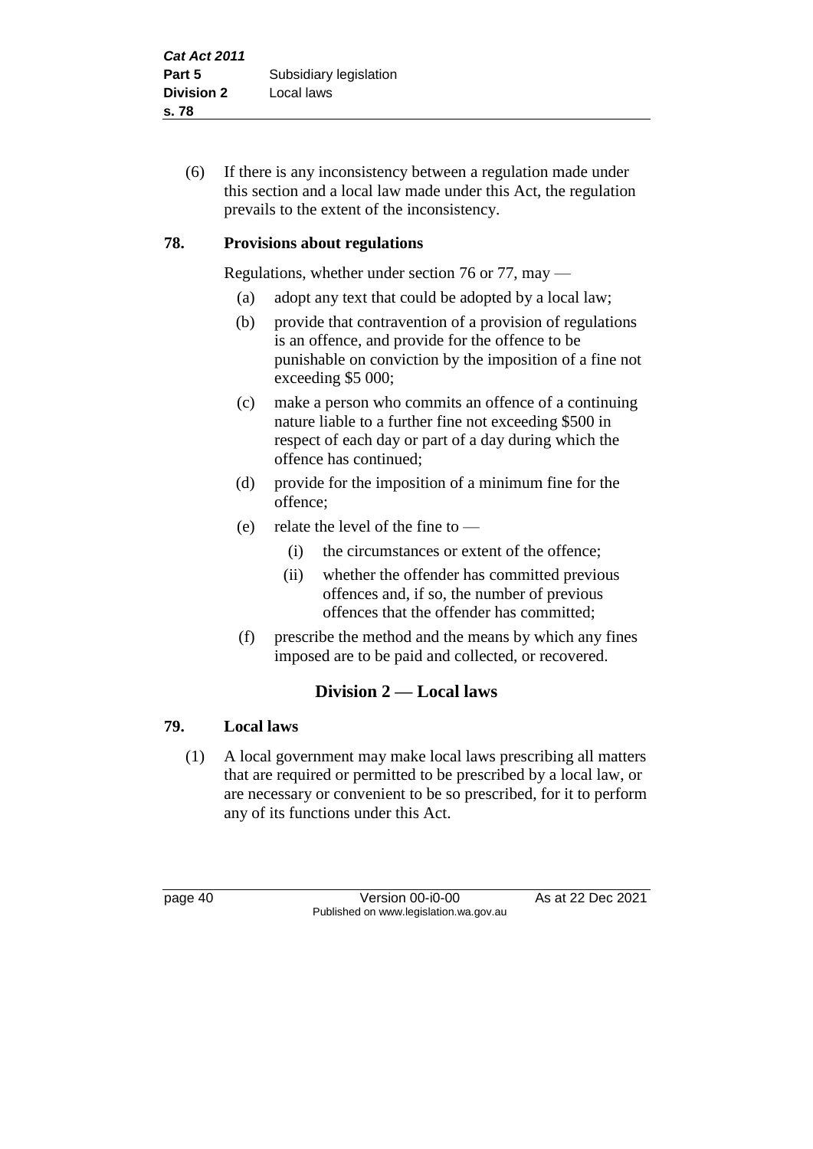(6) If there is any inconsistency between a regulation made under this section and a local law made under this Act, the regulation prevails to the extent of the inconsistency.

## **78. Provisions about regulations**

Regulations, whether under section 76 or 77, may —

- (a) adopt any text that could be adopted by a local law;
- (b) provide that contravention of a provision of regulations is an offence, and provide for the offence to be punishable on conviction by the imposition of a fine not exceeding \$5 000;
- (c) make a person who commits an offence of a continuing nature liable to a further fine not exceeding \$500 in respect of each day or part of a day during which the offence has continued;
- (d) provide for the imposition of a minimum fine for the offence;
- (e) relate the level of the fine to  $-$ 
	- (i) the circumstances or extent of the offence;
	- (ii) whether the offender has committed previous offences and, if so, the number of previous offences that the offender has committed;
- (f) prescribe the method and the means by which any fines imposed are to be paid and collected, or recovered.

# **Division 2 — Local laws**

## **79. Local laws**

(1) A local government may make local laws prescribing all matters that are required or permitted to be prescribed by a local law, or are necessary or convenient to be so prescribed, for it to perform any of its functions under this Act.

page 40 **Version 00-i0-00** As at 22 Dec 2021 Published on www.legislation.wa.gov.au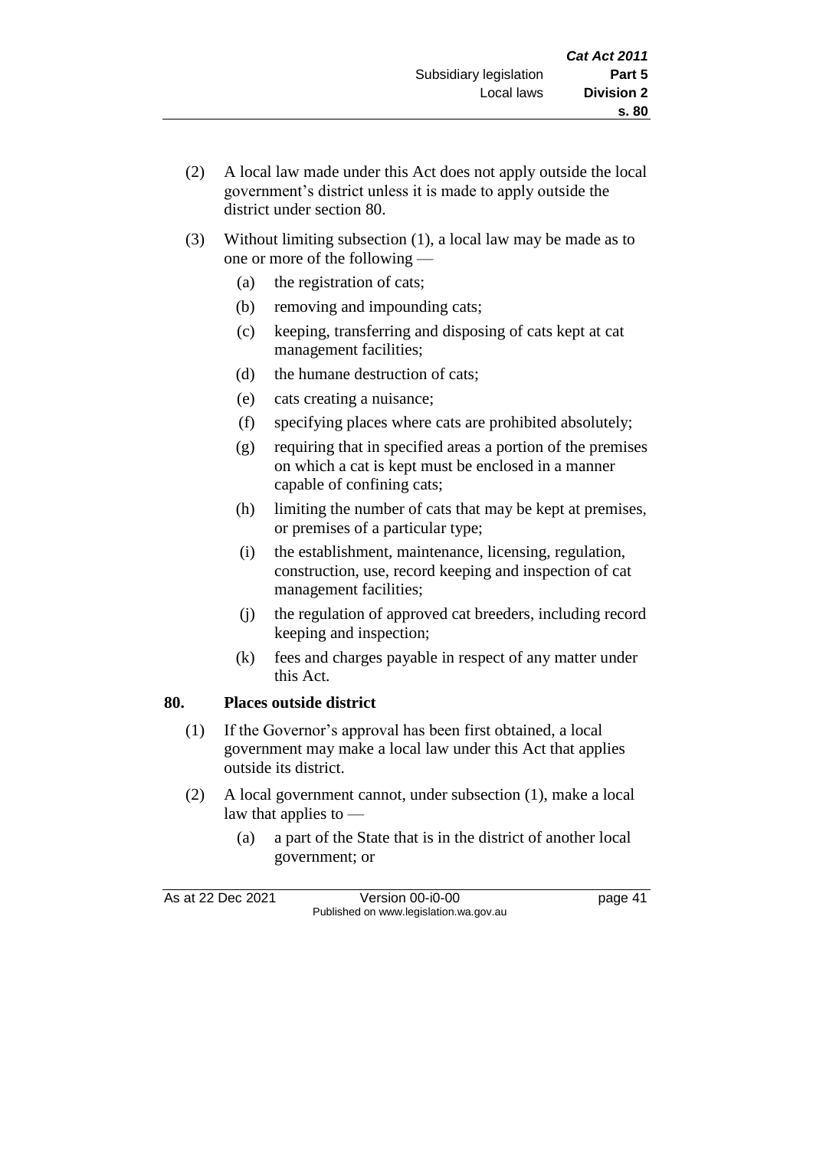- (2) A local law made under this Act does not apply outside the local government's district unless it is made to apply outside the district under section 80.
- (3) Without limiting subsection (1), a local law may be made as to one or more of the following —
	- (a) the registration of cats;
	- (b) removing and impounding cats;
	- (c) keeping, transferring and disposing of cats kept at cat management facilities;
	- (d) the humane destruction of cats;
	- (e) cats creating a nuisance;
	- (f) specifying places where cats are prohibited absolutely;
	- (g) requiring that in specified areas a portion of the premises on which a cat is kept must be enclosed in a manner capable of confining cats;
	- (h) limiting the number of cats that may be kept at premises, or premises of a particular type;
	- (i) the establishment, maintenance, licensing, regulation, construction, use, record keeping and inspection of cat management facilities;
	- (j) the regulation of approved cat breeders, including record keeping and inspection;
	- (k) fees and charges payable in respect of any matter under this Act.

## **80. Places outside district**

- (1) If the Governor's approval has been first obtained, a local government may make a local law under this Act that applies outside its district.
- (2) A local government cannot, under subsection (1), make a local law that applies to —
	- (a) a part of the State that is in the district of another local government; or

As at 22 Dec 2021 Version 00-i0-00 page 41 Published on www.legislation.wa.gov.au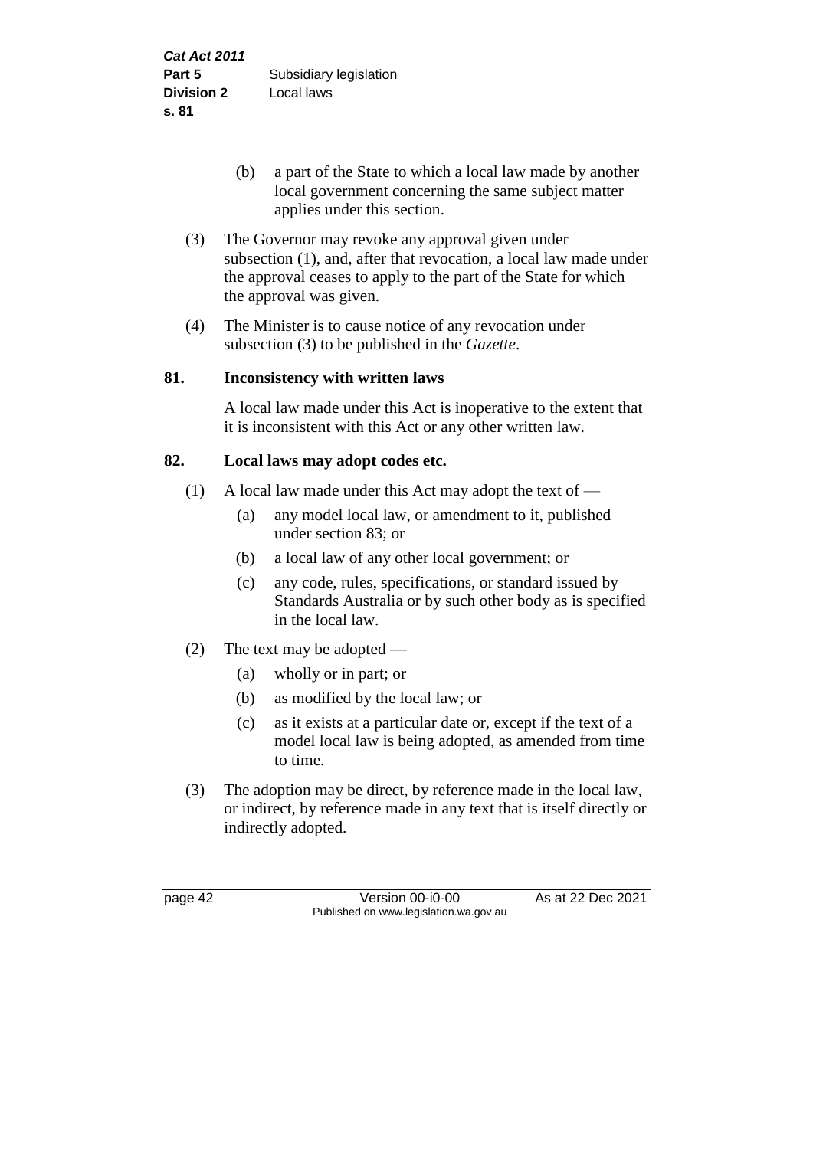- (b) a part of the State to which a local law made by another local government concerning the same subject matter applies under this section.
- (3) The Governor may revoke any approval given under subsection (1), and, after that revocation, a local law made under the approval ceases to apply to the part of the State for which the approval was given.
- (4) The Minister is to cause notice of any revocation under subsection (3) to be published in the *Gazette*.

# **81. Inconsistency with written laws**

A local law made under this Act is inoperative to the extent that it is inconsistent with this Act or any other written law.

# **82. Local laws may adopt codes etc.**

- (1) A local law made under this Act may adopt the text of
	- (a) any model local law, or amendment to it, published under section 83; or
	- (b) a local law of any other local government; or
	- (c) any code, rules, specifications, or standard issued by Standards Australia or by such other body as is specified in the local law.
- (2) The text may be adopted
	- (a) wholly or in part; or
	- (b) as modified by the local law; or
	- (c) as it exists at a particular date or, except if the text of a model local law is being adopted, as amended from time to time.
- (3) The adoption may be direct, by reference made in the local law, or indirect, by reference made in any text that is itself directly or indirectly adopted.

page 42 Version 00-i0-00 As at 22 Dec 2021 Published on www.legislation.wa.gov.au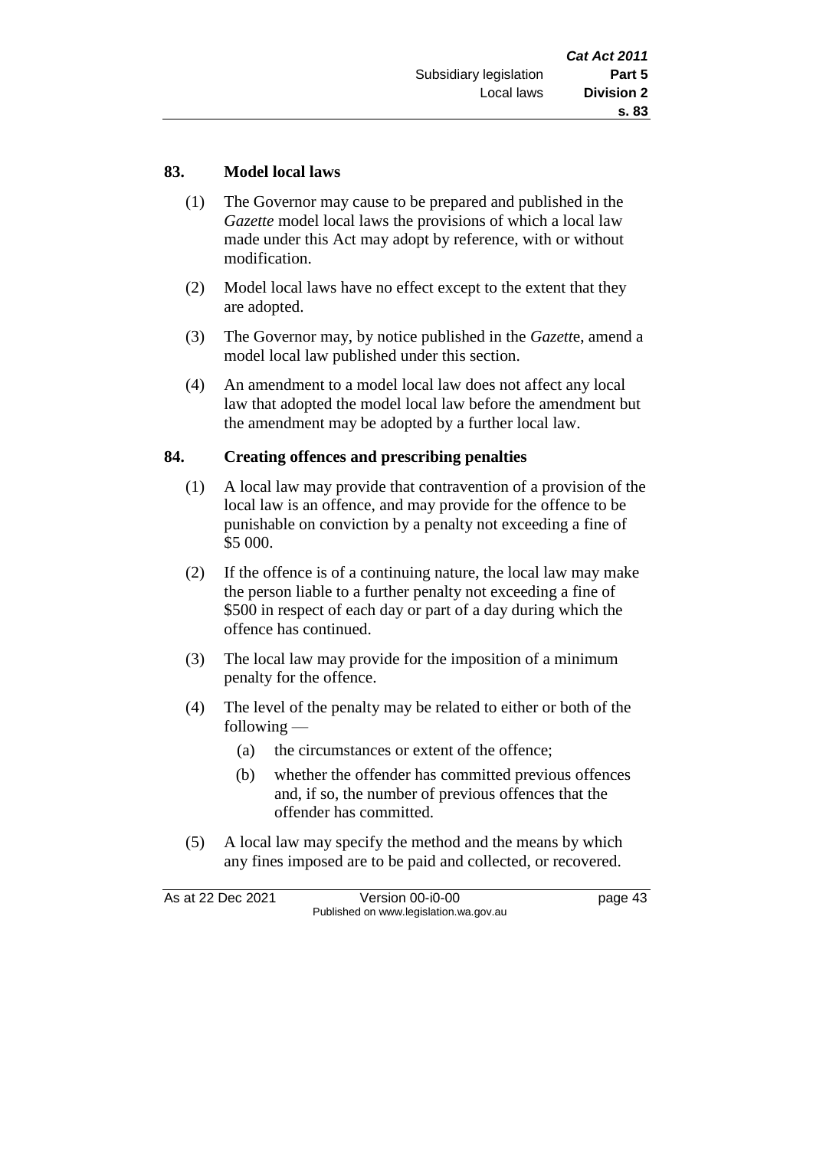#### **83. Model local laws**

- (1) The Governor may cause to be prepared and published in the *Gazette* model local laws the provisions of which a local law made under this Act may adopt by reference, with or without modification.
- (2) Model local laws have no effect except to the extent that they are adopted.
- (3) The Governor may, by notice published in the *Gazett*e, amend a model local law published under this section.
- (4) An amendment to a model local law does not affect any local law that adopted the model local law before the amendment but the amendment may be adopted by a further local law.

#### **84. Creating offences and prescribing penalties**

- (1) A local law may provide that contravention of a provision of the local law is an offence, and may provide for the offence to be punishable on conviction by a penalty not exceeding a fine of \$5 000.
- (2) If the offence is of a continuing nature, the local law may make the person liable to a further penalty not exceeding a fine of \$500 in respect of each day or part of a day during which the offence has continued.
- (3) The local law may provide for the imposition of a minimum penalty for the offence.
- (4) The level of the penalty may be related to either or both of the following —
	- (a) the circumstances or extent of the offence;
	- (b) whether the offender has committed previous offences and, if so, the number of previous offences that the offender has committed.
- (5) A local law may specify the method and the means by which any fines imposed are to be paid and collected, or recovered.

As at 22 Dec 2021 Version 00-i0-00 page 43 Published on www.legislation.wa.gov.au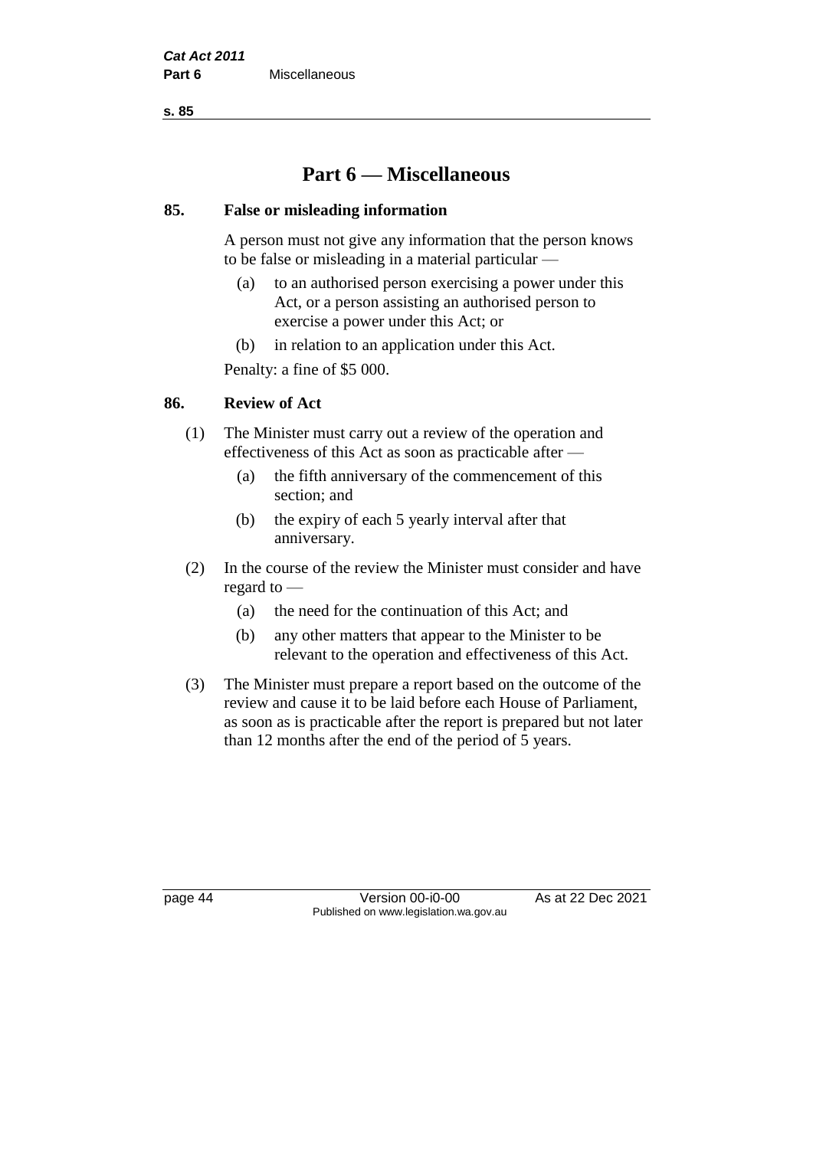**s. 85**

# **Part 6 — Miscellaneous**

#### **85. False or misleading information**

A person must not give any information that the person knows to be false or misleading in a material particular —

- (a) to an authorised person exercising a power under this Act, or a person assisting an authorised person to exercise a power under this Act; or
- (b) in relation to an application under this Act.

Penalty: a fine of \$5 000.

## **86. Review of Act**

- (1) The Minister must carry out a review of the operation and effectiveness of this Act as soon as practicable after —
	- (a) the fifth anniversary of the commencement of this section; and
	- (b) the expiry of each 5 yearly interval after that anniversary.
- (2) In the course of the review the Minister must consider and have regard to —
	- (a) the need for the continuation of this Act; and
	- (b) any other matters that appear to the Minister to be relevant to the operation and effectiveness of this Act.
- (3) The Minister must prepare a report based on the outcome of the review and cause it to be laid before each House of Parliament, as soon as is practicable after the report is prepared but not later than 12 months after the end of the period of 5 years.

page 44 Version 00-i0-00 As at 22 Dec 2021 Published on www.legislation.wa.gov.au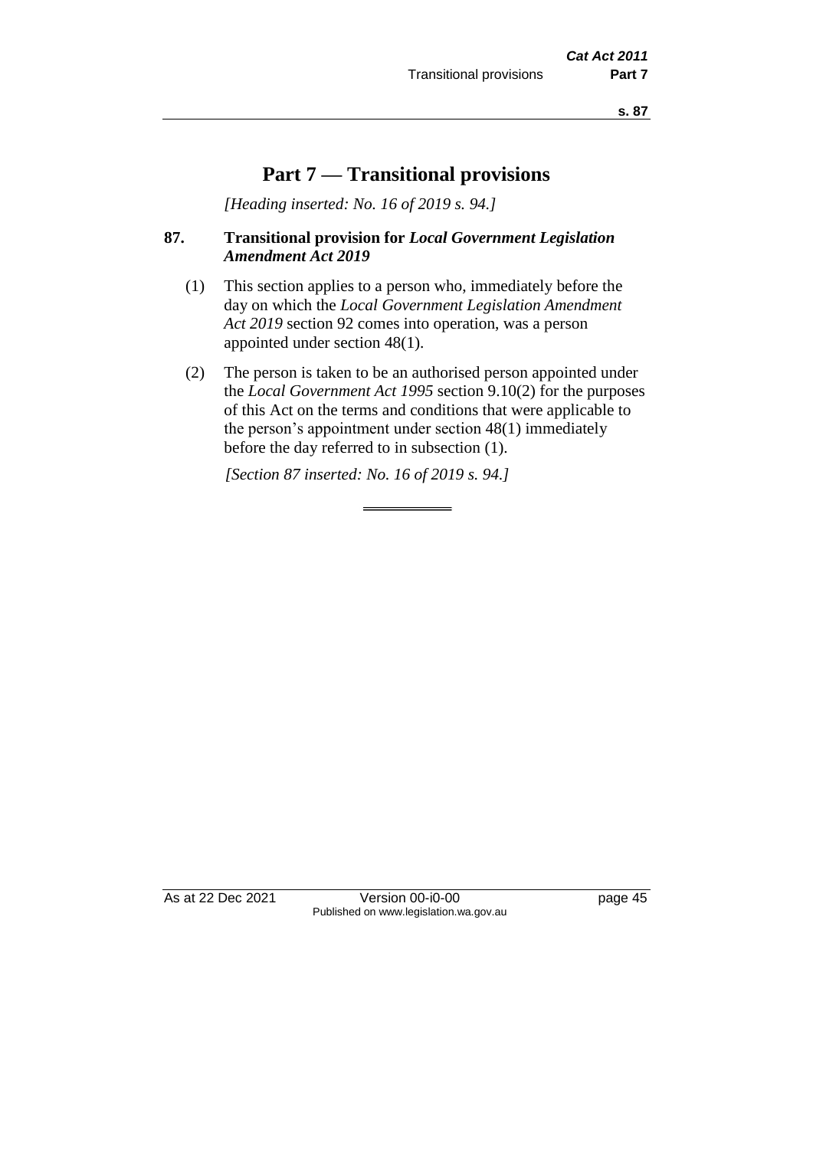**s. 87**

# **Part 7 — Transitional provisions**

*[Heading inserted: No. 16 of 2019 s. 94.]*

#### **87. Transitional provision for** *Local Government Legislation Amendment Act 2019*

- (1) This section applies to a person who, immediately before the day on which the *Local Government Legislation Amendment Act 2019* section 92 comes into operation, was a person appointed under section 48(1).
- (2) The person is taken to be an authorised person appointed under the *Local Government Act 1995* section 9.10(2) for the purposes of this Act on the terms and conditions that were applicable to the person's appointment under section 48(1) immediately before the day referred to in subsection (1).

*[Section 87 inserted: No. 16 of 2019 s. 94.]*

As at 22 Dec 2021 Version 00-i0-00 Published on www.legislation.wa.gov.au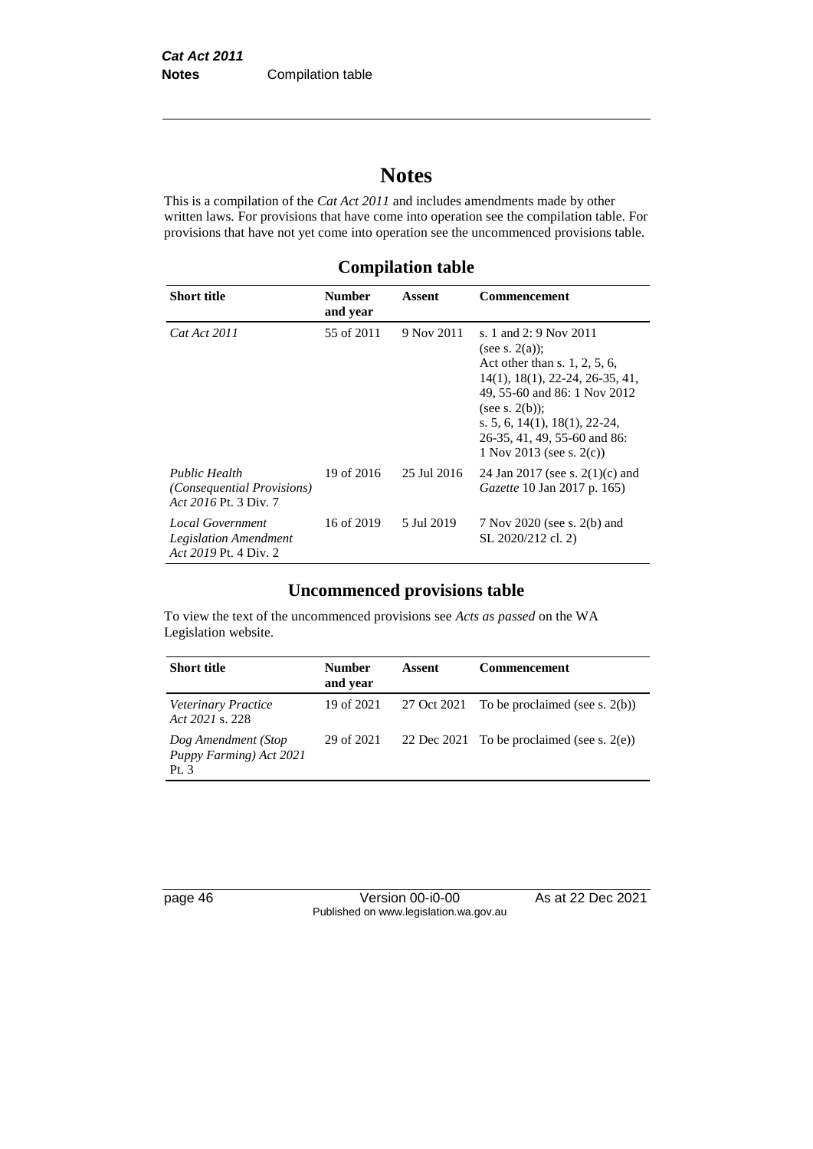# **Notes**

This is a compilation of the *Cat Act 2011* and includes amendments made by other written laws. For provisions that have come into operation see the compilation table. For provisions that have not yet come into operation see the uncommenced provisions table.

**Compilation table**

| <b>Short title</b>                                                               | <b>Number</b><br>and year | Assent      | Commencement                                                                                                                                                                                                                                                                           |
|----------------------------------------------------------------------------------|---------------------------|-------------|----------------------------------------------------------------------------------------------------------------------------------------------------------------------------------------------------------------------------------------------------------------------------------------|
| Cat Act 2011                                                                     | 55 of 2011                | 9 Nov 2011  | s. 1 and 2: 9 Nov 2011<br>(see s. $2(a)$ );<br>Act other than s. $1, 2, 5, 6$ ,<br>$14(1)$ , $18(1)$ , $22-24$ , $26-35$ , $41$ ,<br>49, 55-60 and 86: 1 Nov 2012<br>(see s. $2(b)$ );<br>s. 5, 6, 14(1), 18(1), 22-24,<br>26-35, 41, 49, 55-60 and 86:<br>1 Nov 2013 (see s. $2(c)$ ) |
| Public Health<br><i>(Consequential Provisions)</i><br>Act 2016 Pt. 3 Div. 7      | 19 of 2016                | 25 Jul 2016 | 24 Jan 2017 (see s. $2(1)(c)$ and<br><i>Gazette</i> 10 Jan 2017 p. 165)                                                                                                                                                                                                                |
| <b>Local Government</b><br><b>Legislation Amendment</b><br>Act 2019 Pt. 4 Div. 2 | 16 of 2019                | 5 Jul 2019  | 7 Nov 2020 (see s. 2(b) and<br>SL 2020/212 cl. 2)                                                                                                                                                                                                                                      |

# **Uncommenced provisions table**

To view the text of the uncommenced provisions see *Acts as passed* on the WA Legislation website.

| <b>Short title</b>                                        | <b>Number</b><br>and year | Assent      | Commencement                                  |
|-----------------------------------------------------------|---------------------------|-------------|-----------------------------------------------|
| Veterinary Practice<br>Act 2021 s. 228                    | 19 of 2021                | 27 Oct 2021 | To be proclaimed (see s. $2(b)$ )             |
| Dog Amendment (Stop<br>Puppy Farming) Act 2021<br>Pt. $3$ | 29 of 2021                |             | 22 Dec 2021 To be proclaimed (see s. $2(e)$ ) |

page 46 Version 00-i0-00 As at 22 Dec 2021 Published on www.legislation.wa.gov.au